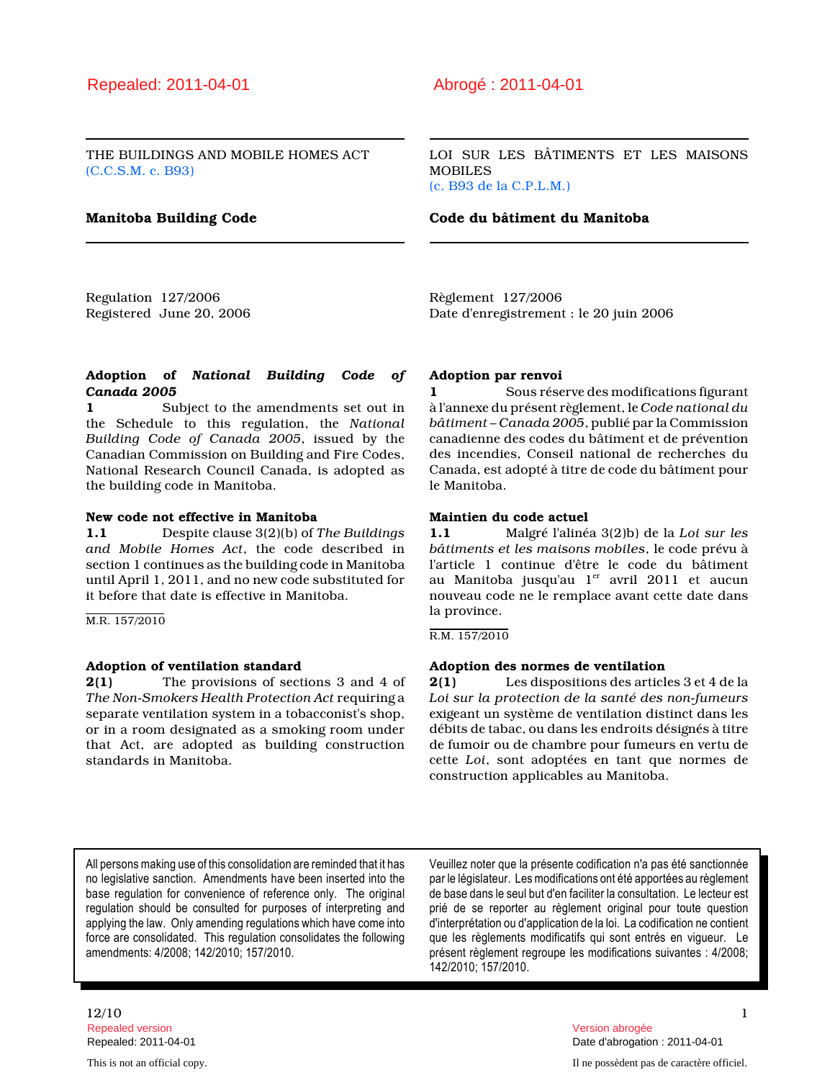THE BUILDINGS AND MOBILE HOMES ACT (C.C.S.M. c. B93)

LOI SUR LES BÂTIMENTS ET LES MAISONS **MOBILES** (c. B93 de la C.P.L.M.)

#### Manitoba Building Code Code du bâtiment du Manitoba

Regulation 127/2006 Registered June 20, 2006 Règlement 127/2006 Date d'enregistrement : le 20 juin 2006

#### Adoption of National Building Code of Canada 2005

1 Subject to the amendments set out in the Schedule to this regulation, the National Building Code of Canada 2005, issued by the Canadian Commission on Building and Fire Codes, National Research Council Canada, is adopted as the building code in Manitoba.

#### New code not effective in Manitoba

1.1 Despite clause 3(2)(b) of The Buildings and Mobile Homes Act, the code described in section 1 continues as the building code in Manitoba until April 1, 2011, and no new code substituted for it before that date is effective in Manitoba.

M.R. 157/2010

#### Adoption of ventilation standard

2(1) The provisions of sections 3 and 4 of The Non-Smokers Health Protection Act requiring a separate ventilation system in a tobacconist's shop, or in a room designated as a smoking room under that Act, are adopted as building construction standards in Manitoba.

#### Adoption par renvoi

1 Sous réserve des modifications figurant à l'annexe du présent règlement, le Code national du bâtiment – Canada 2005, publié par la Commission canadienne des codes du bâtiment et de prévention des incendies, Conseil national de recherches du Canada, est adopté à titre de code du bâtiment pour le Manitoba.

#### Maintien du code actuel

1.1 Malgré l'alinéa 3(2)b) de la Loi sur les bâtiments et les maisons mobiles, le code prévu à l'article 1 continue d'être le code du bâtiment au Manitoba jusqu'au  $1<sup>er</sup>$  avril 2011 et aucun nouveau code ne le remplace avant cette date dans la province.

R.M. 157/2010

#### Adoption des normes de ventilation

2(1) Les dispositions des articles 3 et 4 de la Loi sur la protection de la santé des non-fumeurs exigeant un système de ventilation distinct dans les débits de tabac, ou dans les endroits désignés à titre de fumoir ou de chambre pour fumeurs en vertu de cette Loi, sont adoptées en tant que normes de construction applicables au Manitoba.

All persons making use of this consolidation are reminded that it has no legislative sanction. Amendments have been inserted into the base regulation for convenience of reference only. The original regulation should be consulted for purposes of interpreting and applying the law. Only amending regulations which have come into force are consolidated. This regulation consolidates the following amendments: 4/2008; 142/2010; 157/2010.

Veuillez noter que la présente codification n'a pas été sanctionnée par le législateur. Les modifications ont été apportées au règlement de base dans le seul but d'en faciliter la consultation. Le lecteur est prié de se reporter au règlement original pour toute question d'interprétation ou d'application de la loi. La codification ne contient que les règlements modificatifs qui sont entrés en vigueur. Le présent règlement regroupe les modifications suivantes : 4/2008; 142/2010; 157/2010.

## $12/10$  1 Repealed version Version abrogée

Repealed: 2011-04-01 Date d'abrogation : 2011-04-01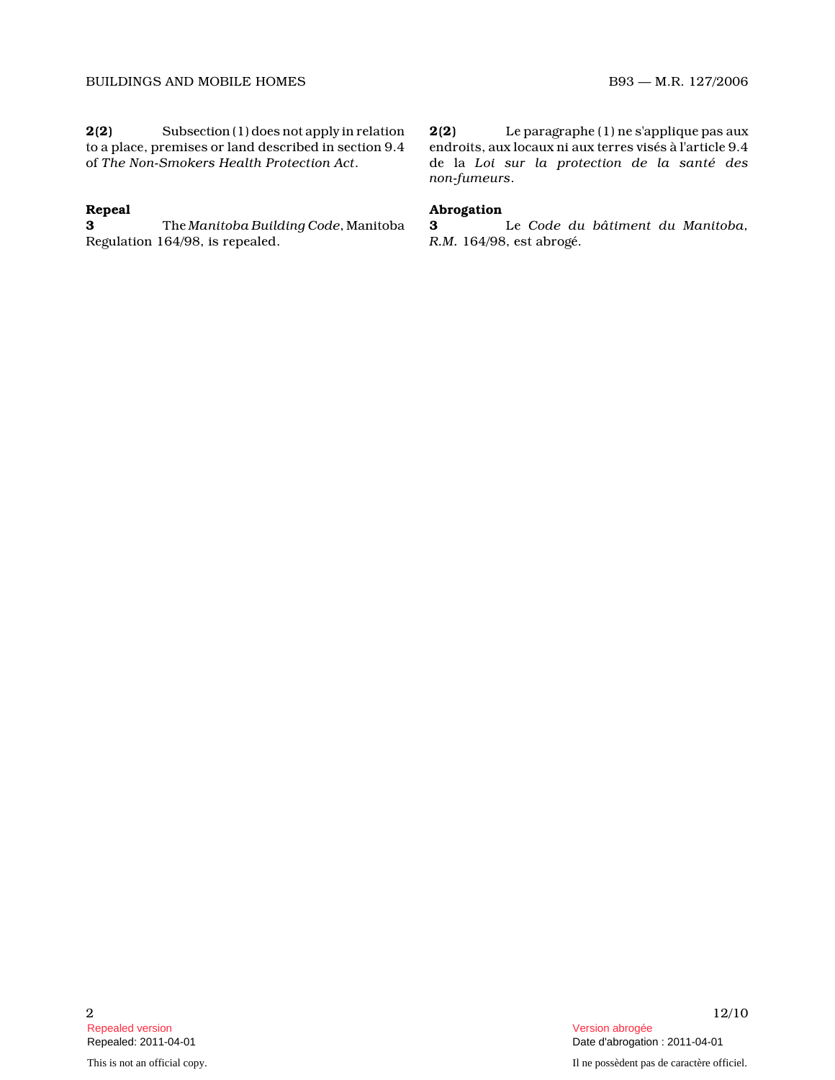2(2) Subsection (1) does not apply in relation to a place, premises or land described in section 9.4 of The Non-Smokers Health Protection Act .

# Repeal<br>3

The Manitoba Building Code, Manitoba Regulation 164/98, is repealed.

2(2) Le paragraphe (1) ne s'applique pas aux endroits, aux locaux ni aux terres visés à l'article 9.4 de la Loi sur la protection de la santé des non-fumeurs .

# Abrogation

Le Code du bâtiment du Manitoba, R.M. 164/98, est abrogé.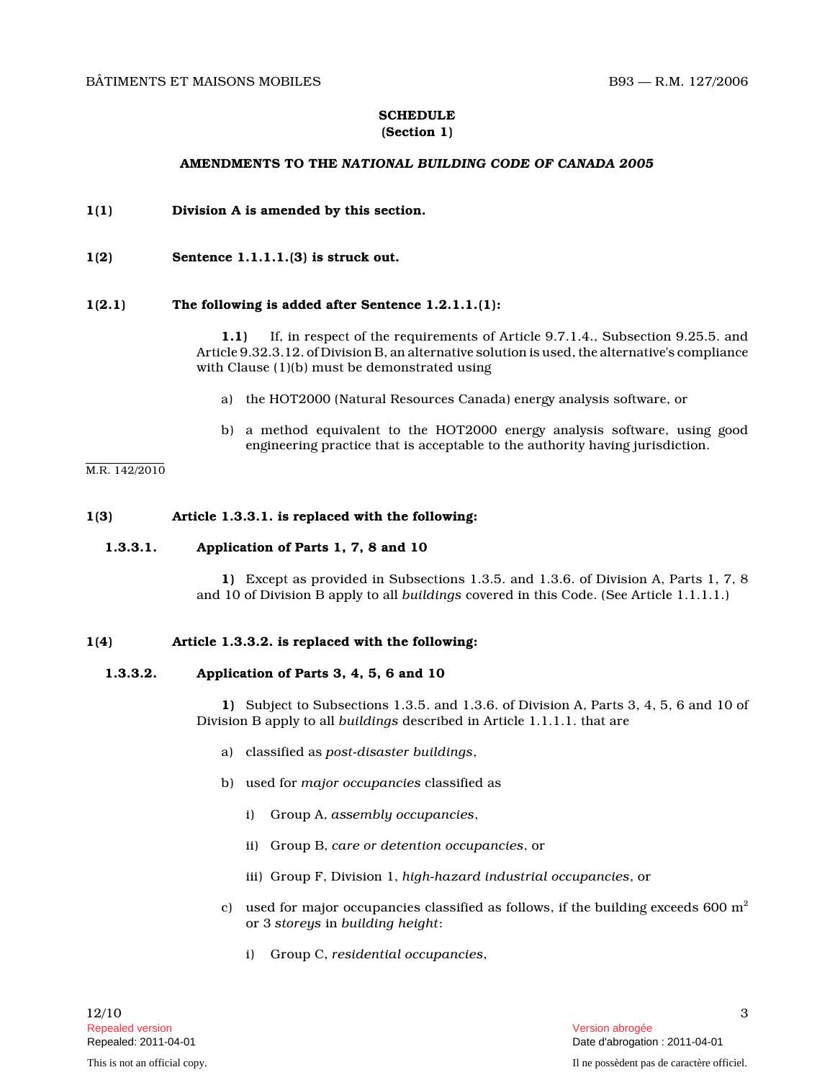## **SCHEDULE** (Section 1)

#### AMENDMENTS TO THE NATIONAL BUILDING CODE OF CANADA 2005

#### 1(1) Division A is amended by this section.

1(2) Sentence 1.1.1.1.(3) is struck out.

#### 1(2.1) The following is added after Sentence 1.2.1.1.(1):

1.1) If, in respect of the requirements of Article 9.7.1.4., Subsection 9.25.5. and Article 9.32.3.12. of Division B, an alternative solution is used, the alternative's compliance with Clause (1)(b) must be demonstrated using

- a) the HOT2000 (Natural Resources Canada) energy analysis software, or
- b) a method equivalent to the HOT2000 energy analysis software, using good engineering practice that is acceptable to the authority having jurisdiction.

#### M.R. 142/2010

#### 1(3) Article 1.3.3.1. is replaced with the following :

#### 1.3.3.1. Application of Parts 1, 7, 8 and 10

1) Except as provided in Subsections 1.3.5. and 1.3.6. of Division A, Parts 1, 7, 8 and 10 of Division B apply to all buildings covered in this Code. (See Article 1.1.1.1.)

#### 1(4) Article 1.3.3.2. is replaced with the following :

#### 1.3.3.2. Application of Parts 3, 4, 5, 6 and 10

1) Subject to Subsections 1.3.5. and 1.3.6. of Division A, Parts 3, 4, 5, 6 and 10 of Division B apply to all buildings described in Article 1.1.1.1. that are

- a) classified as post-disaster buildings ,
- b) used for major occupancies classified as
	- i) Group A, assembly occupancies,
	- ii) Group B, care or detention occupancies, or
	- iii) Group F, Division 1, high-hazard industrial occupancies, or
- c)  $\;$  used for major occupancies classified as follows, if the building exceeds 600  $\mathrm{m}^{2}$ or 3 storeys in building height :
	- i) Group C, residential occupancies,

12/10 Repealed version Version abrogée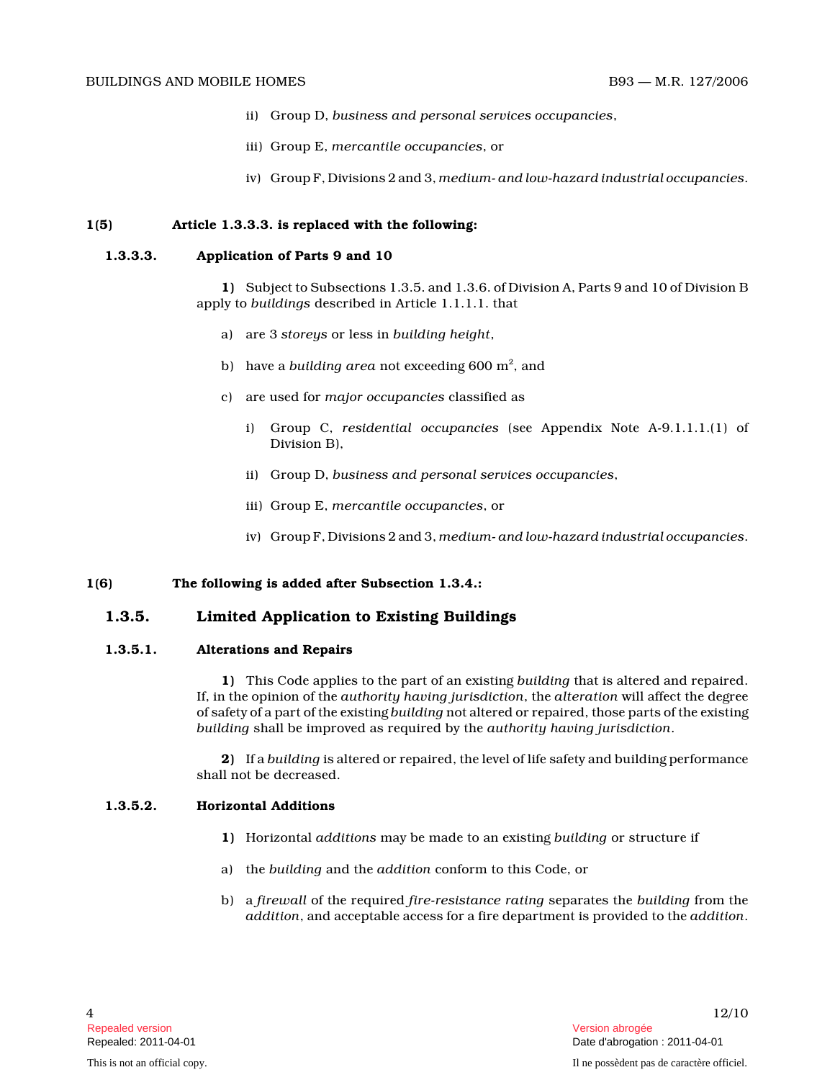- ii) Group D, business and personal services occupancies ,
- iii) Group E, mercantile occupancies, or
- iv) Group F, Divisions 2 and 3, medium- and low-hazard industrial occupancies .

### 1(5) Article 1.3.3.3. is replaced with the following :

#### 1.3.3.3. Application of Parts 9 and 10

1) Subject to Subsections 1.3.5. and 1.3.6. of Division A, Parts 9 and 10 of Division B apply to buildings described in Article 1.1.1.1. that

- a) are 3 storeys or less in building height ,
- b) have a *building area* not exceeding 600  $\mathrm{m}^2$ , and
- c) are used for major occupancies classified as
	- i) Group C, residential occupancies (see Appendix Note A-9.1.1.1.(1) of Division B),
	- ii) Group D, business and personal services occupancies ,
	- iii) Group E, mercantile occupancies, or
	- iv) Group F, Divisions 2 and 3, medium- and low-hazard industrial occupancies .

#### 1(6) The following is added after Subsection 1.3.4.:

## 1.3.5. Limited Application to Existing Buildings

## 1.3.5.1. Alterations and Repairs

1) This Code applies to the part of an existing building that is altered and repaired. If, in the opinion of the authority having jurisdiction, the alteration will affect the degree of safety of a part of the existing building not altered or repaired, those parts of the existing building shall be improved as required by the authority having jurisdiction .

2) If a building is altered or repaired, the level of life safety and building performance shall not be decreased.

#### 1.3.5.2. Horizontal Additions

- 1) Horizontal additions may be made to an existing building or structure if
- a) the building and the addition conform to this Code, or
- b) a firewall of the required fire-resistance rating separates the building from the addition, and acceptable access for a fire department is provided to the addition .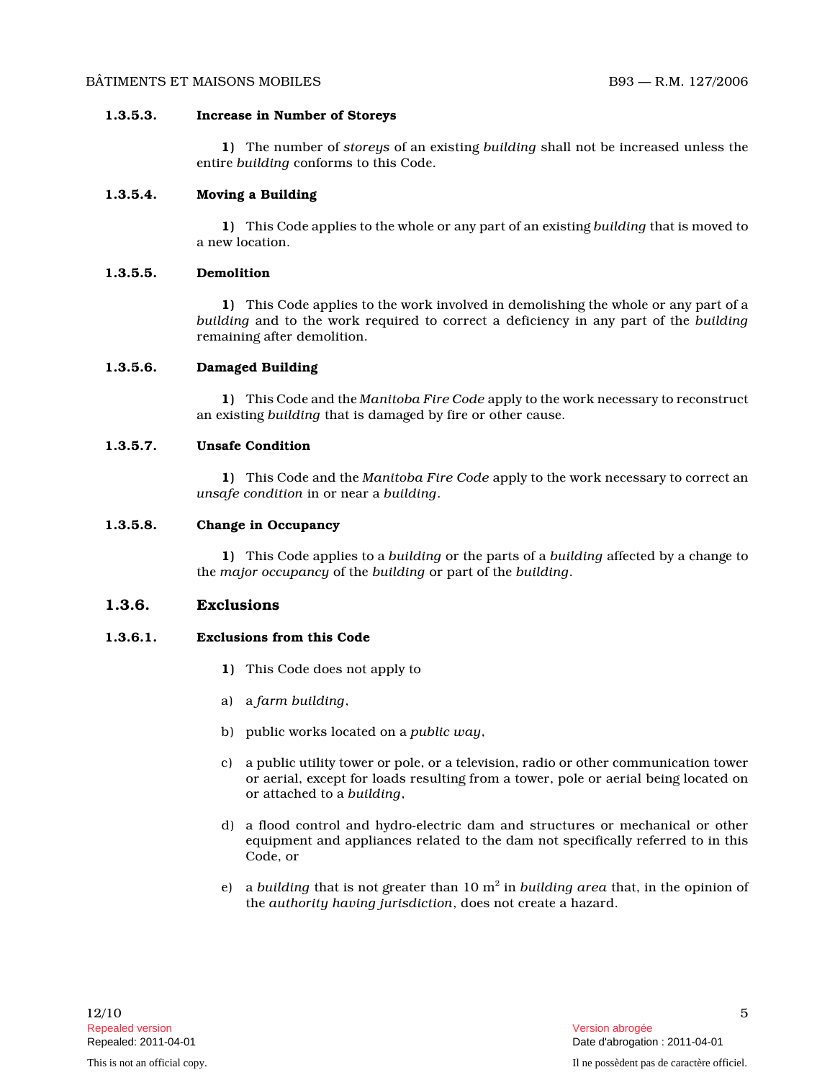#### 1.3.5.3. Increase in Number of Storeys

1) The number of storeys of an existing building shall not be increased unless the entire building conforms to this Code.

#### 1.3.5.4. Moving a Building

1) This Code applies to the whole or any part of an existing building that is moved to a new location.

#### 1.3.5.5. Demolition

1) This Code applies to the work involved in demolishing the whole or any part of a building and to the work required to correct a deficiency in any part of the building remaining after demolition.

### 1.3.5.6. Damaged Building

1) This Code and the Manitoba Fire Code apply to the work necessary to reconstruct an existing building that is damaged by fire or other cause.

#### 1.3.5.7. Unsafe Condition

1) This Code and the Manitoba Fire Code apply to the work necessary to correct an unsafe condition in or near a building .

#### 1.3.5.8. Change in Occupancy

1) This Code applies to a building or the parts of a building affected by a change to the major occupancy of the building or part of the building .

#### 1.3.6. Exclusions

### 1.3.6.1. Exclusions from this Code

- 1) This Code does not apply to
- a) a farm building,
- b) public works located on a *public way*,
- c) a public utility tower or pole, or a television, radio or other communication tower or aerial, except for loads resulting from a tower, pole or aerial being located on or attached to a building ,
- d) a flood control and hydro-electric dam and structures or mechanical or other equipment and appliances related to the dam not specifically referred to in this Code, or
- e)  $\,$  a *building that is not greater than 10*  $\mathrm{m}^2$  in *building area that, in the opinion of* the authority having jurisdiction, does not create a hazard.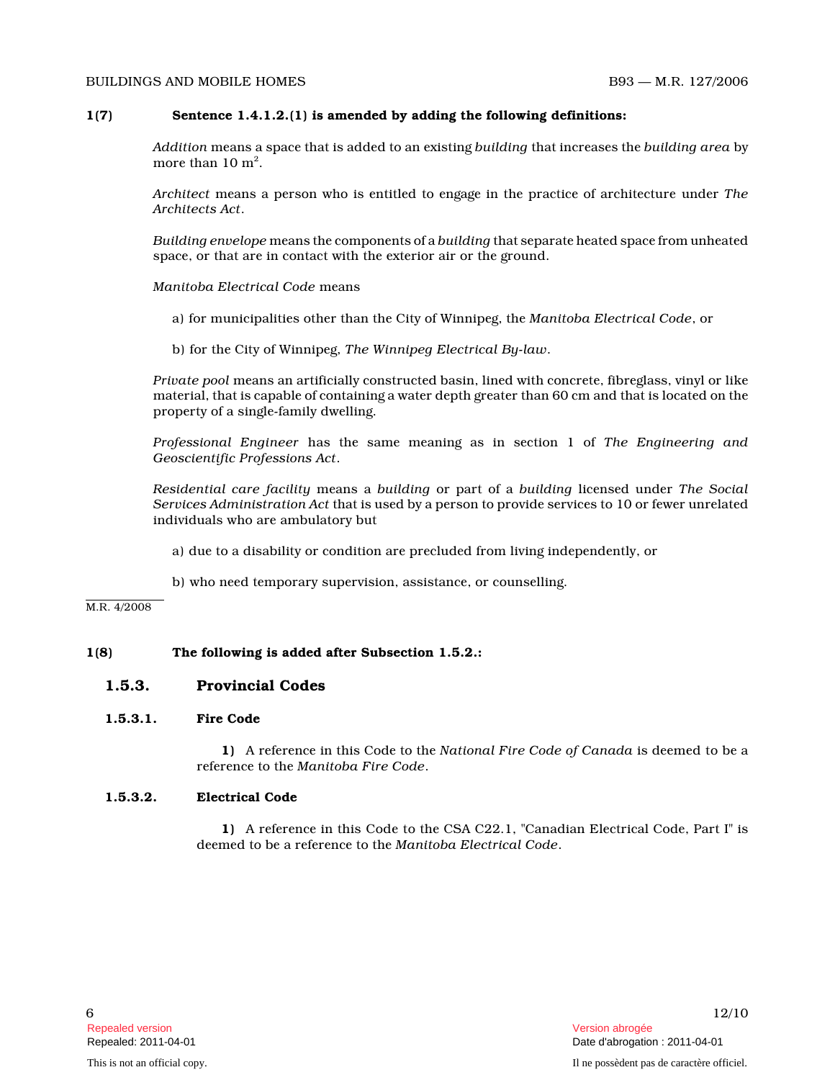#### 1(7) Sentence 1.4.1.2.(1) is amended by adding the following definitions:

Addition means a space that is added to an existing building that increases the building area by more than  $10 \text{ m}^2$ .

Architect means a person who is entitled to engage in the practice of architecture under The Architects Act .

Building envelope means the components of a building that separate heated space from unheated space, or that are in contact with the exterior air or the ground.

Manitoba Electrical Code means

- a) for municipalities other than the City of Winnipeg, the Manitoba Electrical Code, or
- b) for the City of Winnipeg, The Winnipeg Electrical By-law .

Private pool means an artificially constructed basin, lined with concrete, fibreglass, vinyl or like material, that is capable of containing a water depth greater than 60 cm and that is located on the property of a single-family dwelling.

Professional Engineer has the same meaning as in section 1 of The Engineering and Geoscientific Professions Act .

Residential care facility means a building or part of a building licensed under The Social Services Administration Act that is used by a person to provide services to 10 or fewer unrelated individuals who are ambulatory but

- a) due to a disability or condition are precluded from living independently, or
- b) who need temporary supervision, assistance, or counselling.

M.R. 4/2008

#### 1(8) The following is added after Subsection 1.5.2.:

#### 1.5.3. Provincial Codes

#### 1.5.3.1. Fire Code

1) A reference in this Code to the National Fire Code of Canada is deemed to be a reference to the Manitoba Fire Code .

#### 1.5.3.2. Electrical Code

1) A reference in this Code to the CSA C22.1, "Canadian Electrical Code, Part I" is deemed to be a reference to the Manitoba Electrical Code .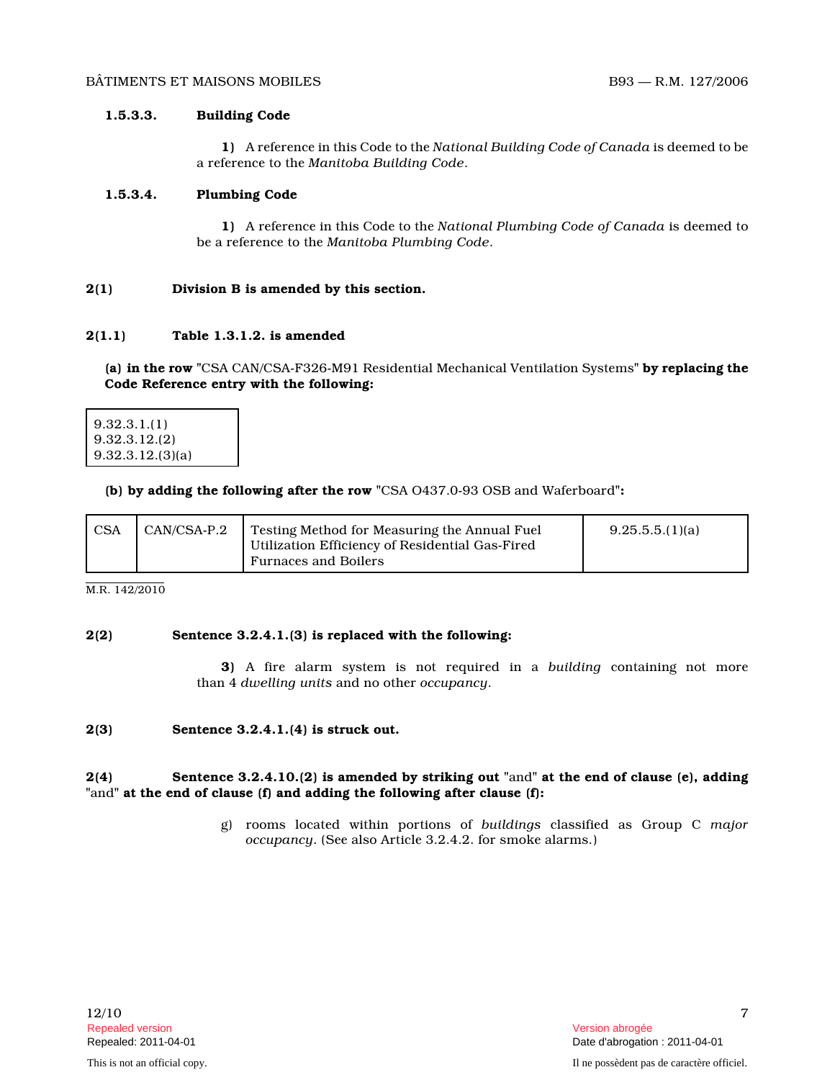## 1.5.3.3. Building Code

1) A reference in this Code to the National Building Code of Canada is deemed to be a reference to the Manitoba Building Code .

## 1.5.3.4. Plumbing Code

1) A reference in this Code to the National Plumbing Code of Canada is deemed to be a reference to the Manitoba Plumbing Code .

## 2(1) Division B is amended by this section.

#### 2(1.1) Table 1.3.1.2. is amended

(a) in the row "CSA CAN/CSA-F326-M91 Residential Mechanical Ventilation Systems" by replacing the Code Reference entry with the following:

9.32.3.1.(1) 9.32.3.12.(2) 9.32.3.12.(3)(a)

## (b) by adding the following after the row "CSA O437.0-93 OSB and Waferboard":

| <sup>I</sup> CSA | $\mathsf{CAN}/\mathsf{CSA-P.2}$ | Testing Method for Measuring the Annual Fuel    | 9.25.5.5.(1)(a) |
|------------------|---------------------------------|-------------------------------------------------|-----------------|
|                  |                                 | Utilization Efficiency of Residential Gas-Fired |                 |
|                  |                                 | <b>Furnaces and Boilers</b>                     |                 |

M.R. 142/2010

#### 2(2) Sentence 3.2.4.1.(3) is replaced with the following:

3) A fire alarm system is not required in a building containing not more than 4 dwelling units and no other occupancy .

#### 2(3) Sentence 3.2.4.1.(4) is struck out.

## 2(4) Sentence 3.2.4.10.(2) is amended by striking out "and" at the end of clause (e), adding "and" at the end of clause (f) and adding the following after clause (f):

g) rooms located within portions of buildings classified as Group C major occupancy. (See also Article 3.2.4.2. for smoke alarms.)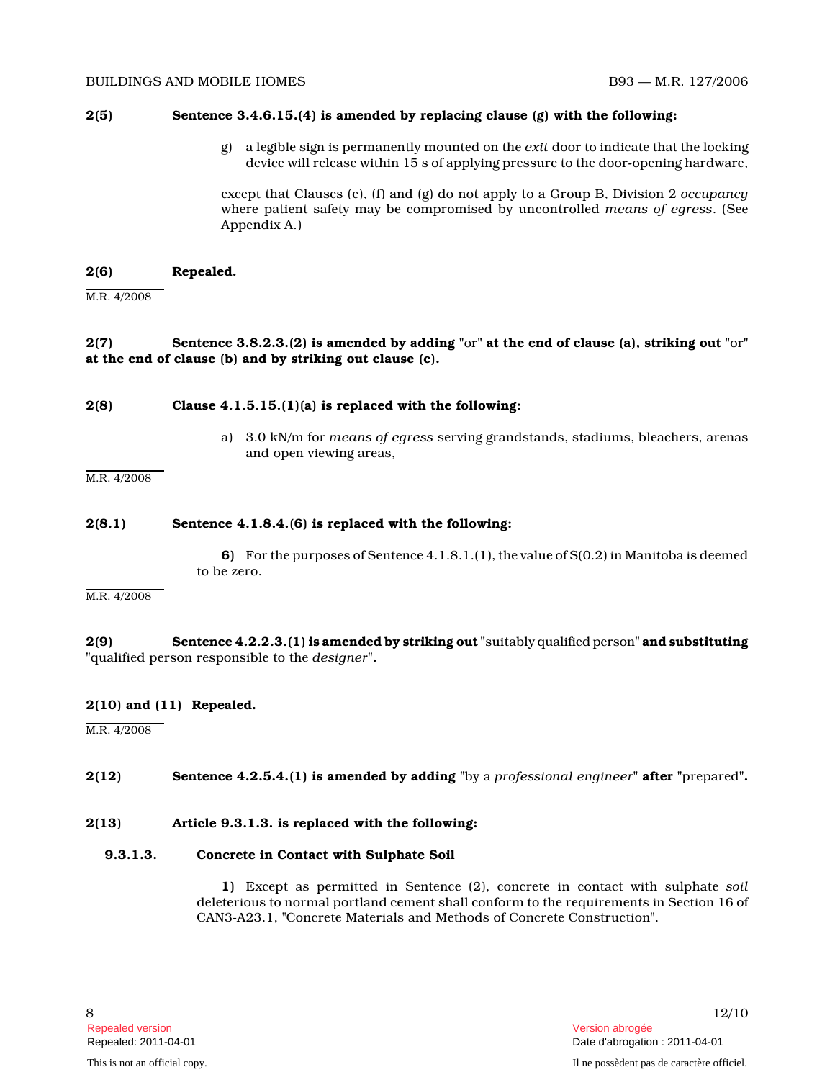#### BUILDINGS AND MOBILE HOMES B93 — M.R. 127/2006

#### $2(5)$  Sentence 3.4.6.15.(4) is amended by replacing clause (g) with the following:

g) a legible sign is permanently mounted on the *exit* door to indicate that the locking device will release within 15 s of applying pressure to the door-opening hardware,

except that Clauses (e), (f) and (g) do not apply to a Group B, Division 2 occupancy where patient safety may be compromised by uncontrolled means of egress. (See Appendix A.)

#### 2(6) Repealed.

M.R. 4/2008

#### $2(7) \hspace{3cm}$  Sentence 3.8.2.3.(2) is amended by adding "or" at the end of clause (a), striking out "or" at the end of clause (b) and by striking out clause (c).

#### 2(8) Clause 4.1.5.15.(1)(a) is replaced with the following:

a) 3.0 kN/m for means of egress serving grandstands, stadiums, bleachers, arenas and open viewing areas,

M.R. 4/2008

#### 2(8.1) Sentence 4.1.8.4.(6) is replaced with the following:

6) For the purposes of Sentence  $4.1.8.1(1)$ , the value of  $S(0.2)$  in Manitoba is deemed to be zero.

M.R. 4/2008

2(9) Sentence 4.2.2.3.(1) is amended by striking out "suitably qualified person" and substituting "qualified person responsible to the *designer*".

#### 2(10) and (11) Repealed.

M.R. 4/2008

#### 2(12) Sentence  $4.2.5.4.(1)$  is amended by adding "by a professional engineer" after "prepared".

#### 2(13) Article 9.3.1.3. is replaced with the following:

#### 9.3.1.3. Concrete in Contact with Sulphate Soil

1) Except as permitted in Sentence (2), concrete in contact with sulphate soil deleterious to normal portland cement shall conform to the requirements in Section 16 of CAN3-A23.1, "Concrete Materials and Methods of Concrete Construction".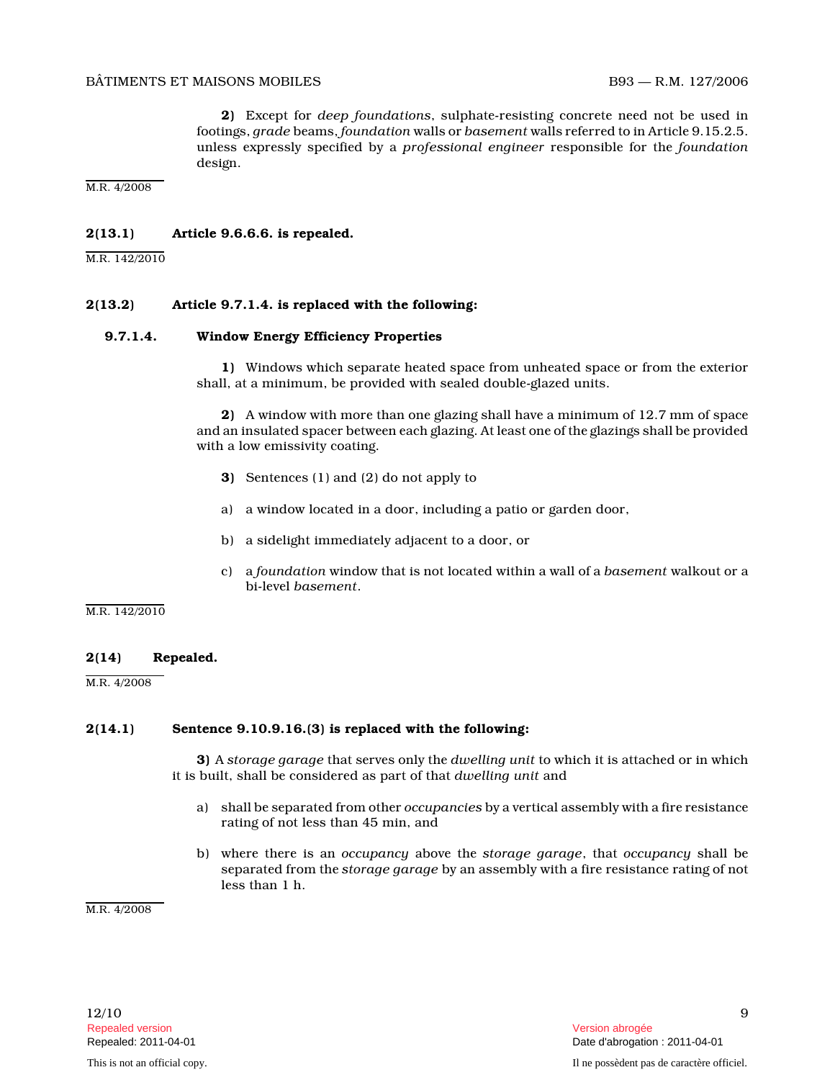2) Except for deep foundations, sulphate-resisting concrete need not be used in footings, grade beams, foundation walls or basement walls referred to in Article 9.15.2.5. unless expressly specified by a professional engineer responsible for the foundation design.

M.R. 4/2008

#### 2(13.1) Article 9.6.6.6. is repealed.

M.R. 142/2010

#### 2(13.2) Article 9.7.1.4. is replaced with the following:

#### 9.7.1.4. Window Energy Efficiency Properties

1) Windows which separate heated space from unheated space or from the exterior shall, at a minimum, be provided with sealed double-glazed units.

2) A window with more than one glazing shall have a minimum of 12.7 mm of space and an insulated spacer between each glazing. At least one of the glazings shall be provided with a low emissivity coating.

- 3) Sentences (1) and (2) do not apply to
- a) a window located in a door, including a patio or garden door,
- b) a sidelight immediately adjacent to a door, or
- c) a foundation window that is not located within a wall of a basement walkout or a bi-level basement .

#### M.R. 142/2010

#### 2(14) Repealed.

M.R. 4/2008

#### 2(14.1) Sentence 9.10.9.16.(3) is replaced with the following:

3) A storage garage that serves only the dwelling unit to which it is attached or in which it is built, shall be considered as part of that dwelling unit and

- a) shall be separated from other occupancies by a vertical assembly with a fire resistance rating of not less than 45 min, and
- b) where there is an occupancy above the storage garage, that occupancy shall be separated from the *storage garage b*y an assembly with a fire resistance rating of not less than 1 h.

M.R. 4/2008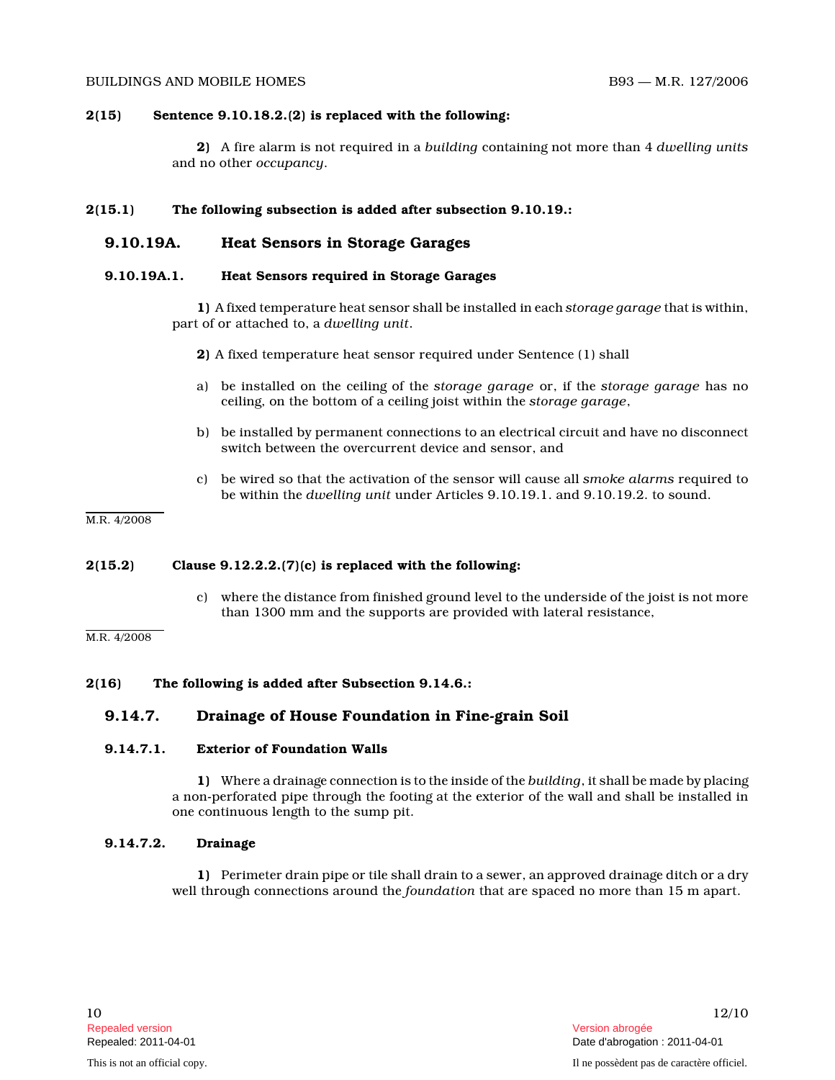#### 2(15) Sentence 9.10.18.2.(2) is replaced with the following:

**2)** A fire alarm is not required in a *building* containing not more than 4 *dwelling units* and no other occupancy .

#### 2(15.1) The following subsection is added after subsection 9.10.19.:

## 9.10.19A. Heat Sensors in Storage Garages

#### 9.10.19A.1. Heat Sensors required in Storage Garages

1) A fixed temperature heat sensor shall be installed in each storage garage that is within, part of or attached to, a dwelling unit .

2) A fixed temperature heat sensor required under Sentence (1) shall

- a) be installed on the ceiling of the storage garage or, if the storage garage has no ceiling, on the bottom of a ceiling joist within the storage garage,
- b) be installed by permanent connections to an electrical circuit and have no disconnect switch between the overcurrent device and sensor, and
- c) be wired so that the activation of the sensor will cause all smoke alarms required to be within the dwelling unit under Articles 9.10.19.1. and 9.10.19.2. to sound.

M.R. 4/2008

#### $2(15.2)$  Clause 9.12.2.2.(7)(c) is replaced with the following:

c) where the distance from finished ground level to the underside of the joist is not more than 1300 mm and the supports are provided with lateral resistance,

M.R. 4/2008

#### 2(16) The following is added after Subsection 9.14.6.:

#### 9.14.7. Drainage of House Foundation in Fine-grain Soil

#### 9.14.7.1. Exterior of Foundation Walls

1) Where a drainage connection is to the inside of the building, it shall be made by placing a non-perforated pipe through the footing at the exterior of the wall and shall be installed in one continuous length to the sump pit.

#### 9.14.7.2. Drainage

1) Perimeter drain pipe or tile shall drain to a sewer, an approved drainage ditch or a dry well through connections around the *foundation* that are spaced no more than 15 m apart.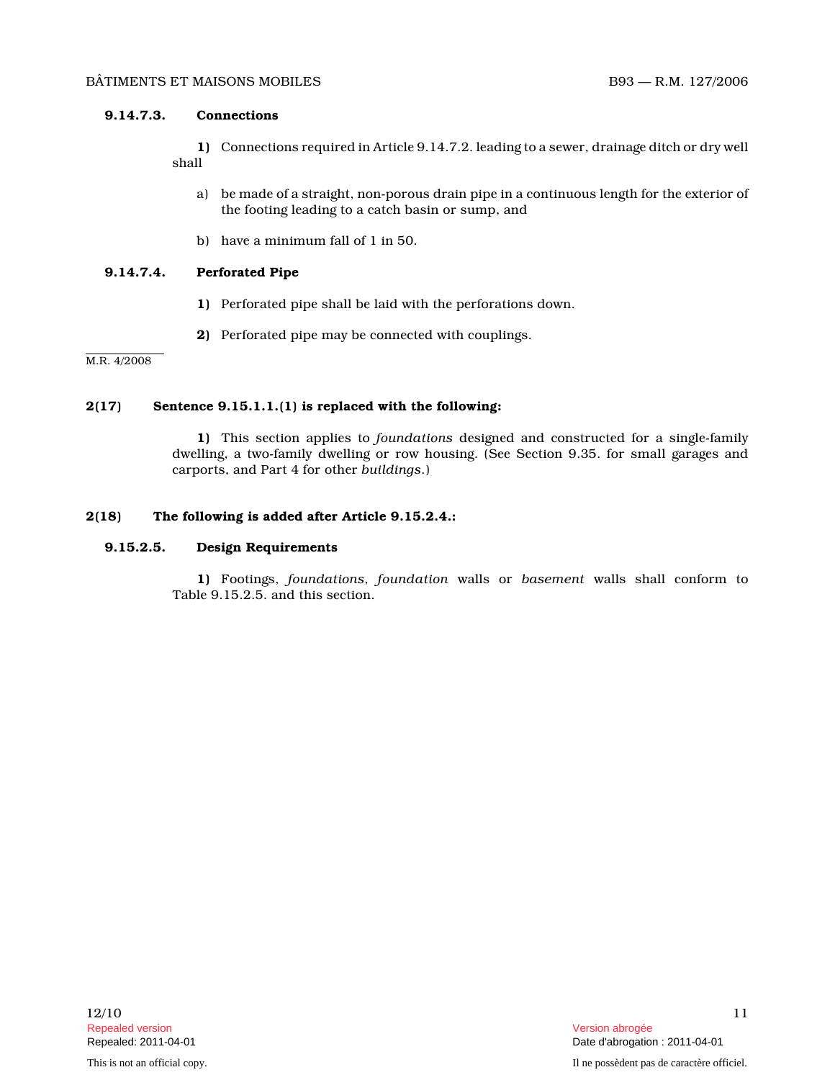#### 9.14.7.3. Connections

1) Connections required in Article 9.14.7.2. leading to a sewer, drainage ditch or dry well shall

- a) be made of a straight, non-porous drain pipe in a continuous length for the exterior of the footing leading to a catch basin or sump, and
- b) have a minimum fall of 1 in 50.

## 9.14.7.4. Perforated Pipe

- 1) Perforated pipe shall be laid with the perforations down.
- 2) Perforated pipe may be connected with couplings.

M.R. 4/2008

#### 2(17) Sentence 9.15.1.1.(1) is replaced with the following:

1) This section applies to foundations designed and constructed for a single-family dwelling, a two-family dwelling or row housing. (See Section 9.35. for small garages and carports, and Part 4 for other buildings.)

#### 2(18) The following is added after Article 9.15.2.4. :

#### 9.15.2.5. Design Requirements

1) Footings, foundations, foundation walls or basement walls shall conform to Table 9.15.2.5. and this section.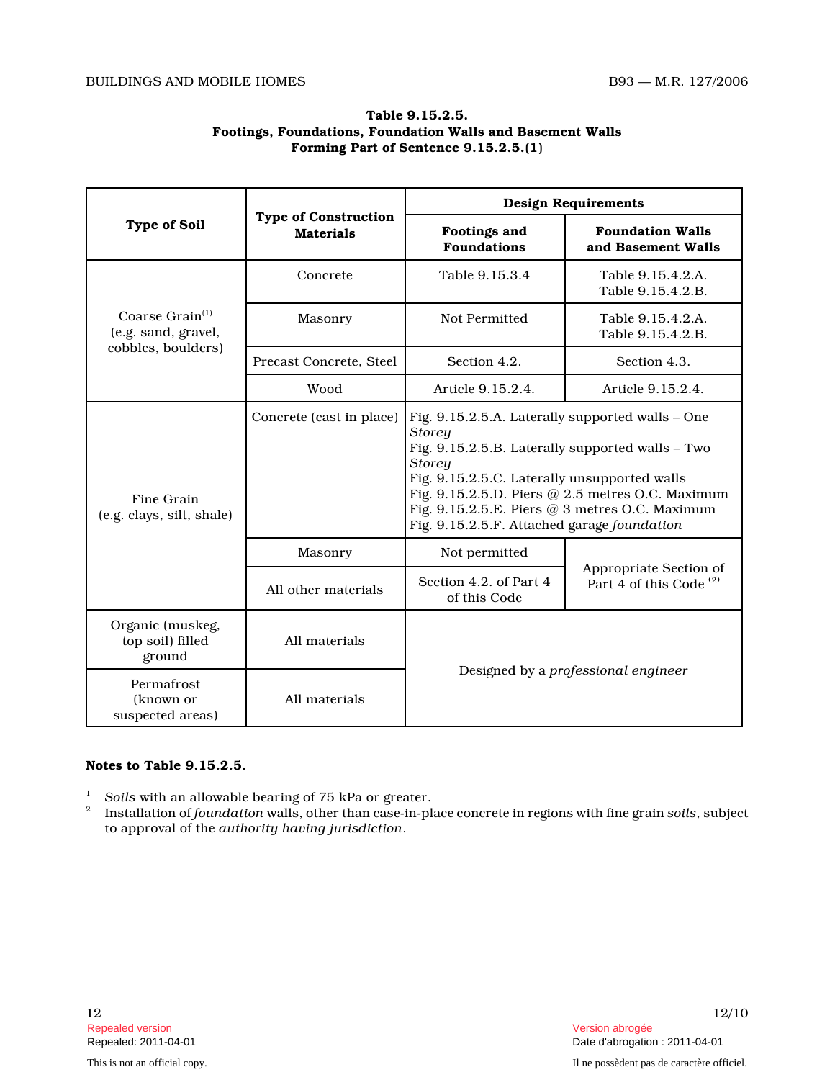|                                                    | <b>Type of Construction</b><br><b>Materials</b> | Design Requirements                                                                                                                                                                                                                                                                                                                           |                                                     |
|----------------------------------------------------|-------------------------------------------------|-----------------------------------------------------------------------------------------------------------------------------------------------------------------------------------------------------------------------------------------------------------------------------------------------------------------------------------------------|-----------------------------------------------------|
| <b>Type of Soil</b>                                |                                                 | <b>Footings and</b><br><b>Foundations</b>                                                                                                                                                                                                                                                                                                     | <b>Foundation Walls</b><br>and Basement Walls       |
|                                                    | Concrete                                        | Table 9.15.3.4                                                                                                                                                                                                                                                                                                                                | Table 9.15.4.2.A.<br>Table 9.15.4.2.B.              |
| Coarse Grain <sup>(1)</sup><br>(e.g. sand, gravel, | Masonry                                         | Not Permitted                                                                                                                                                                                                                                                                                                                                 | Table 9.15.4.2.A.<br>Table 9.15.4.2.B.              |
| cobbles, boulders)                                 | Precast Concrete, Steel                         | Section 4.2.                                                                                                                                                                                                                                                                                                                                  | Section 4.3.                                        |
|                                                    | Wood                                            | Article 9.15.2.4.                                                                                                                                                                                                                                                                                                                             | Article 9.15.2.4.                                   |
| Fine Grain<br>(e.g. clays, silt, shale)            | Concrete (cast in place)                        | Fig. 9.15.2.5.A. Laterally supported walls - One<br><b>Storey</b><br>Fig. 9.15.2.5.B. Laterally supported walls - Two<br><b>Storey</b><br>Fig. 9.15.2.5.C. Laterally unsupported walls<br>Fig. $9.15.2.5.D.$ Piers @ 2.5 metres O.C. Maximum<br>Fig. 9.15.2.5.E. Piers @ 3 metres O.C. Maximum<br>Fig. 9.15.2.5.F. Attached garage foundation |                                                     |
|                                                    | Masonry                                         | Not permitted                                                                                                                                                                                                                                                                                                                                 |                                                     |
|                                                    | All other materials                             | Section 4.2, of Part 4<br>of this Code                                                                                                                                                                                                                                                                                                        | Appropriate Section of<br>Part 4 of this Code $(2)$ |
| Organic (muskeg,<br>top soil) filled<br>ground     | All materials                                   | Designed by a professional engineer                                                                                                                                                                                                                                                                                                           |                                                     |
| Permafrost<br>(known or<br>suspected areas)        | All materials                                   |                                                                                                                                                                                                                                                                                                                                               |                                                     |

### Table 9.15.2.5. Footings, Foundations, Foundation Walls and Basement Walls Forming Part of Sentence 9.15.2.5.(1)

## Notes to Table 9.15.2.5.

- $1$  Soils with an allowable bearing of 75 kPa or greater.
- 2 Installation of foundation walls, other than case-in-place concrete in regions with fine grain soils, subject to approval of the authority having jurisdiction .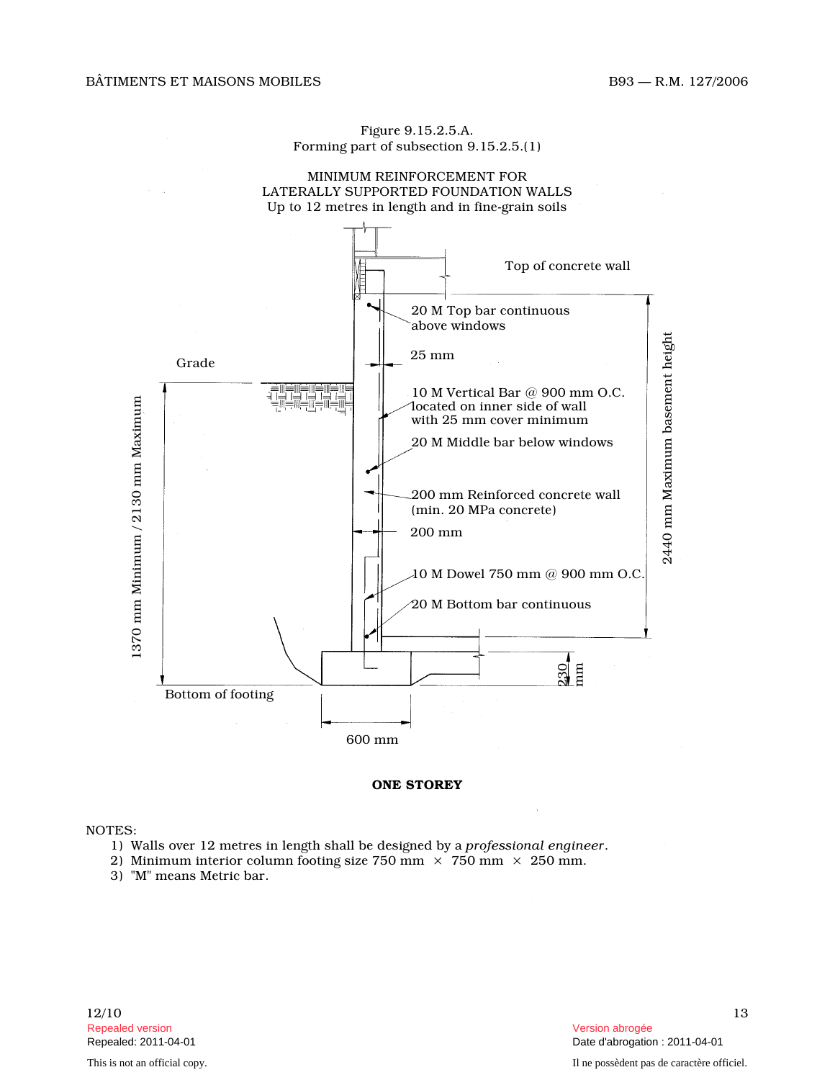Figure 9.15.2.5.A. Forming part of subsection 9.15.2.5.(1)

#### MINIMUM REINFORCEMENT FOR LATERALLY SUPPORTED FOUNDATION WALLS Up to 12 metres in length and in fine-grain soils



#### ONE STOREY

#### NOTES:

- 1) Walls over 12 metres in length shall be designed by a professional engineer .
- 2) Minimum interior column footing size 750 mm  $\times$  750 mm  $\times$  250 mm.
- 3) "M" means Metric bar.

Repealed version version abrogée (1999) and the set of the set of the set of the set of the set of the set of the set of the set of the set of the set of the set of the set of the set of the set of the set of the set of th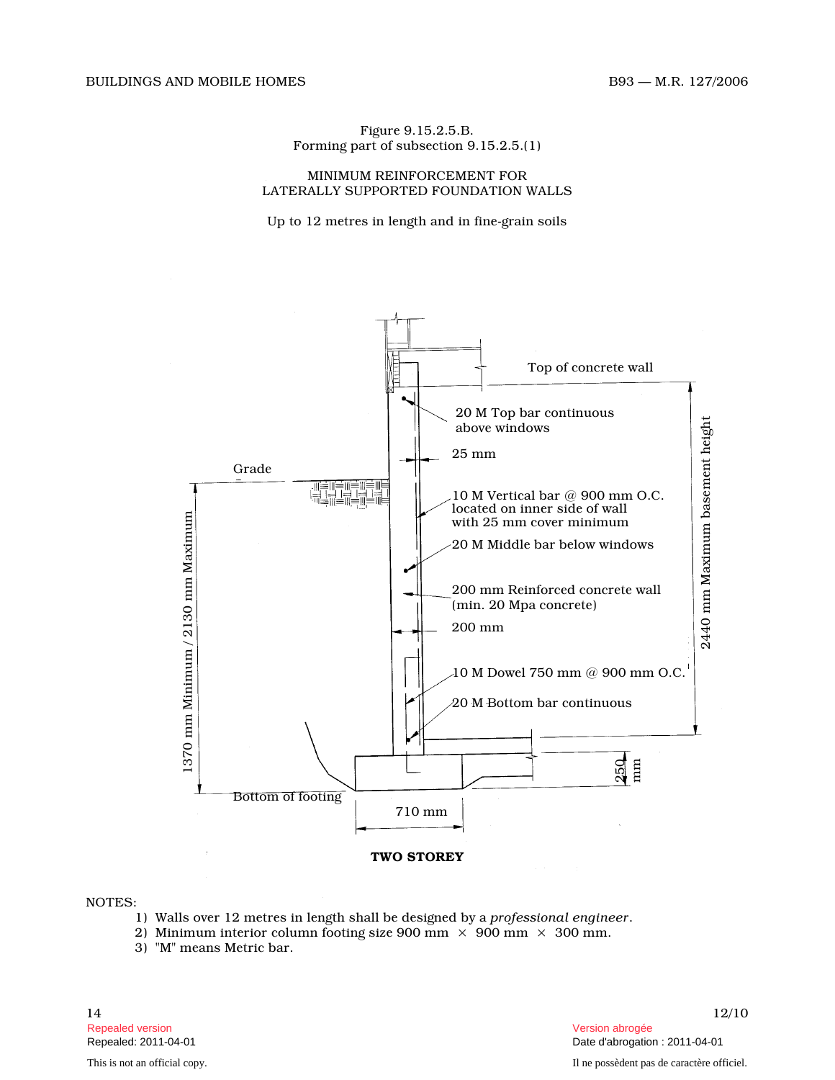#### Figure 9.15.2.5.B. Forming part of subsection 9.15.2.5.(1)

#### MINIMUM REINFORCEMENT FOR LATERALLY SUPPORTED FOUNDATION WALLS

Up to 12 metres in length and in fine-grain soils



NOTES:

- 1) Walls over 12 metres in length shall be designed by a professional engineer .
- 2) Minimum interior column footing size 900 mm  $\times$  900 mm  $\times$  300 mm.
- 3) "M" means Metric bar.

Repealed version Version abrogée

Repealed: 2011-04-01 Date d'abrogation : 2011-04-01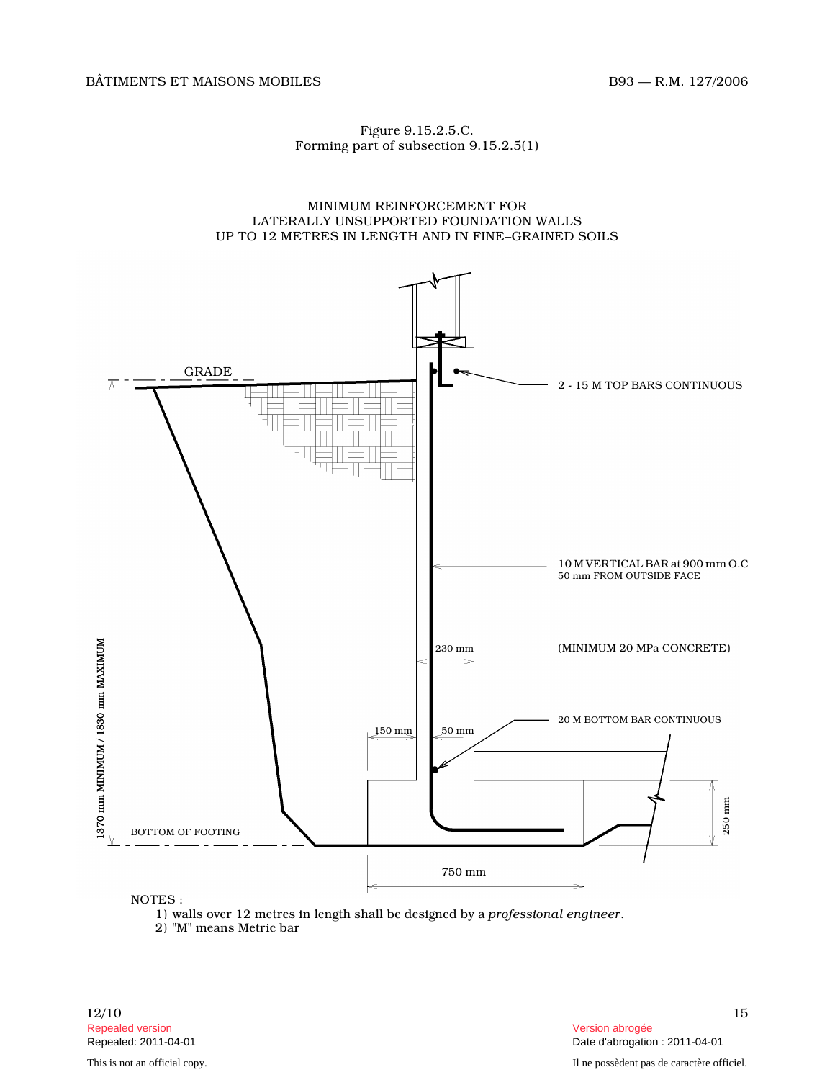#### Figure 9.15.2.5.C. Forming part of subsection 9.15.2.5(1)

MINIMUM REINFORCEMENT FOR LATERALLY UNSUPPORTED FOUNDATION WALLS UP TO 12 METRES IN LENGTH AND IN FINE–GRAINED SOILS



1) walls over 12 metres in length shall be designed by a professional engineer .

2) "M" means Metric bar

Repealed version Version abrogée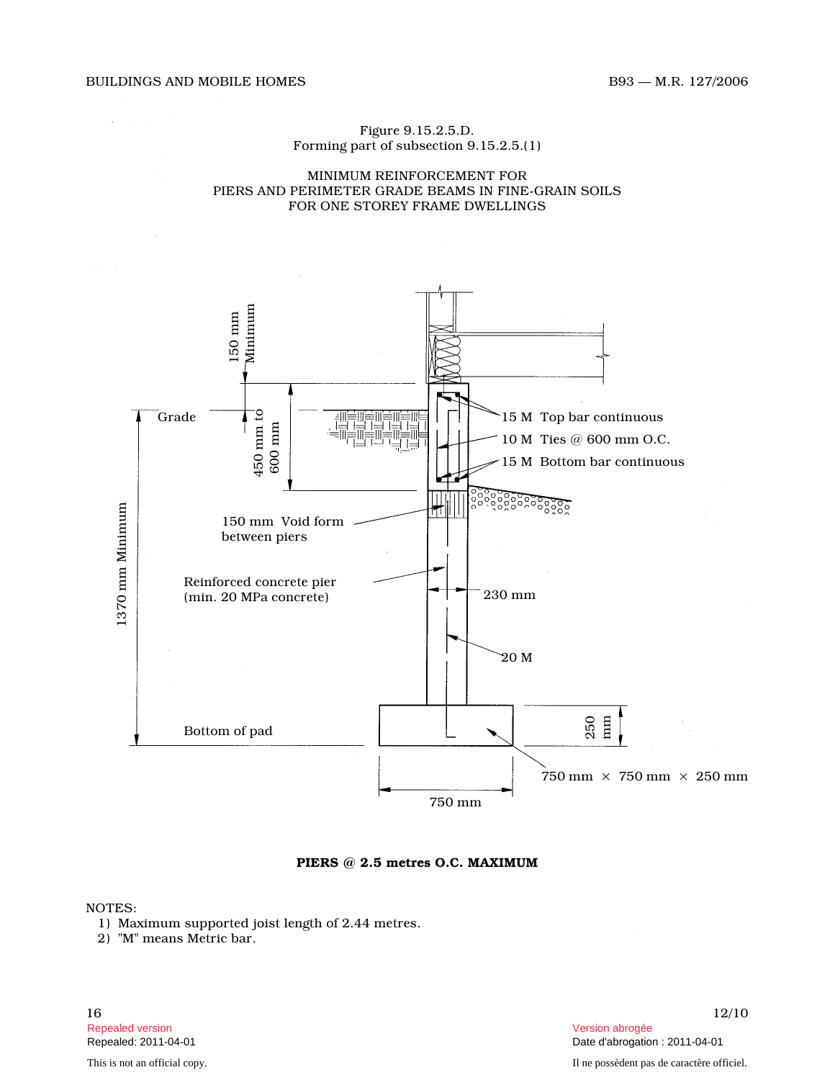Figure 9.15.2.5.D. Forming part of subsection 9.15.2.5.(1)





PIERS @ 2.5 metres O.C. MAXIMUM

NOTES:

- 1) Maximum supported joist length of 2.44 metres.
- 2) "M" means Metric bar.

Repealed version version abrogée (1999) and the set of the set of the set of the set of the set of the set of the set of the set of the set of the set of the set of the set of the set of the set of the set of the set of th

Date d'abrogation : 2011-04-01 This is not an official copy. Il ne possèdent pas de caractère officiel.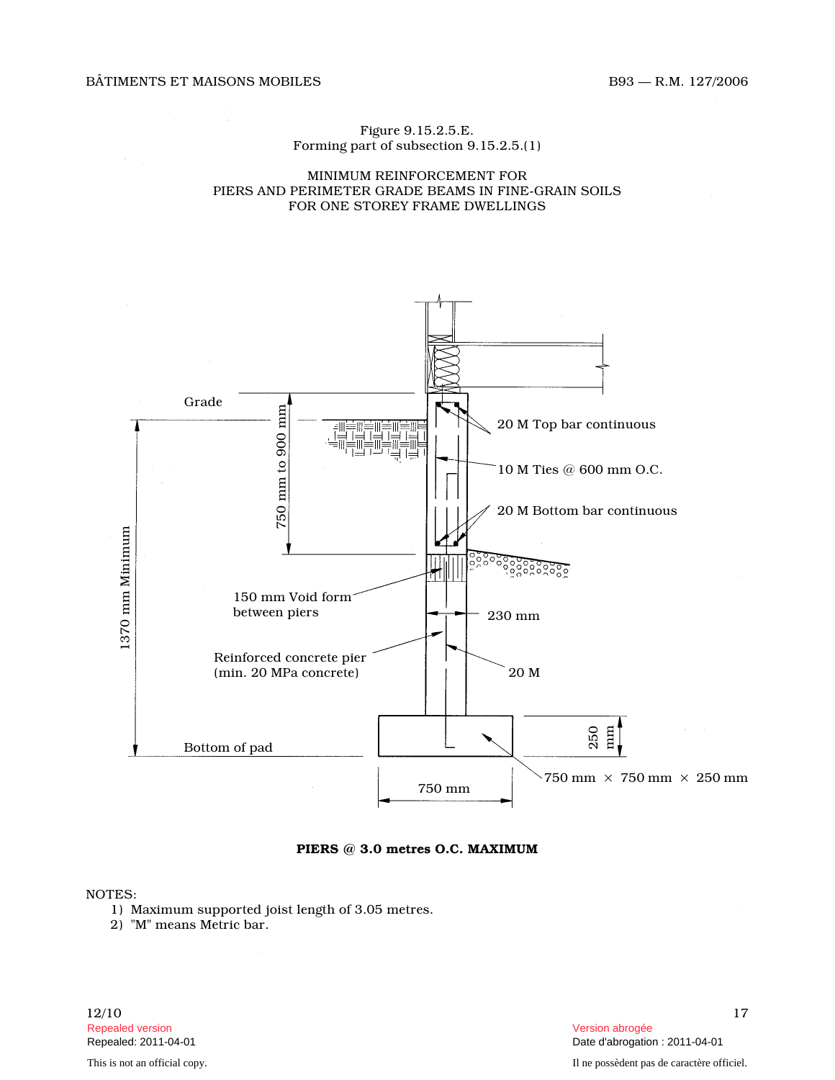## BÂTIMENTS ET MAISONS MOBILES B93 — R.M. 127/2006

Figure 9.15.2.5.E. Forming part of subsection 9.15.2.5.(1)

#### MINIMUM REINFORCEMENT FOR PIERS AND PERIMETER GRADE BEAMS IN FINE-GRAIN SOILS FOR ONE STOREY FRAME DWELLINGS



PIERS @ 3.0 metres O.C. MAXIMUM

#### NOTES:

- 1) Maximum supported joist length of 3.05 metres.
- 2) "M" means Metric bar.

Repealed version Version abrogée

Date d'abrogation : 2011-04-01 This is not an official copy. Il ne possèdent pas de caractère officiel.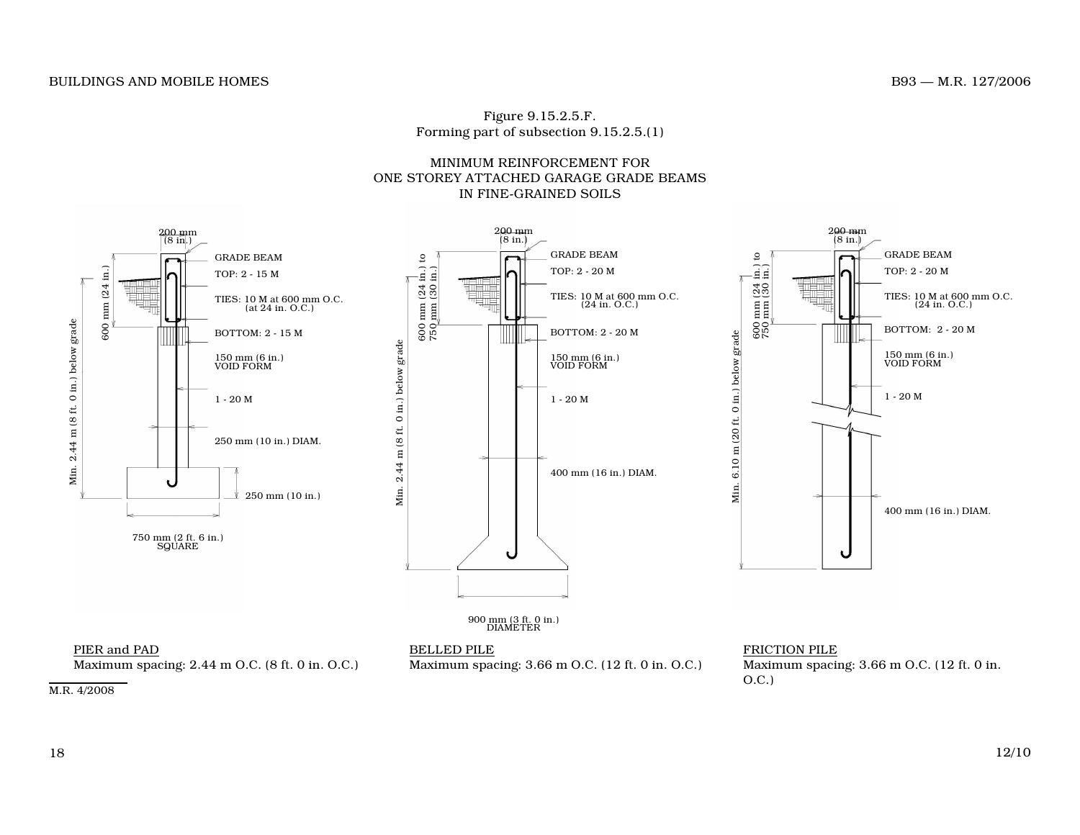#### Figure 9.15.2.5.F. Forming part of subsection 9.15.2.5.(1)

#### MINIMUM REINFORCEMENT FOR ONE STOREY ATTACHED GARAGE GRADE BEAMS IN FINE-GRAINED SOILS



#### PIER and PAD

Maximum spacing: 2.44 m O.C. (8 ft. 0 in. O.C.)



Maximum spacing: 3.66 m O.C. (12 ft. 0 in. O.C.)

FRICTION PILE Maximum spacing: 3.66 m O.C. (12 ft. 0 in. O.C.)

M.R. 4/2008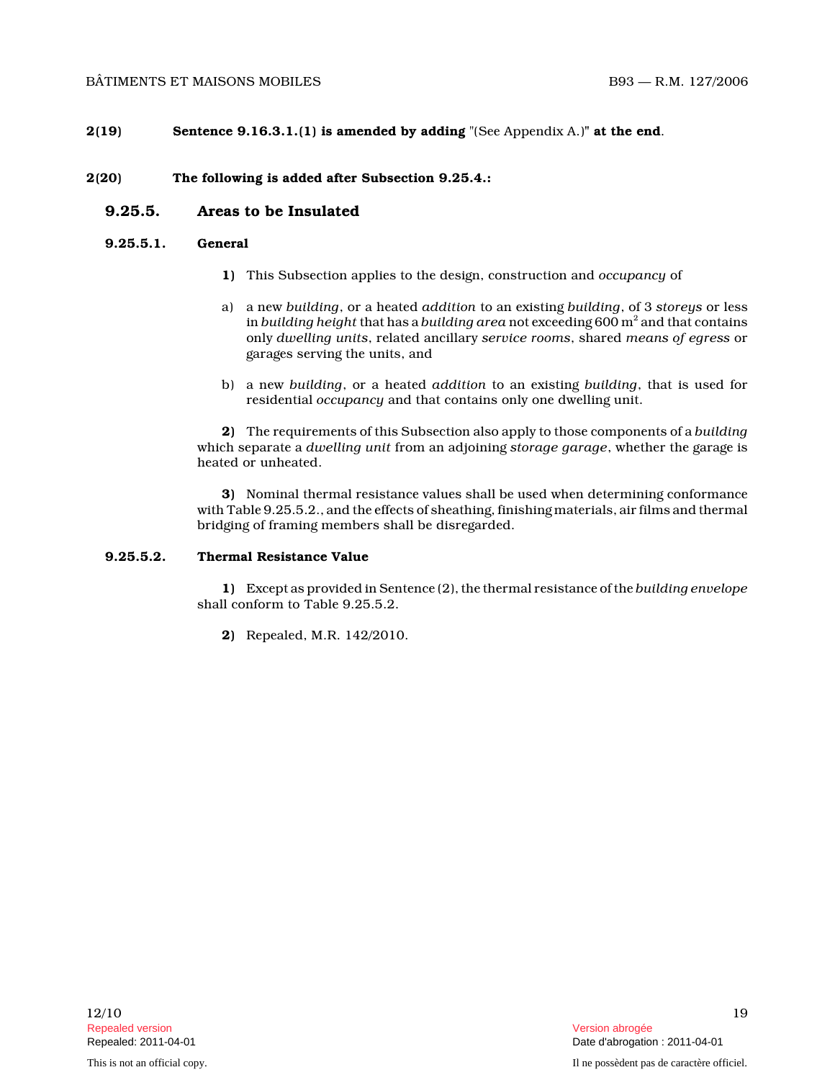## $2(19)$  Sentence  $9.16.3.1.(1)$  is amended by adding "(See Appendix A.)" at the end.

#### 2(20) The following is added after Subsection 9.25.4.:

## 9.25.5. Areas to be Insulated

#### 9.25.5.1. General

- 1) This Subsection applies to the design, construction and occupancy of
- a) a new building, or a heated addition to an existing building, of 3 storeys or less in *building height that has a building area* not exceeding 600  $\mathrm{m}^2$  and that contains only dwelling units, related ancillary service rooms, shared means of egress or garages serving the units, and
- b) a new building, or a heated addition to an existing building, that is used for residential occupancy and that contains only one dwelling unit.

2) The requirements of this Subsection also apply to those components of a building which separate a dwelling unit from an adjoining storage garage, whether the garage is heated or unheated.

3) Nominal thermal resistance values shall be used when determining conformance with Table 9.25.5.2., and the effects of sheathing, finishing materials, air films and thermal bridging of framing members shall be disregarded.

## 9.25.5.2. Thermal Resistance Value

1) Except as provided in Sentence (2), the thermal resistance of the building envelope shall conform to Table 9.25.5.2.

2) Repealed, M.R. 142/2010.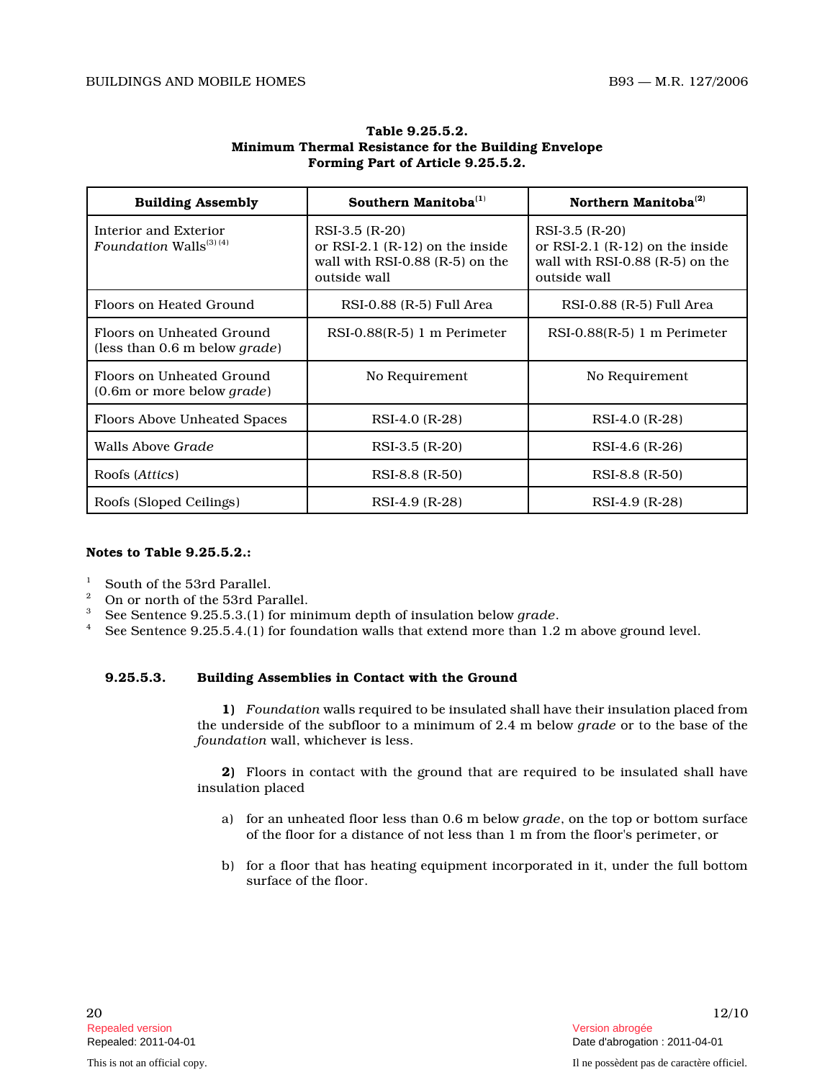| <b>Building Assembly</b>                                    | Southern Manitoba $(1)$                                                                                      | Northern Manitoba $^{(2)}$                                                                                   |
|-------------------------------------------------------------|--------------------------------------------------------------------------------------------------------------|--------------------------------------------------------------------------------------------------------------|
| Interior and Exterior<br>Foundation Walls <sup>(3)(4)</sup> | RSI-3.5 (R-20)<br>or $RSI-2.1$ $(R-12)$ on the inside<br>wall with $RSI-0.88$ $(R-5)$ on the<br>outside wall | RSI-3.5 (R-20)<br>or $RSI-2.1$ $(R-12)$ on the inside<br>wall with $RSI-0.88$ $(R-5)$ on the<br>outside wall |
| Floors on Heated Ground                                     | RSI-0.88 (R-5) Full Area                                                                                     | RSI-0.88 (R-5) Full Area                                                                                     |
| Floors on Unheated Ground<br>(less than 0.6 m below grade)  | $RSI-0.88(R-5)$ 1 m Perimeter                                                                                | $RSI-0.88(R-5)$ 1 m Perimeter                                                                                |
| Floors on Unheated Ground<br>$(0.6m)$ or more below grade)  | No Requirement                                                                                               | No Requirement                                                                                               |
| <b>Floors Above Unheated Spaces</b>                         | RSI-4.0 (R-28)                                                                                               | RSI-4.0 (R-28)                                                                                               |
| Walls Above Grade                                           | RSI-3.5 (R-20)                                                                                               | RSI-4.6 (R-26)                                                                                               |
| Roofs (Attics)                                              | RSI-8.8 (R-50)                                                                                               | RSI-8.8 (R-50)                                                                                               |
| Roofs (Sloped Ceilings)                                     | RSI-4.9 (R-28)                                                                                               | RSI-4.9 (R-28)                                                                                               |

#### Table 9.25.5.2. Minimum Thermal Resistance for the Building Envelop e Forming Part of Article 9.25.5.2.

#### Notes to Table 9.25.5.2.:

- <sup>1</sup> South of the 53rd Parallel.
- <sup>2</sup> On or north of the 53rd Parallel.<br><sup>3</sup> See Sentence 9.25.5.3.(1) for min
- <sup>3</sup> See Sentence 9.25.5.3.(1) for minimum depth of insulation below grade.
- <sup>4</sup> See Sentence 9.25.5.4.(1) for foundation walls that extend more than 1.2 m above ground level.

#### 9.25.5.3. Building Assemblies in Contact with the Ground

1) Foundation walls required to be insulated shall have their insulation placed from the underside of the subfloor to a minimum of 2.4 m below grade or to the base of the foundation wall, whichever is less.

2) Floors in contact with the ground that are required to be insulated shall have insulation placed

- a) for an unheated floor less than 0.6 m below grade, on the top or bottom surface of the floor for a distance of not less than 1 m from the floor's perimeter, or
- b) for a floor that has heating equipment incorporated in it, under the full bottom surface of the floor.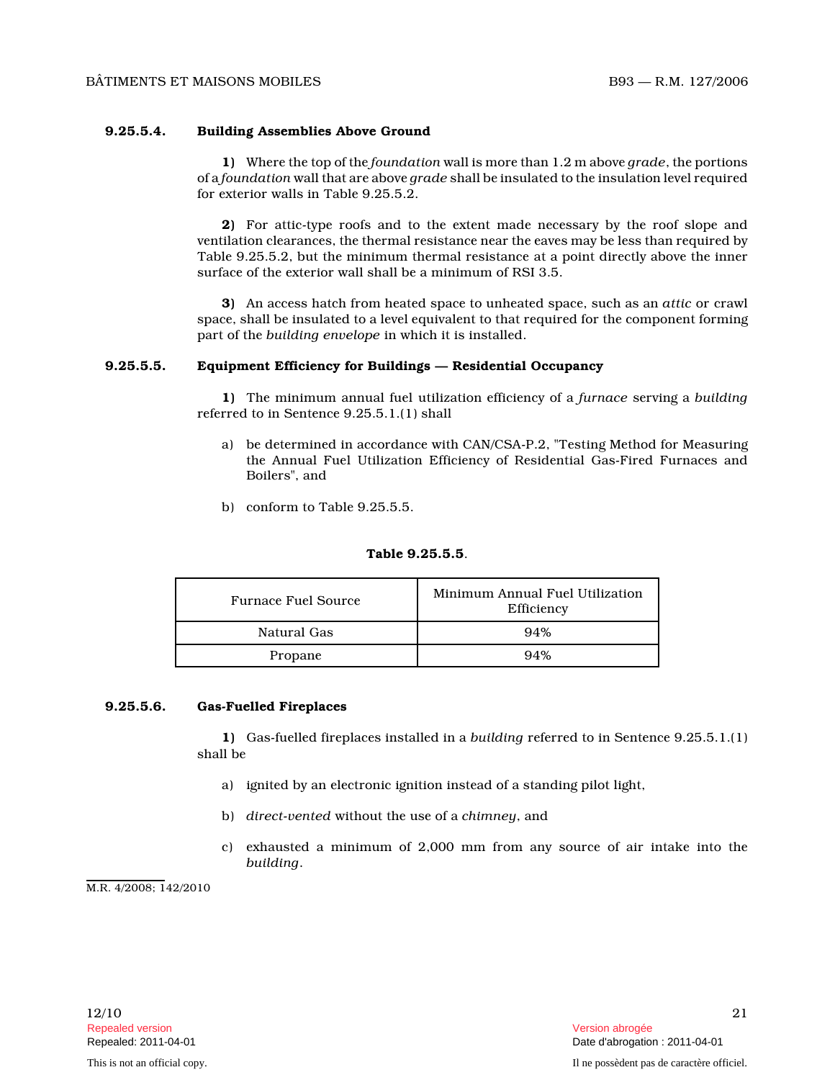#### 9.25.5.4. Building Assemblies Above Ground

1) Where the top of the foundation wall is more than 1.2 m above grade, the portions of a foundation wall that are above  $grade$  shall be insulated to the insulation level required for exterior walls in Table 9.25.5.2.

2) For attic-type roofs and to the extent made necessary by the roof slope and ventilation clearances, the thermal resistance near the eaves may be less than required by Table 9.25.5.2, but the minimum thermal resistance at a point directly above the inner surface of the exterior wall shall be a minimum of RSI 3.5.

3) An access hatch from heated space to unheated space, such as an attic or crawl space, shall be insulated to a level equivalent to that required for the component forming part of the building envelope in which it is installed.

#### 9.25.5.5. Equipment Efficiency for Buildings — Residential Occupancy

1) The minimum annual fuel utilization efficiency of a furnace serving a building referred to in Sentence 9.25.5.1.(1) shall

- a) be determined in accordance with CAN/CSA-P.2, "Testing Method for Measuring the Annual Fuel Utilization Efficiency of Residential Gas-Fired Furnaces and Boilers", and
- b) conform to Table 9.25.5.5.

#### Table 9.25.5.5 .

| <b>Furnace Fuel Source</b> | Minimum Annual Fuel Utilization<br>Efficiency |
|----------------------------|-----------------------------------------------|
| Natural Gas                | 94%                                           |
| Propane                    | 94%                                           |

#### 9.25.5.6. Gas-Fuelled Fireplaces

1) Gas-fuelled fireplaces installed in a building referred to in Sentence 9.25.5.1.(1) shall be

- a) ignited by an electronic ignition instead of a standing pilot light,
- b) direct-vented without the use of a chimney, and
- c) exhausted a minimum of 2,000 mm from any source of air intake into the building .

M.R. 4/2008; 142/2010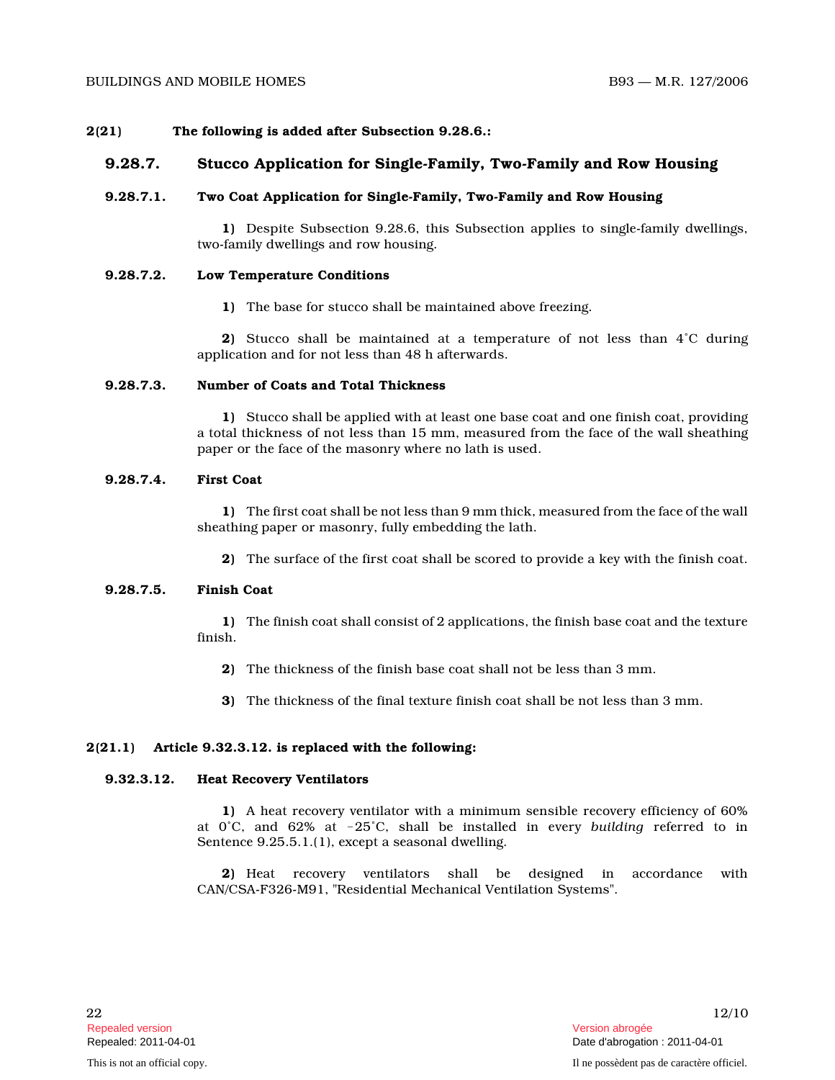#### 2(21) The following is added after Subsection 9.28.6.:

#### 9.28.7. Stucco Application for Single-Family, Two-Family and Row Housing

#### 9.28.7.1. Two Coat Application for Single-Family, Two-Family and Row Housing

1) Despite Subsection 9.28.6, this Subsection applies to single-family dwellings, two-family dwellings and row housing.

#### 9.28.7.2. Low Temperature Conditions

1) The base for stucco shall be maintained above freezing.

2) Stucco shall be maintained at a temperature of not less than  $4^{\circ}$ C during application and for not less than 48 h afterwards.

#### 9.28.7.3. Number of Coats and Total Thickness

1) Stucco shall be applied with at least one base coat and one finish coat, providing a total thickness of not less than 15 mm, measured from the face of the wall sheathing paper or the face of the masonry where no lath is used.

## 9.28.7.4. First Coat

1) The first coat shall be not less than 9 mm thick, measured from the face of the wall sheathing paper or masonry, fully embedding the lath.

2) The surface of the first coat shall be scored to provide a key with the finish coat.

#### 9.28.7.5. Finish Coat

1) The finish coat shall consist of 2 applications, the finish base coat and the texture finish.

- 2) The thickness of the finish base coat shall not be less than 3 mm.
- 3) The thickness of the final texture finish coat shall be not less than 3 mm.

#### 2(21.1) Article 9.32.3.12. is replaced with the following:

#### 9.32.3.12. Heat Recovery Ventilators

1) A heat recovery ventilator with a minimum sensible recovery efficiency of 60% at 0°C, and 62% at -25°C, shall be installed in every building referred to in Sentence 9.25.5.1.(1), except a seasonal dwelling.

2) Heat recovery ventilators shall be designed in accordance with CAN/CSA-F326-M91, "Residential Mechanical Ventilation Systems".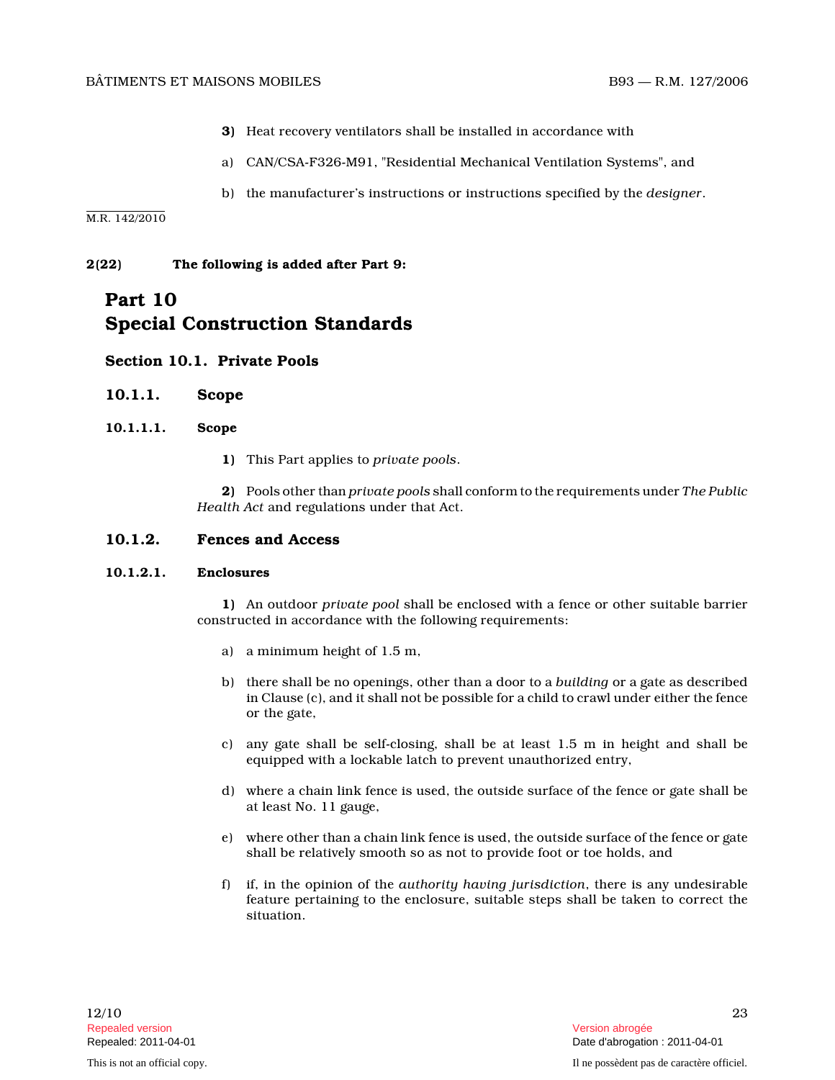- 3) Heat recovery ventilators shall be installed in accordance with
- a) CAN/CSA-F326-M91, "Residential Mechanical Ventilation Systems", and
- b) the manufacturer's instructions or instructions specified by the designer .

M.R. 142/2010

#### 2(22) The following is added after Part 9:

## Part 10 Special Construction Standards

## Section 10.1. Private Pools

#### 10.1.1. Scope

#### 10.1.1.1. Scope

1) This Part applies to private pools .

2) Pools other than *private pools* shall conform to the requirements under The Public Health Act and regulations under that Act.

## 10.1.2. Fences and Access

#### 10.1.2.1. Enclosures

1) An outdoor private pool shall be enclosed with a fence or other suitable barrier constructed in accordance with the following requirements:

- a) a minimum height of 1.5 m,
- b) there shall be no openings, other than a door to a building or a gate as described in Clause (c), and it shall not be possible for a child to crawl under either the fence or the gate,
- c) any gate shall be self-closing, shall be at least 1.5 m in height and shall be equipped with a lockable latch to prevent unauthorized entry,
- d) where a chain link fence is used, the outside surface of the fence or gate shall be at least No. 11 gauge,
- e) where other than a chain link fence is used, the outside surface of the fence or gate shall be relatively smooth so as not to provide foot or toe holds, and
- f) if, in the opinion of the authority having jurisdiction, there is any undesirable feature pertaining to the enclosure, suitable steps shall be taken to correct the situation.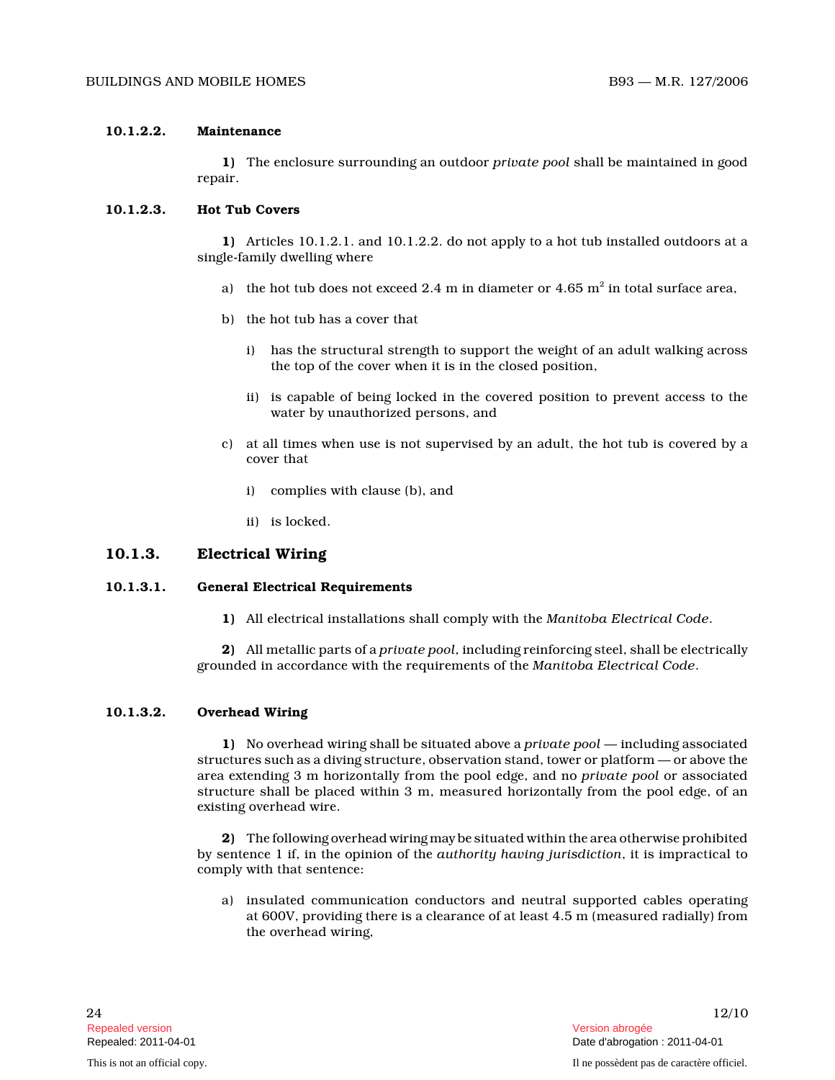#### 10.1.2.2. Maintenance

1) The enclosure surrounding an outdoor private pool shall be maintained in good repair.

#### 10.1.2.3. Hot Tub Covers

1) Articles 10.1.2.1. and 10.1.2.2. do not apply to a hot tub installed outdoors at a single-family dwelling where

- a) the hot tub does not exceed 2.4 m in diameter or 4.65  $\mathrm{m}^{2}$  in total surface area,
- b) the hot tub has a cover that
	- i) has the structural strength to support the weight of an adult walking across the top of the cover when it is in the closed position,
	- ii) is capable of being locked in the covered position to prevent access to the water by unauthorized persons, and
- c) at all times when use is not supervised by an adult, the hot tub is covered by a cover that
	- i) complies with clause (b), and
	- ii) is locked.

## 10.1.3. Electrical Wiring

#### 10.1.3.1. General Electrical Requirements

1) All electrical installations shall comply with the Manitoba Electrical Code .

 ${\bf 2)}$  - All metallic parts of a  $private$   $pool$ , including reinforcing steel, shall be electrically grounded in accordance with the requirements of the Manitoba Electrical Code .

#### 10.1.3.2. Overhead Wiring

1) No overhead wiring shall be situated above a private pool — including associated structures such as a diving structure, observation stand, tower or platform — or above the area extending 3 m horizontally from the pool edge, and no private pool or associated structure shall be placed within 3 m, measured horizontally from the pool edge, of an existing overhead wire.

2) The following overhead wiring may be situated within the area otherwise prohibited by sentence 1 if, in the opinion of the authority having jurisdiction, it is impractical to comply with that sentence:

a) insulated communication conductors and neutral supported cables operating at 600V, providing there is a clearance of at least 4.5 m (measured radially) from the overhead wiring,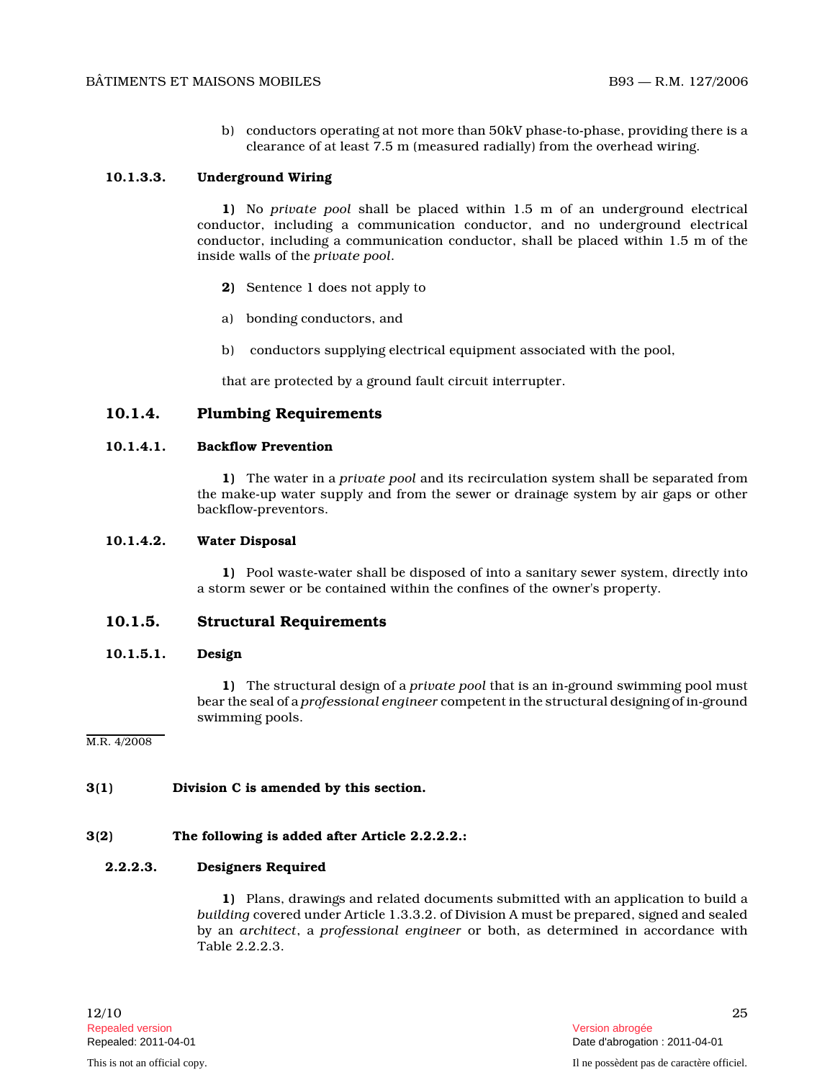b) conductors operating at not more than 50kV phase-to-phase, providing there is a clearance of at least 7.5 m (measured radially) from the overhead wiring.

#### 10.1.3.3. Underground Wiring

1) No private pool shall be placed within 1.5 m of an underground electrical conductor, including a communication conductor, and no underground electrical conductor, including a communication conductor, shall be placed within 1.5 m of the inside walls of the private pool.

- 2) Sentence 1 does not apply to
- a) bonding conductors, and
- b) conductors supplying electrical equipment associated with the pool,

that are protected by a ground fault circuit interrupter.

## 10.1.4. Plumbing Requirements

#### 10.1.4.1. Backflow Prevention

1) The water in a private pool and its recirculation system shall be separated from the make-up water supply and from the sewer or drainage system by air gaps or other backflow-preventors.

#### 10.1.4.2. Water Disposal

1) Pool waste-water shall be disposed of into a sanitary sewer system, directly into a storm sewer or be contained within the confines of the owner's property.

### 10.1.5. Structural Requirements

#### 10.1.5.1. Design

1) The structural design of a private pool that is an in-ground swimming pool must bear the seal of a professional engineer competent in the structural designing of in-ground swimming pools.

M.R. 4/2008

#### 3(1) Division C is amended by this section.

#### 3(2) The following is added after Article 2.2.2.2.:

#### 2.2.2.3. Designers Required

1) Plans, drawings and related documents submitted with an application to build a building covered under Article 1.3.3.2. of Division A must be prepared, signed and sealed by an architect, a professional engineer or both, as determined in accordance with Table 2.2.2.3.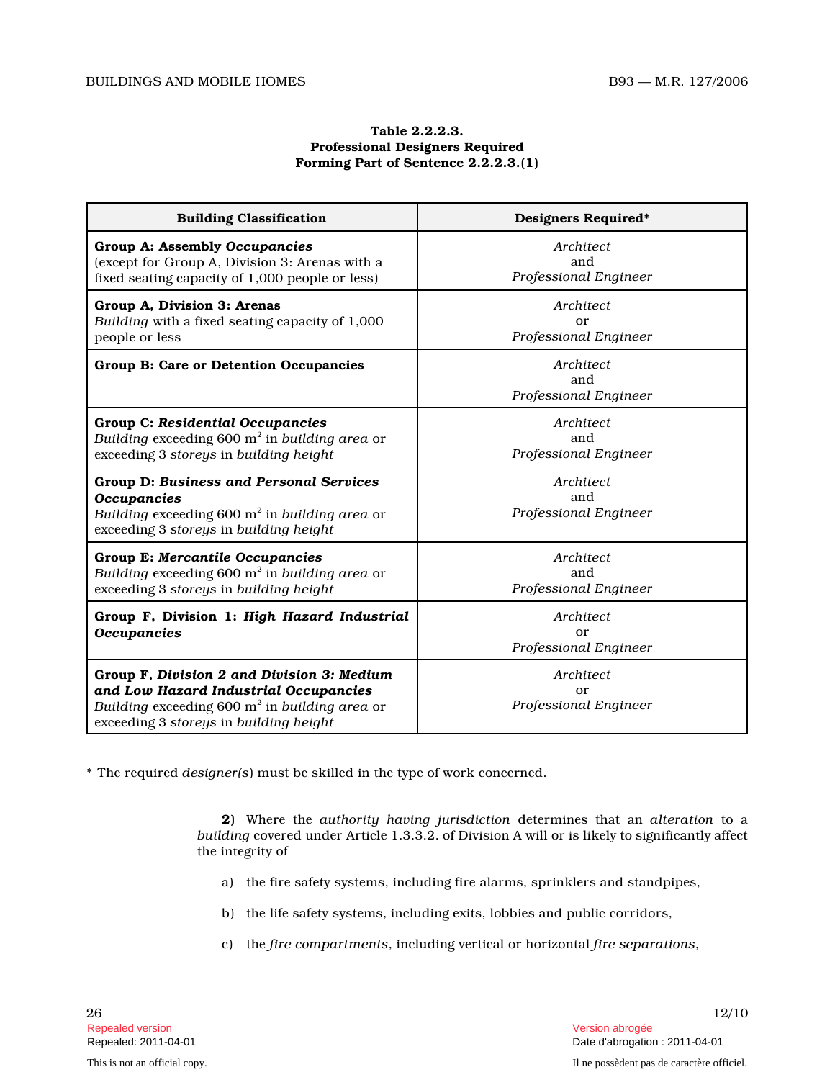#### Table 2.2.2.3. Professional Designers Required Forming Part of Sentence 2.2.2.3.(1)

| <b>Building Classification</b>                                                                                                                                                    | Designers Required*                       |
|-----------------------------------------------------------------------------------------------------------------------------------------------------------------------------------|-------------------------------------------|
| <b>Group A: Assembly Occupancies</b><br>(except for Group A, Division 3: Arenas with a<br>fixed seating capacity of 1,000 people or less)                                         | Architect<br>and<br>Professional Engineer |
| Group A, Division 3: Arenas<br>Building with a fixed seating capacity of 1,000<br>people or less                                                                                  | Architect<br>or<br>Professional Engineer  |
| Group B: Care or Detention Occupancies                                                                                                                                            | Architect<br>and<br>Professional Engineer |
| Group C: Residential Occupancies<br>Building exceeding $600 \text{ m}^2$ in building area or<br>exceeding 3 storeys in building height                                            | Architect<br>and<br>Professional Engineer |
| <b>Group D: Business and Personal Services</b><br>Occupancies<br>Building exceeding $600 \text{ m}^2$ in building area or<br>exceeding 3 storeys in building height               | Architect<br>and<br>Professional Engineer |
| <b>Group E: Mercantile Occupancies</b><br>Building exceeding $600 \text{ m}^2$ in building area or<br>exceeding 3 storeys in building height                                      | Architect<br>and<br>Professional Engineer |
| Group F, Division 1: High Hazard Industrial<br>Occupancies                                                                                                                        | Architect<br>or<br>Professional Engineer  |
| Group F, Division 2 and Division 3: Medium<br>and Low Hazard Industrial Occupancies<br>Building exceeding 600 $m^2$ in building area or<br>exceeding 3 storeys in building height | Architect<br>or<br>Professional Engineer  |

\* The required designer(s) must be skilled in the type of work concerned.

2) Where the authority having jurisdiction determines that an alteration to a building covered under Article 1.3.3.2. of Division A will or is likely to significantly affect the integrity of

- a) the fire safety systems, including fire alarms, sprinklers and standpipes,
- b) the life safety systems, including exits, lobbies and public corridors,
- c) the fire compartments, including vertical or horizontal fire separations ,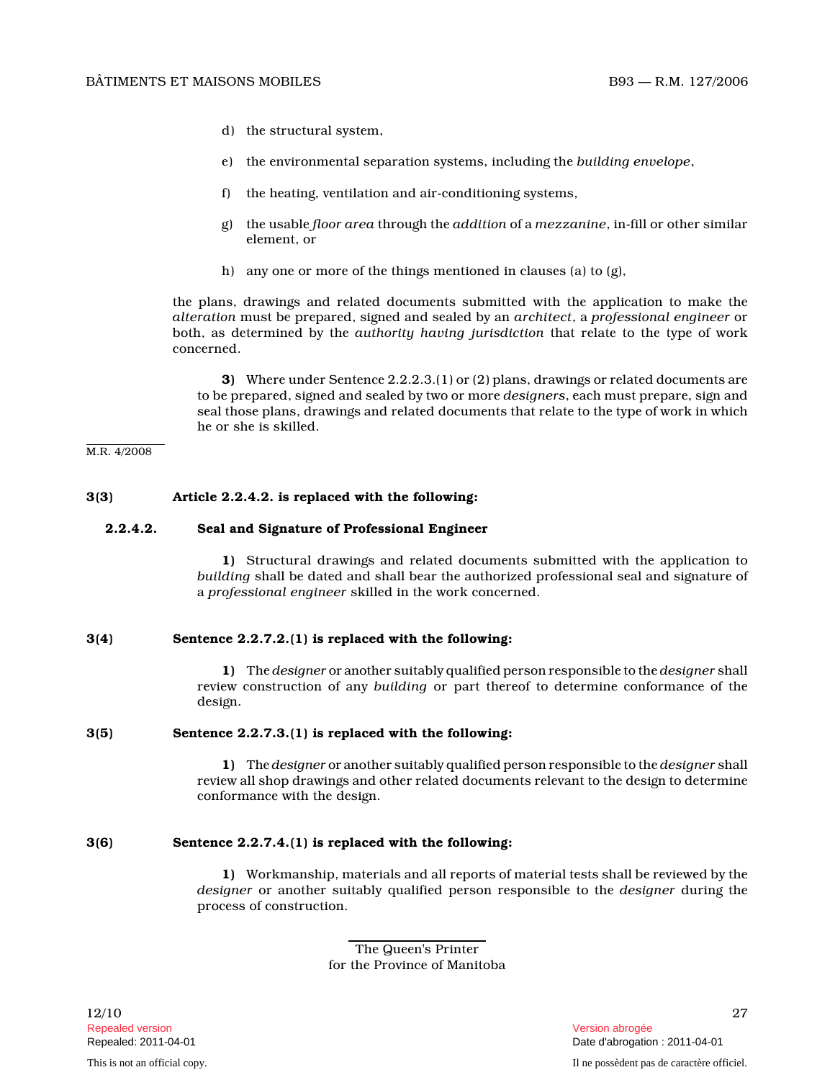- d) the structural system,
- e) the environmental separation systems, including the building envelope,
- f) the heating, ventilation and air-conditioning systems,
- g) the usable floor area through the addition of a mezzanine, in-fill or other similar element, or
- h) any one or more of the things mentioned in clauses (a) to (g),

the plans, drawings and related documents submitted with the application to make the alteration must be prepared, signed and sealed by an architect, a professional engineer or both, as determined by the authority having jurisdiction that relate to the type of work concerned.

3) Where under Sentence 2.2.2.3.(1) or (2) plans, drawings or related documents are to be prepared, signed and sealed by two or more designers, each must prepare, sign and seal those plans, drawings and related documents that relate to the type of work in which he or she is skilled.

M.R. 4/2008

#### 3(3) Article 2.2.4.2. is replaced with the following :

## 2.2.4.2. Seal and Signature of Professional Engineer

1) Structural drawings and related documents submitted with the application to building shall be dated and shall bear the authorized professional seal and signature of a professional engineer skilled in the work concerned.

#### 3(4) Sentence 2.2.7.2.(1) is replaced with the following:

1) The designer or another suitably qualified person responsible to the designer shall review construction of any building or part thereof to determine conformance of the design.

#### 3(5) Sentence 2.2.7.3.(1) is replaced with the following:

1) The designer or another suitably qualified person responsible to the designer shall review all shop drawings and other related documents relevant to the design to determine conformance with the design.

#### 3(6) Sentence 2.2.7.4.(1) is replaced with the following:

1) Workmanship, materials and all reports of material tests shall be reviewed by the designer or another suitably qualified person responsible to the designer during the process of construction.

> The Queen's Printer for the Province of Manitoba

This is not an official copy. Il ne possèdent pas de caractère officiel.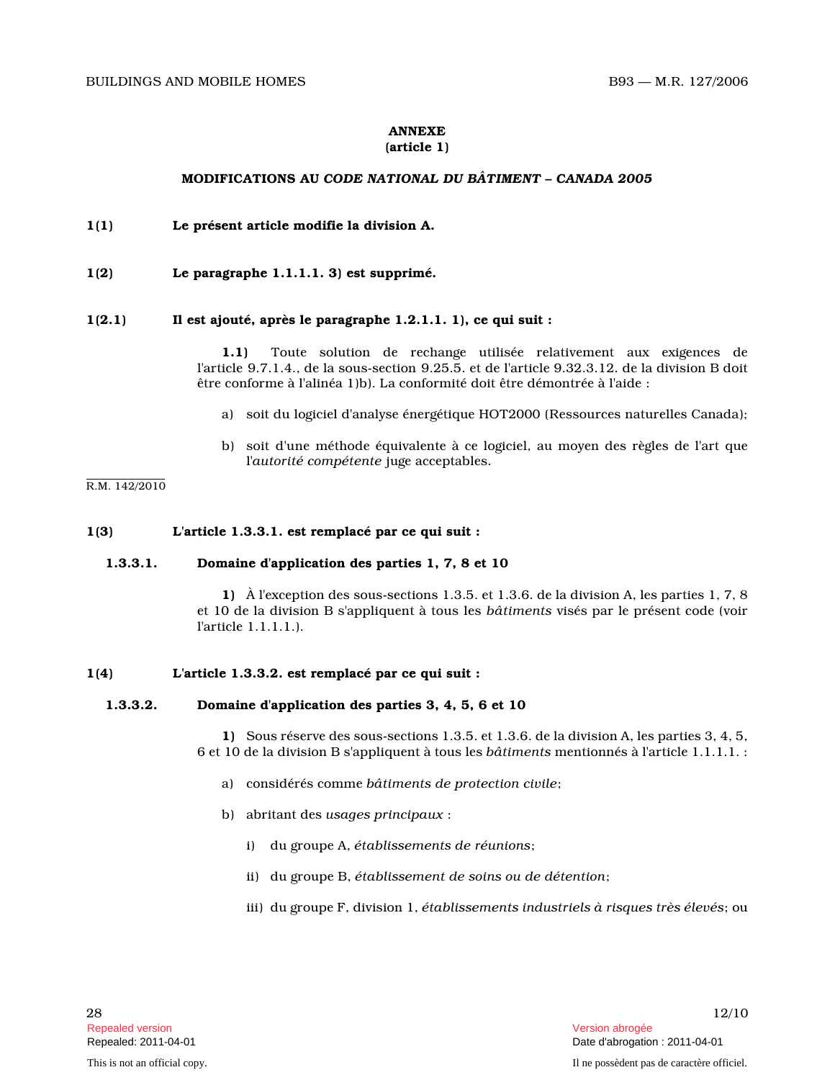## ANNEXE

#### (article 1)

#### MODIFICATIONS AU CODE NATIONAL DU BÂTIMENT – CANADA 2005

- 1(1) Le présent article modifie la division A.
- 1(2) Le paragraphe 1.1.1.1. 3) est supprimé.

#### 1(2.1) Il est ajouté, après le paragraphe 1.2.1.1. 1), ce qui suit :

1.1) Toute solution de rechange utilisée relativement aux exigences de l'article 9.7.1.4., de la sous-section 9.25.5. et de l'article 9.32.3.12. de la division B doit être conforme à l'alinéa 1)b). La conformité doit être démontrée à l'aide :

- a) soit du logiciel d'analyse énergétique HOT2000 (Ressources naturelles Canada);
- b) soit d'une méthode équivalente à ce logiciel, au moyen des règles de l'art que l'autorité compétente juge acceptables.

R.M. 142/2010

#### 1(3) L'article 1.3.3.1. est remplacé par ce qui suit :

#### 1.3.3.1. Domaine d'application des parties 1, 7, 8 et 10

1) À l'exception des sous-sections 1.3.5. et 1.3.6. de la division A, les parties 1, 7, 8 et 10 de la division B s'appliquent à tous les bâtiments visés par le présent code (voir l'article 1.1.1.1.).

#### 1(4) L'article 1.3.3.2. est remplacé par ce qui suit :

#### 1.3.3.2. Domaine d'application des parties 3, 4, 5, 6 et 10

1) Sous réserve des sous-sections 1.3.5. et 1.3.6. de la division A, les parties 3, 4, 5, 6 et 10 de la division B s'appliquent à tous les bâtiments mentionnés à l'article 1.1.1.1. :

- a) considérés comme bâtiments de protection civile;
- b) abritant des usages principaux :
	- i) du groupe A, établissements de réunions;
	- ii) du groupe B, établissement de soins ou de détention;
	- iii) du groupe F, division 1, établissements industriels à risques très élevés; ou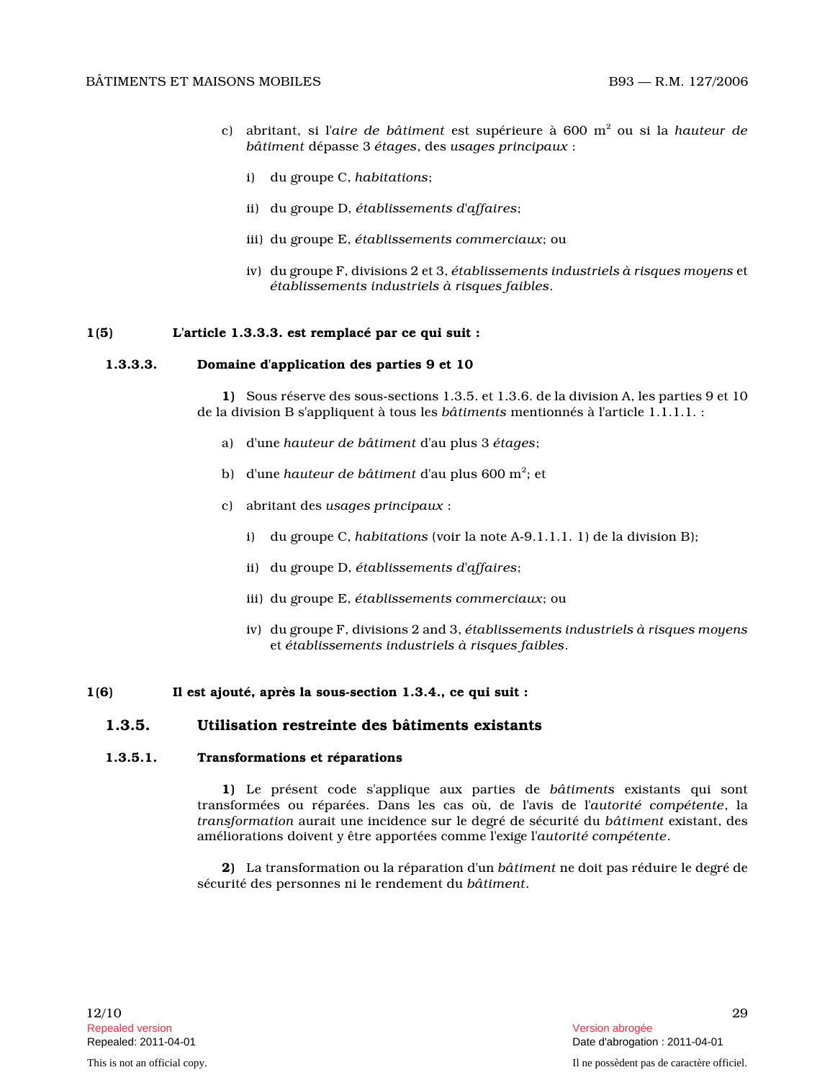- c) abritant, si l'aire de bâtiment est supérieure à 600 m $^2$  ou si la hauteur de bâtiment dépasse 3 étages, des usages principaux :
	- i) du groupe C, habitations;
	- ii) du groupe D, établissements d'affaires ;
	- iii) du groupe E, établissements commerciaux; ou
	- iv) du groupe F, divisions 2 et 3, établissements industriels à risques moyens et établissements industriels à risques faibles .

#### 1(5) L'article 1.3.3.3. est remplacé par ce qui suit :

#### 1.3.3.3. Domaine d'application des parties 9 et 10

1) Sous réserve des sous-sections 1.3.5. et 1.3.6. de la division A, les parties 9 et 10 de la division B s'appliquent à tous les bâtiments mentionnés à l'article 1.1.1.1. :

- a) d'une *hauteur de bâtiment* d'au plus 3 *étages*;
- b) d'une *hauteur de bâtiment* d'au plus 600 m<sup>2</sup>; et
- c) abritant des usages principaux :
	- i) du groupe C, habitations (voir la note A-9.1.1.1. 1) de la division B);
	- ii) du groupe D, établissements d'affaires;
	- iii) du groupe E, établissements commerciaux; ou
	- iv) du groupe F, divisions 2 and 3, établissements industriels à risques moyens et établissements industriels à risques faibles .

#### 1(6) Il est ajouté, après la sous-section 1.3.4., ce qui suit :

## 1.3.5. Utilisation restreinte des bâtiments existant s

#### 1.3.5.1. Transformations et réparations

1) Le présent code s'applique aux parties de bâtiments existants qui sont transformées ou réparées. Dans les cas où, de l'avis de l'autorité compétente, la transformation aurait une incidence sur le degré de sécurité du bâtiment existant, des améliorations doivent y être apportées comme l'exige l'autorité compétente .

2) La transformation ou la réparation d'un bâtiment ne doit pas réduire le degré de sécurité des personnes ni le rendement du bâtiment .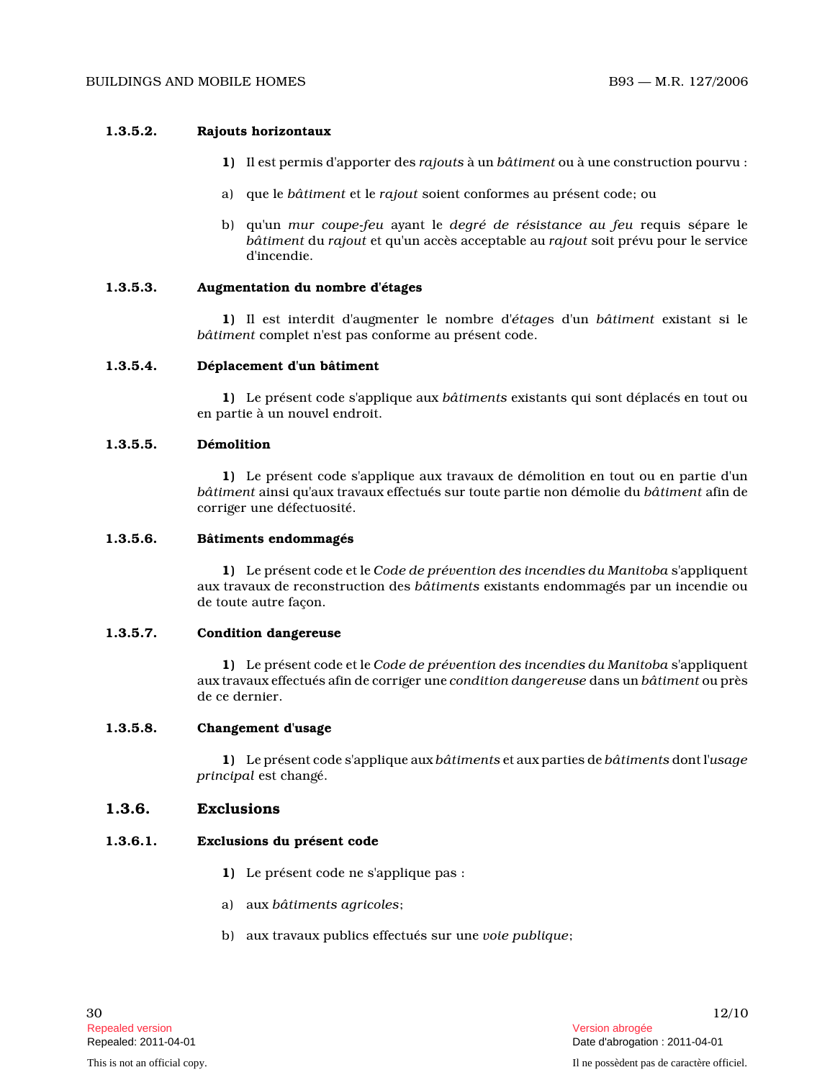#### 1.3.5.2. Rajouts horizontaux

- 1) Il est permis d'apporter des rajouts à un bâtiment ou à une construction pourvu :
- a) que le bâtiment et le rajout soient conformes au présent code; ou
- b) qu'un mur coupe-feu ayant le degré de résistance au feu requis sépare le bâtiment du rajout et qu'un accès acceptable au rajout soit prévu pour le service d'incendie.

#### 1.3.5.3. Augmentation du nombre d'étages

1) Il est interdit d'augmenter le nombre d'étages d'un bâtiment existant si le bâtiment complet n'est pas conforme au présent code.

#### 1.3.5.4. Déplacement d'un bâtiment

1) Le présent code s'applique aux bâtiments existants qui sont déplacés en tout ou en partie à un nouvel endroit.

#### 1.3.5.5. Démolition

1) Le présent code s'applique aux travaux de démolition en tout ou en partie d'un bâtiment ainsi qu'aux travaux effectués sur toute partie non démolie du bâtiment afin de corriger une défectuosité.

#### 1.3.5.6. Bâtiments endommagés

1) Le présent code et le Code de prévention des incendies du Manitoba s'appliquent aux travaux de reconstruction des bâtiments existants endommagés par un incendie ou de toute autre façon.

#### 1.3.5.7. Condition dangereuse

1) Le présent code et le Code de prévention des incendies du Manitoba s'appliquent aux travaux effectués afin de corriger une condition dangereuse dans un bâtiment ou près de ce dernier.

#### 1.3.5.8. Changement d'usage

1) Le présent code s'applique aux bâtiments et aux parties de bâtiments dont l'usage principal est changé.

#### 1.3.6. Exclusions

#### 1.3.6.1. Exclusions du présent code

- 1) Le présent code ne s'applique pas :
- a) aux bâtiments agricoles ;
- b) aux travaux publics effectués sur une voie publique;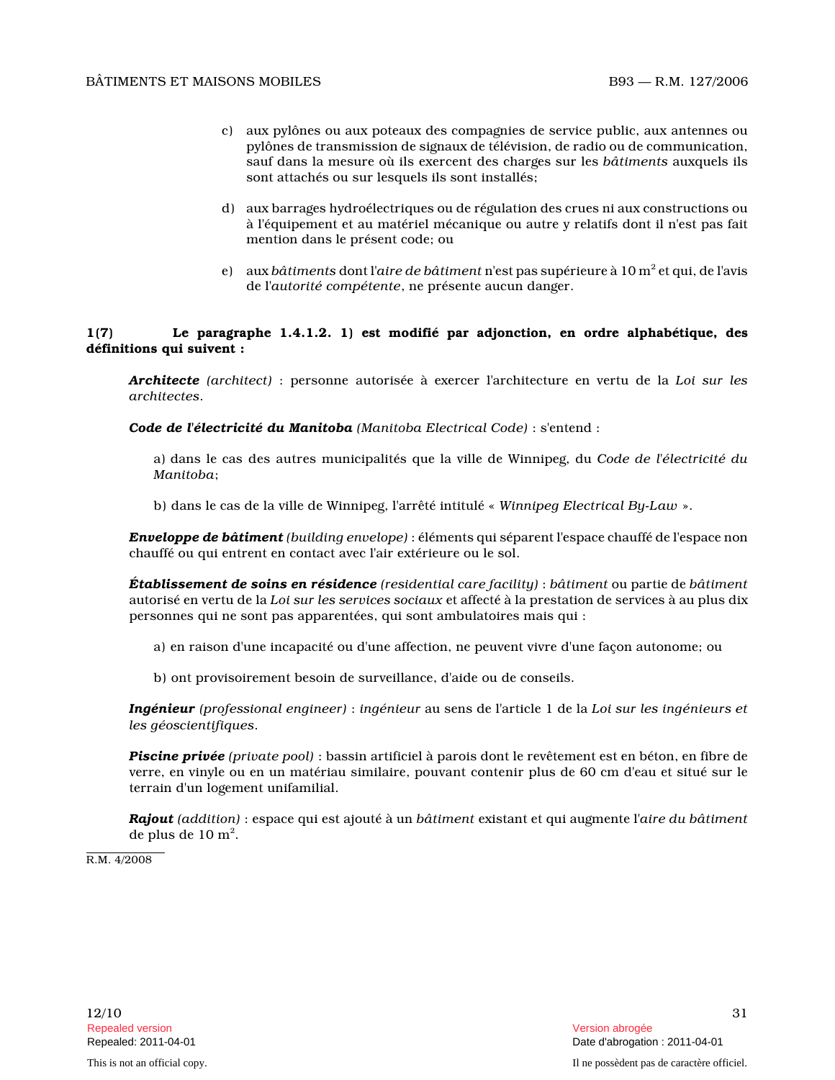- c) aux pylônes ou aux poteaux des compagnies de service public, aux antennes ou pylônes de transmission de signaux de télévision, de radio ou de communication, sauf dans la mesure où ils exercent des charges sur les bâtiments auxquels ils sont attachés ou sur lesquels ils sont installés;
- d) aux barrages hydroélectriques ou de régulation des crues ni aux constructions ou à l'équipement et au matériel mécanique ou autre y relatifs dont il n'est pas fait mention dans le présent code; ou
- e)  $\;$  aux  $b$ â $t$ iments dont l'aire de bâ $t$ imen $t$  n'est pas supérieure à 10 m $^2$  et qui, de l'avis de l'autorité compétente, ne présente aucun danger.

#### 1(7) Le paragraphe 1.4.1.2. 1) est modifié par adjonction, en ordre alphabétique, des définitions qui suivent :

Architecte (architect) : personne autorisée à exercer l'architecture en vertu de la Loi sur les architectes .

Code de l'électricité du Manitoba (Manitoba Electrical Code) : s'entend :

a) dans le cas des autres municipalités que la ville de Winnipeg, du Code de l'électricité du Manitoba ;

b) dans le cas de la ville de Winnipeg, l'arrêté intitulé « Winnipeg Electrical By-Law ».

Enveloppe de bâtiment (building envelope) : éléments qui séparent l'espace chauffé de l'espace non chauffé ou qui entrent en contact avec l'air extérieure ou le sol.

Établissement de soins en résidence (residential care facility) : bâtiment ou partie de bâtiment autorisé en vertu de la Loi sur les services sociaux et affecté à la prestation de services à au plus dix personnes qui ne sont pas apparentées, qui sont ambulatoires mais qui :

a) en raison d'une incapacité ou d'une affection, ne peuvent vivre d'une façon autonome; ou

b) ont provisoirement besoin de surveillance, d'aide ou de conseils.

Ingénieur (professional engineer) : ingénieur au sens de l'article 1 de la Loi sur les ingénieurs et les géoscientifiques .

Piscine privée (private pool) : bassin artificiel à parois dont le revêtement est en béton, en fibre de verre, en vinyle ou en un matériau similaire, pouvant contenir plus de 60 cm d'eau et situé sur le terrain d'un logement unifamilial.

Rajout (addition) : espace qui est ajouté à un bâtiment existant et qui augmente l'aire du bâtiment de plus de 10 m 2 .

R.M. 4/2008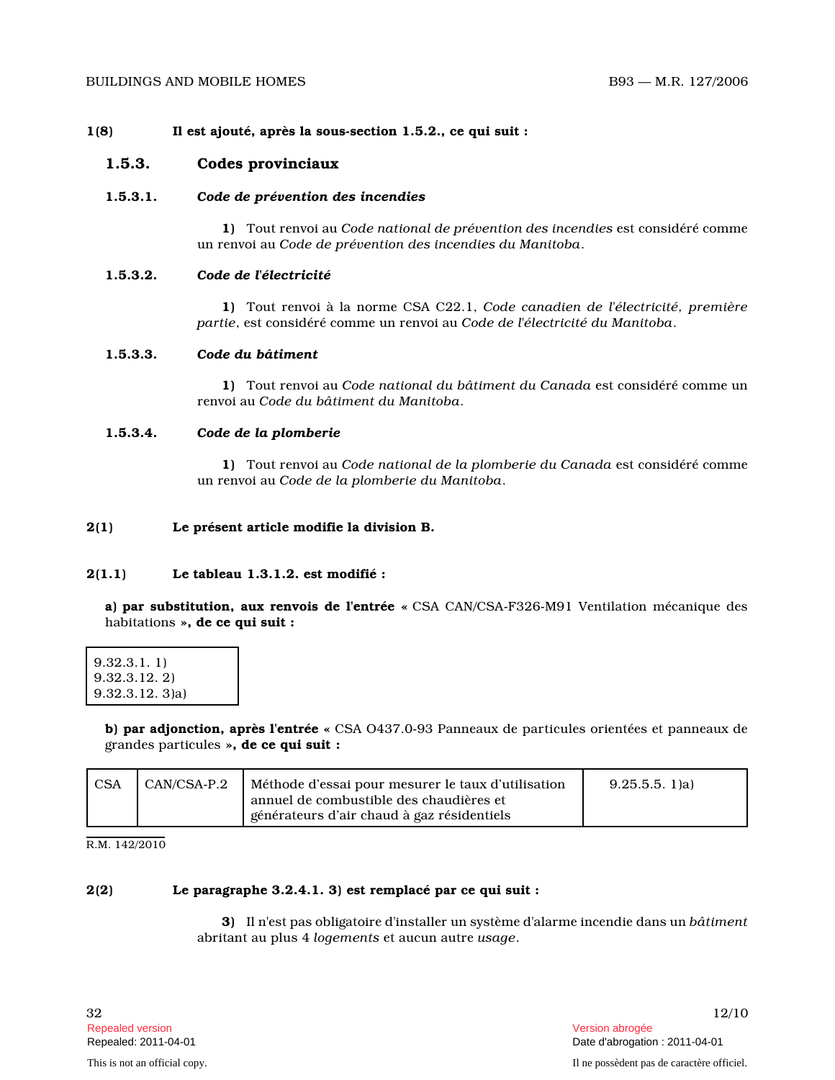#### 1(8) Il est ajouté, après la sous-section 1.5.2., ce qui suit :

#### 1.5.3. Codes provinciaux

#### 1.5.3.1. Code de prévention des incendies

1) Tout renvoi au Code national de prévention des incendies est considéré comme un renvoi au Code de prévention des incendies du Manitoba .

#### 1.5.3.2. Code de l'électricité

1) Tout renvoi à la norme CSA C22.1, Code canadien de l'électricité, première partie, est considéré comme un renvoi au Code de l'électricité du Manitoba .

#### 1.5.3.3. Code du bâtiment

1) Tout renvoi au Code national du bâtiment du Canada est considéré comme un renvoi au Code du bâtiment du Manitoba .

#### 1.5.3.4. Code de la plomberie

1) Tout renvoi au Code national de la plomberie du Canada est considéré comme un renvoi au Code de la plomberie du Manitoba .

## 2(1) Le présent article modifie la division B.

#### $2(1.1)$  Le tableau 1.3.1.2. est modifié :

a) par substitution, aux renvois de l'entrée « CSA CAN/CSA-F326-M91 Ventilation mécanique des habitations », de ce qui suit :

| 9.32.3.1.1      |  |
|-----------------|--|
| 9.32.3.12.2     |  |
| $9.32.3.12.3$ a |  |

b) par adjonction, après l'entrée « CSA O437.0-93 Panneaux de particules orientées et panneaux de grandes particules », de ce qui suit :

| <b>CSA</b> | CAN/CSA-P.2 | Méthode d'essai pour mesurer le taux d'utilisation<br>annuel de combustible des chaudières et<br>générateurs d'air chaud à gaz résidentiels | $9.25.5.5.1$ )a |
|------------|-------------|---------------------------------------------------------------------------------------------------------------------------------------------|-----------------|
|------------|-------------|---------------------------------------------------------------------------------------------------------------------------------------------|-----------------|

R.M. 142/2010

#### 2(2) Le paragraphe 3.2.4.1. 3) est remplacé par ce qui suit :

3) Il n'est pas obligatoire d'installer un système d'alarme incendie dans un bâtiment abritant au plus 4 logements et aucun autre usage .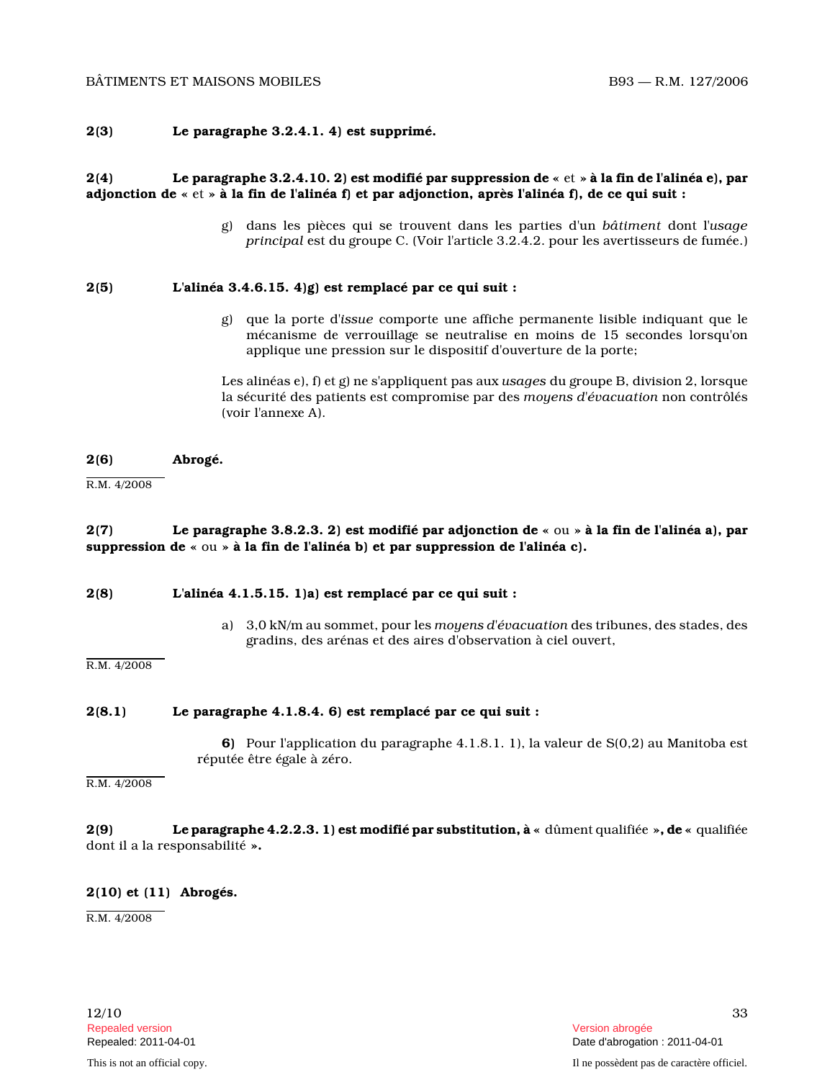#### BÂTIMENTS ET MAISONS MOBILES B93 — R.M. 127/2006

#### 2(3) Le paragraphe 3.2.4.1. 4) est supprimé.

#### $2(4)$  Le paragraphe 3.2.4.10. 2) est modifié par suppression de « et » à la fin de l'alinéa e), par adjonction de « et » à la fin de l'alinéa f) et par adjonction, après l'alinéa f), de ce qui suit :

g) dans les pièces qui se trouvent dans les parties d'un bâtiment dont l'usage principal est du groupe C. (Voir l'article 3.2.4.2. pour les avertisseurs de fumée.)

#### 2(5) L'alinéa 3.4.6.15. 4)g) est remplacé par ce qui suit :

g) que la porte d'issue comporte une affiche permanente lisible indiquant que le mécanisme de verrouillage se neutralise en moins de 15 secondes lorsqu'on applique une pression sur le dispositif d'ouverture de la porte;

Les alinéas e), f) et g) ne s'appliquent pas aux usages du groupe B, division 2, lorsque la sécurité des patients est compromise par des moyens d'évacuation non contrôlés (voir l'annexe A).

#### 2(6) Abrogé.

#### R.M. 4/2008

## 2(7) Le paragraphe 3.8.2.3. 2) est modifié par adjonction de « ou » à la fin de l'alinéa a), par suppression de « ou » à la fin de l'alinéa b) et par suppression de l'alinéa c).

#### 2(8) L'alinéa 4.1.5.15. 1)a) est remplacé par ce qui suit :

a) 3,0 kN/m au sommet, pour les moyens d'évacuation des tribunes, des stades, des gradins, des arénas et des aires d'observation à ciel ouvert,

R.M. 4/2008

#### 2(8.1) Le paragraphe 4.1.8.4. 6) est remplacé par ce qui suit :

6) Pour l'application du paragraphe 4.1.8.1. 1), la valeur de S(0,2) au Manitoba est réputée être égale à zéro.

R.M. 4/2008

#### 2(9) Le paragraphe 4.2.2.3. 1) est modifié par substitution,  $\dot{a} \times d$  ûment qualifiée », de « qualifiée dont il a la responsabilité ».

## 2(10) et (11) Abrogés.

R.M. 4/2008

Repealed version Version abrogée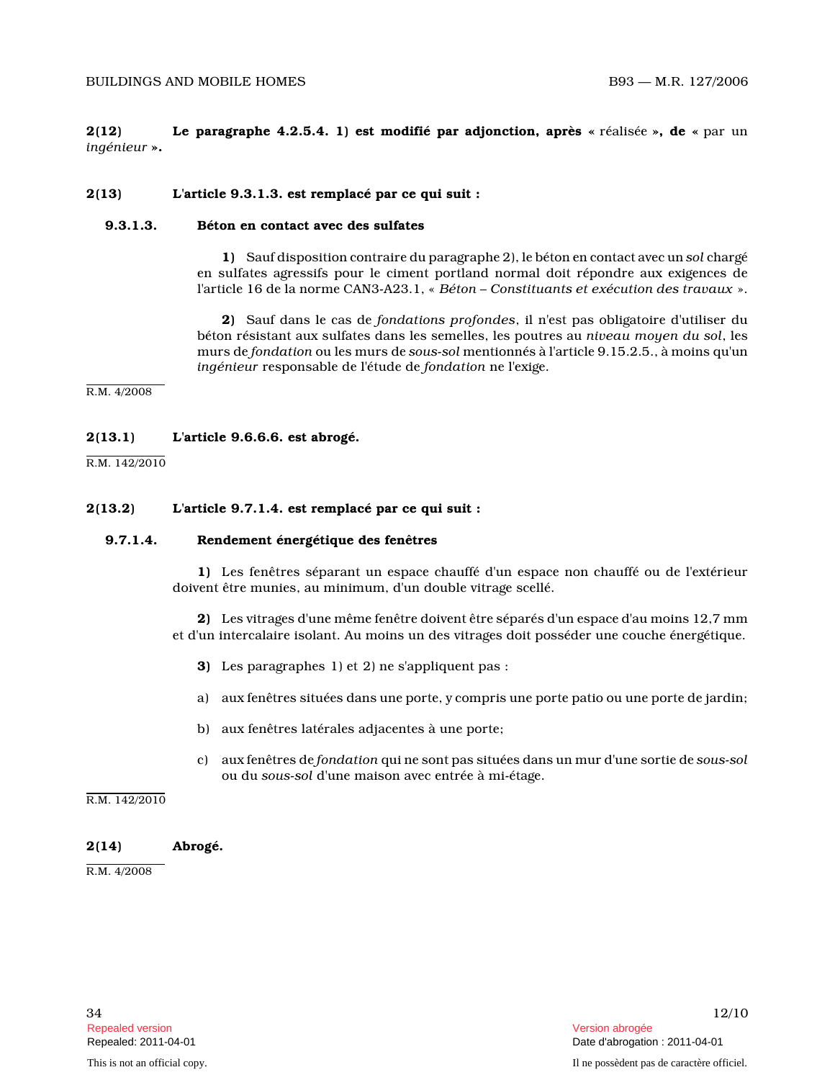$2(12)$  Le paragraphe 4.2.5.4. 1) est modifié par adjonction, après « réalisée », de « par un ingénieur ».

#### 2(13) L'article 9.3.1.3. est remplacé par ce qui suit :

#### 9.3.1.3. Béton en contact avec des sulfates

1) Sauf disposition contraire du paragraphe 2), le béton en contact avec un sol chargé en sulfates agressifs pour le ciment portland normal doit répondre aux exigences de l'article 16 de la norme CAN3-A23.1, « Béton – Constituants et exécution des travaux ».

2) Sauf dans le cas de fondations profondes, il n'est pas obligatoire d'utiliser du béton résistant aux sulfates dans les semelles, les poutres au niveau moyen du sol, les murs de fondation ou les murs de sous-sol mentionnés à l'article 9.15.2.5., à moins qu'un ingénieur responsable de l'étude de fondation ne l'exige.

R.M. 4/2008

#### 2(13.1) L'article 9.6.6.6. est abrogé.

R.M. 142/2010

#### 2(13.2) L'article 9.7.1.4. est remplacé par ce qui suit :

#### 9.7.1.4. Rendement énergétique des fenêtres

1) Les fenêtres séparant un espace chauffé d'un espace non chauffé ou de l'extérieur doivent être munies, au minimum, d'un double vitrage scellé.

2) Les vitrages d'une même fenêtre doivent être séparés d'un espace d'au moins 12,7 mm et d'un intercalaire isolant. Au moins un des vitrages doit posséder une couche énergétique.

- 3) Les paragraphes 1) et 2) ne s'appliquent pas :
- a) aux fenêtres situées dans une porte, y compris une porte patio ou une porte de jardin;
- b) aux fenêtres latérales adjacentes à une porte;
- c) aux fenêtres de fondation qui ne sont pas situées dans un mur d'une sortie de sous-sol ou du sous-sol d'une maison avec entrée à mi-étage.

R.M. 142/2010

#### 2(14) Abrogé.

R.M. 4/2008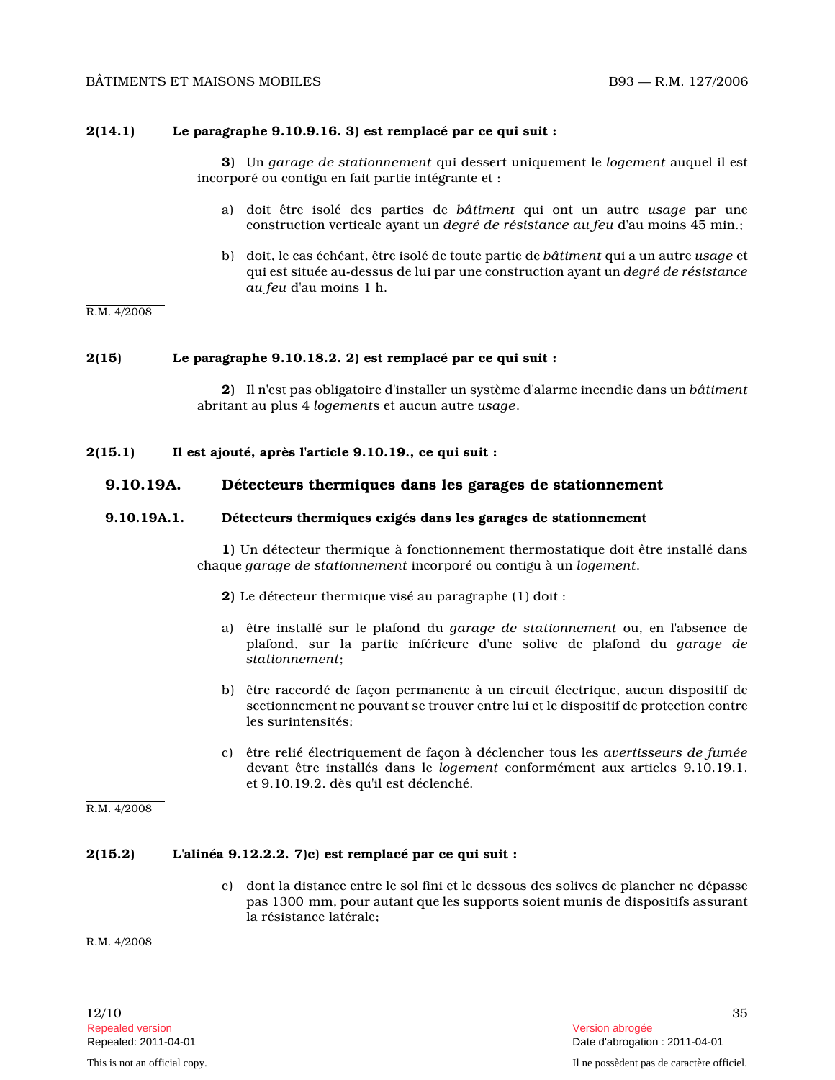#### $2(14.1)$  Le paragraphe 9.10.9.16. 3) est remplacé par ce qui suit :

3) Un garage de stationnement qui dessert uniquement le logement auquel il est incorporé ou contigu en fait partie intégrante et :

- a) doit être isolé des parties de bâtiment qui ont un autre usage par une construction verticale ayant un degré de résistance au feu d'au moins 45 min.;
- b) doit, le cas échéant, être isolé de toute partie de bâtiment qui a un autre usage et qui est située au-dessus de lui par une construction ayant un degré de résistance au feu d'au moins 1 h.

#### R.M. 4/2008

#### 2(15) Le paragraphe 9.10.18.2. 2) est remplacé par ce qui suit :

2) Il n'est pas obligatoire d'installer un système d'alarme incendie dans un bâtiment abritant au plus 4 logements et aucun autre usage .

2(15.1) Il est ajouté, après l'article 9.10.19., ce qui suit :

#### 9.10.19A. Détecteurs thermiques dans les garages de stationnement

#### 9.10.19A.1. Détecteurs thermiques exigés dans les garages de stationnement

1) Un détecteur thermique à fonctionnement thermostatique doit être installé dans chaque garage de stationnement incorporé ou contigu à un logement .

2) Le détecteur thermique visé au paragraphe (1) doit :

- a) être installé sur le plafond du garage de stationnement ou, en l'absence de plafond, sur la partie inférieure d'une solive de plafond du garage de stationnement ;
- b) être raccordé de façon permanente à un circuit électrique, aucun dispositif de sectionnement ne pouvant se trouver entre lui et le dispositif de protection contre les surintensités;
- c) être relié électriquement de façon à déclencher tous les avertisseurs de fumée devant être installés dans le logement conformément aux articles 9.10.19.1. et 9.10.19.2. dès qu'il est déclenché.

R.M. 4/2008

#### 2(15.2) L'alinéa 9.12.2.2. 7)c) est remplacé par ce qui suit :

c) dont la distance entre le sol fini et le dessous des solives de plancher ne dépasse pas 1300 mm, pour autant que les supports soient munis de dispositifs assurant la résistance latérale;

R.M. 4/2008

 $12/10$  35 Repealed version abrogée et al. Alian abrogée et al. Alian abrogée et al. Alian abrogée et al. Alian abrogée e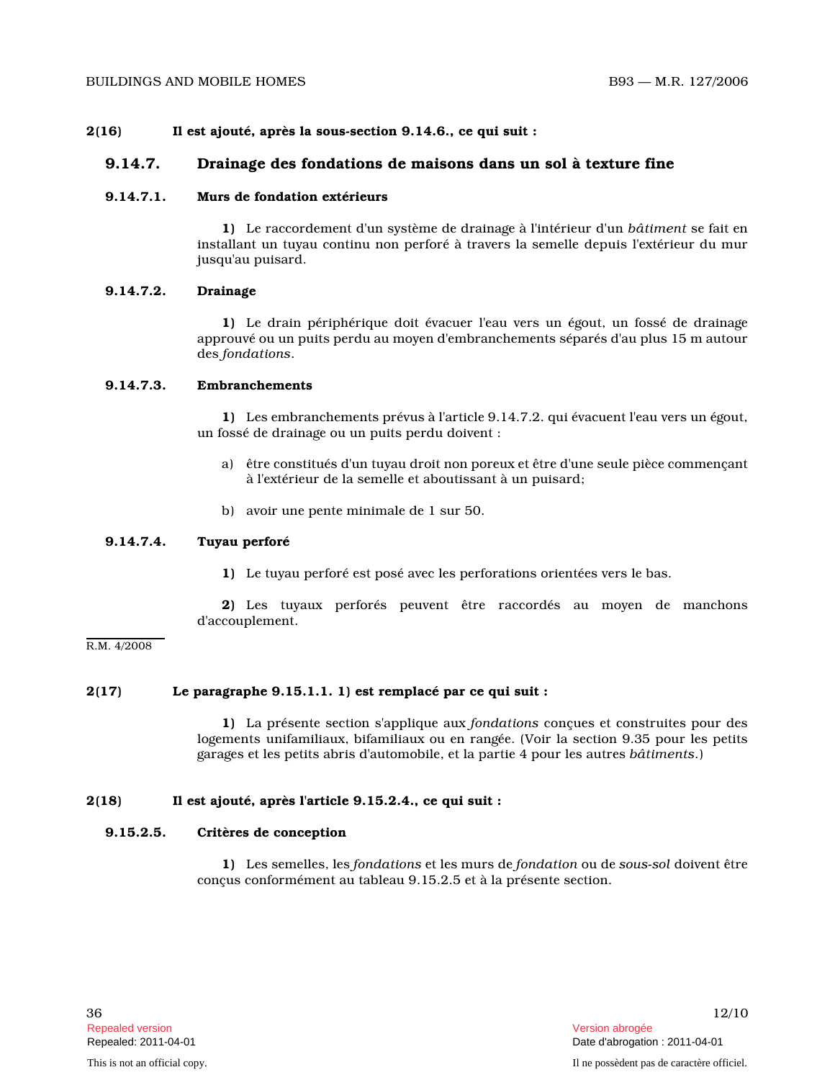#### 2(16) Il est ajouté, après la sous-section 9.14.6., ce qui suit :

#### 9.14.7. Drainage des fondations de maisons dans un sol à texture fine

#### 9.14.7.1. Murs de fondation extérieurs

1) Le raccordement d'un système de drainage à l'intérieur d'un bâtiment se fait en installant un tuyau continu non perforé à travers la semelle depuis l'extérieur du mur jusqu'au puisard.

#### 9.14.7.2. Drainage

1) Le drain périphérique doit évacuer l'eau vers un égout, un fossé de drainage approuvé ou un puits perdu au moyen d'embranchements séparés d'au plus 15 m autour des fondations .

#### 9.14.7.3. Embranchements

1) Les embranchements prévus à l'article 9.14.7.2. qui évacuent l'eau vers un égout, un fossé de drainage ou un puits perdu doivent :

- a) être constitués d'un tuyau droit non poreux et être d'une seule pièce commençant à l'extérieur de la semelle et aboutissant à un puisard;
- b) avoir une pente minimale de 1 sur 50.

## 9.14.7.4. Tuyau perforé

1) Le tuyau perforé est posé avec les perforations orientées vers le bas.

2) Les tuyaux perforés peuvent être raccordés au moyen de manchons d'accouplement.

#### R.M. 4/2008

#### 2(17) Le paragraphe 9.15.1.1. 1) est remplacé par ce qui suit :

1) La présente section s'applique aux fondations conçues et construites pour des logements unifamiliaux, bifamiliaux ou en rangée. (Voir la section 9.35 pour les petits garages et les petits abris d'automobile, et la partie 4 pour les autres bâtiments.)

#### 2(18) Il est ajouté, après l'article 9.15.2.4., ce qui suit :

#### 9.15.2.5. Critères de conception

1) Les semelles, les fondations et les murs de fondation ou de sous-sol doivent être conçus conformément au tableau 9.15.2.5 et à la présente section.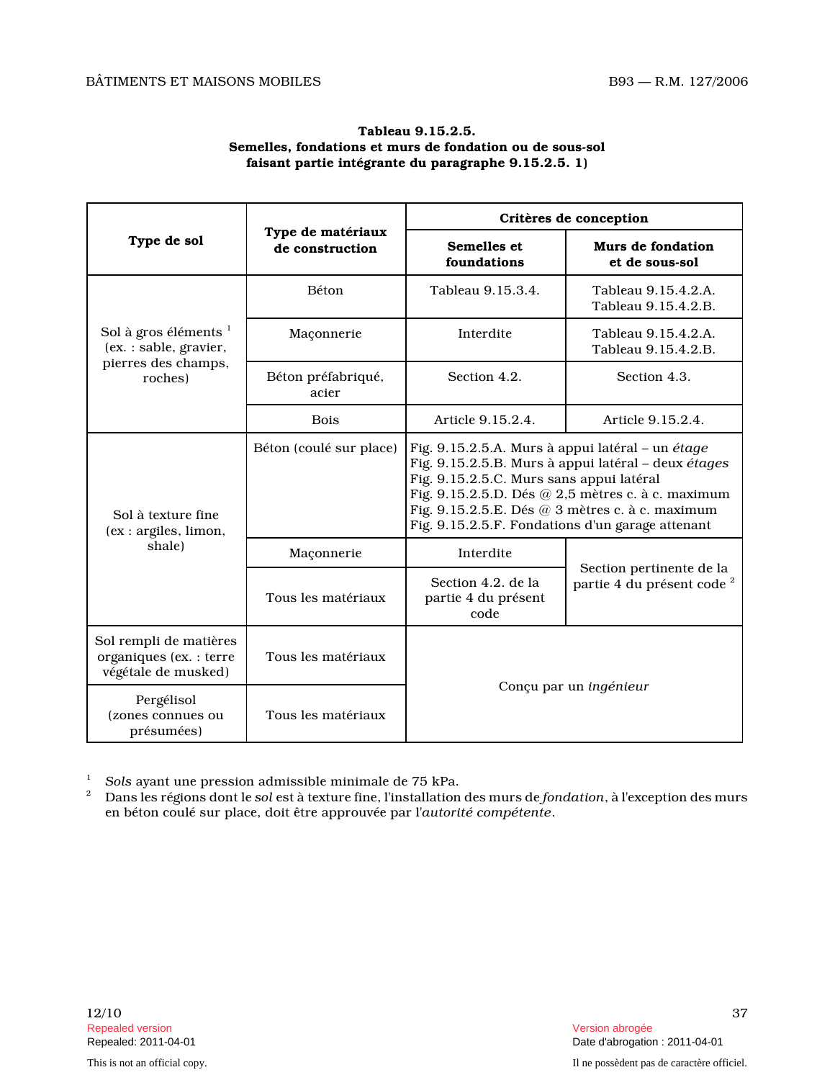| Tableau 9.15.2.5.                                        |  |  |
|----------------------------------------------------------|--|--|
| Semelles, fondations et murs de fondation ou de sous-sol |  |  |
| faisant partie intégrante du paragraphe 9.15.2.5. 1)     |  |  |

|                                                                          | Type de matériaux<br>de construction | Critères de conception                                                                                                                                                                                                                                                                                          |                                                                   |
|--------------------------------------------------------------------------|--------------------------------------|-----------------------------------------------------------------------------------------------------------------------------------------------------------------------------------------------------------------------------------------------------------------------------------------------------------------|-------------------------------------------------------------------|
| Type de sol                                                              |                                      | Semelles et<br>foundations                                                                                                                                                                                                                                                                                      | Murs de fondation<br>et de sous-sol                               |
|                                                                          | <b>Béton</b>                         | Tableau 9.15.3.4.                                                                                                                                                                                                                                                                                               | Tableau 9.15.4.2.A.<br>Tableau 9.15.4.2.B.                        |
| Sol à gros éléments <sup>1</sup><br>(ex.: sable, gravier,                | Maçonnerie                           | Interdite                                                                                                                                                                                                                                                                                                       | Tableau 9.15.4.2.A.<br>Tableau 9.15.4.2.B.                        |
| pierres des champs,<br>roches)                                           | Béton préfabriqué,<br>acier          | Section 4.2.                                                                                                                                                                                                                                                                                                    | Section 4.3.                                                      |
|                                                                          | <b>Bois</b>                          | Article 9.15.2.4.                                                                                                                                                                                                                                                                                               | Article 9.15.2.4.                                                 |
| Sol à texture fine<br>(ex: argiles, limon,                               | Béton (coulé sur place)              | Fig. 9.15.2.5.A. Murs à appui latéral - un étage<br>Fig. 9.15.2.5.B. Murs à appui latéral – deux étages<br>Fig. 9.15.2.5.C. Murs sans appui latéral<br>Fig. 9.15.2.5.D. Dés @ 2,5 mètres c. à c. maximum<br>Fig. 9.15.2.5.E. Dés @ 3 mètres c. à c. maximum<br>Fig. 9.15.2.5.F. Fondations d'un garage attenant |                                                                   |
| shale)                                                                   | Maçonnerie                           | Interdite                                                                                                                                                                                                                                                                                                       |                                                                   |
|                                                                          | Tous les matériaux                   | Section 4.2, de la<br>partie 4 du présent<br>code                                                                                                                                                                                                                                                               | Section pertinente de la<br>partie 4 du présent code <sup>2</sup> |
| Sol rempli de matières<br>organiques (ex. : terre<br>végétale de musked) | Tous les matériaux                   |                                                                                                                                                                                                                                                                                                                 |                                                                   |
| Pergélisol<br>(zones connues ou<br>présumées)                            | Tous les matériaux                   | Conçu par un ingénieur                                                                                                                                                                                                                                                                                          |                                                                   |

<sup>1</sup> Sols ayant une pression admissible minimale de 75 kPa.<br><sup>2</sup> Dans les régions dont le sol est à texture fine l'installation

<sup>2</sup> Dans les régions dont le sol est à texture fine, l'installation des murs de fondation, à l'exception des murs en béton coulé sur place, doit être approuvée par l'autorité compétente .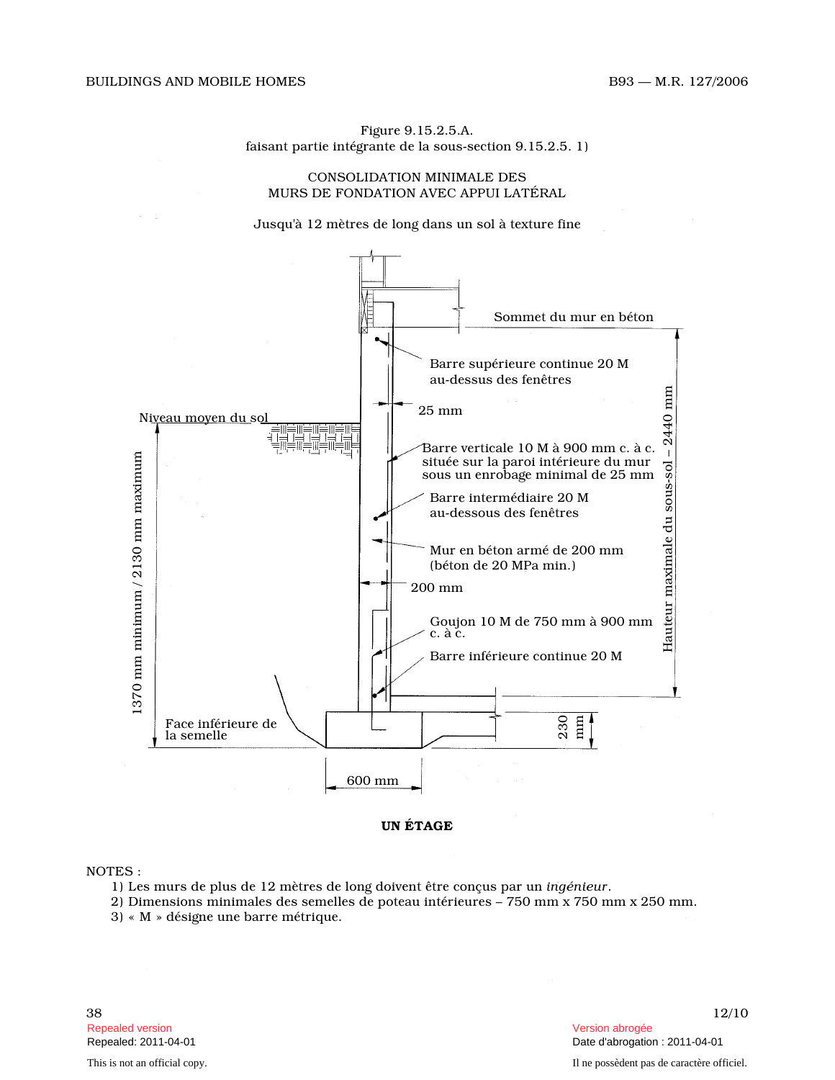Figure 9.15.2.5.A. faisant partie intégrante de la sous-section 9.15.2.5. 1)

#### CONSOLIDATION MINIMALE DES MURS DE FONDATION AVEC APPUI LATÉRAL

Jusqu'à 12 mètres de long dans un sol à texture fin e



#### UN ÉTAGE

#### NOTES :

1) Les murs de plus de 12 mètres de long doivent être conçus par un ingénieur .

2) Dimensions minimales des semelles de poteau intérieures – 750 mm x 750 mm x 250 mm.

3) « M » désigne une barre métrique.

Repealed version Version abrogée

Repealed: 2011-04-01 Date d'abrogation : 2011-04-01

This is not an official copy. Il ne possèdent pas de caractère officiel.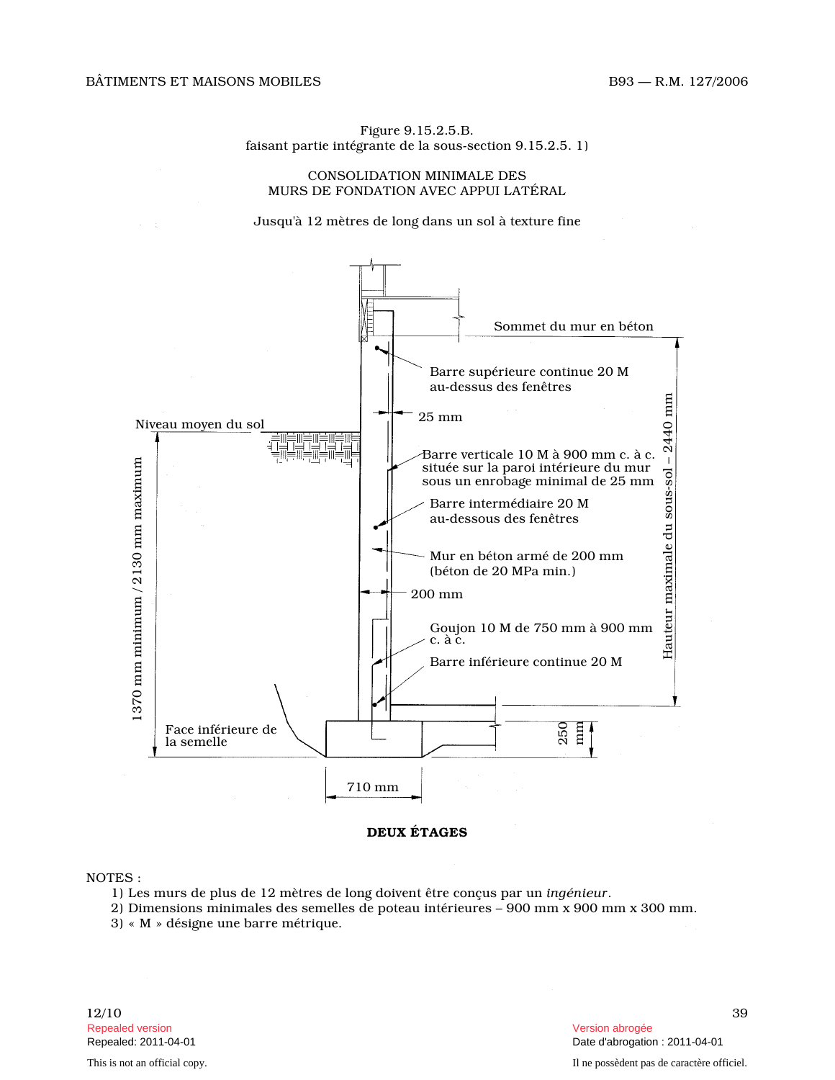#### Figure 9.15.2.5.B. faisant partie intégrante de la sous-section 9.15.2.5. 1)

#### CONSOLIDATION MINIMALE DES MURS DE FONDATION AVEC APPUI LATÉRAL

Jusqu'à 12 mètres de long dans un sol à texture fin e



#### DEUX ÉTAGES

#### NOTES :

- 1) Les murs de plus de 12 mètres de long doivent être conçus par un ingénieur .
- 2) Dimensions minimales des semelles de poteau intérieures 900 mm x 900 mm x 300 mm.
- 3) « M » désigne une barre métrique.

Repealed version Version abrogée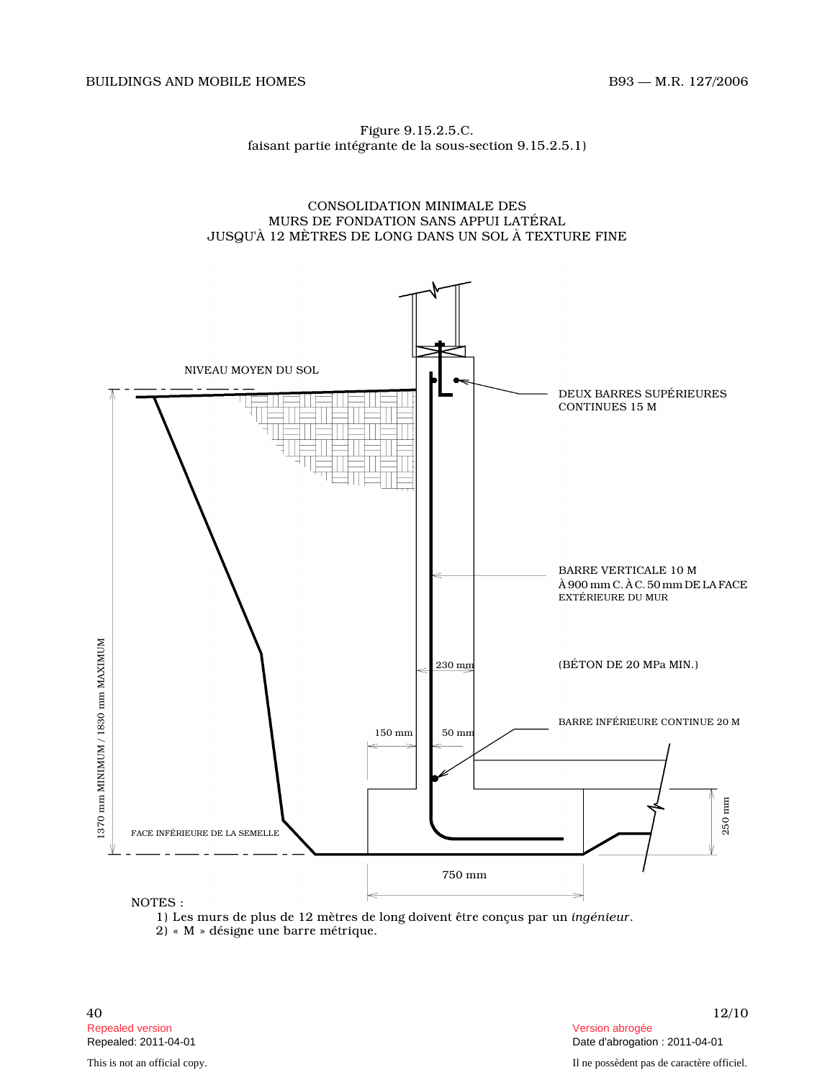#### Figure 9.15.2.5.C. faisant partie intégrante de la sous-section 9.15.2.5.1)

CONSOLIDATION MINIMALE DES MURS DE FONDATION SANS APPUI LATÉRAL JUSQU'À 12 MÈTRES DE LONG DANS UN SOL À TEXTURE FIN E



1) Les murs de plus de 12 mètres de long doivent être conçus par un ingénieur . 2) « M » désigne une barre métrique.

Repealed version Version abrogée

Date d'abrogation : 2011-04-01 This is not an official copy. Il ne possèdent pas de caractère officiel.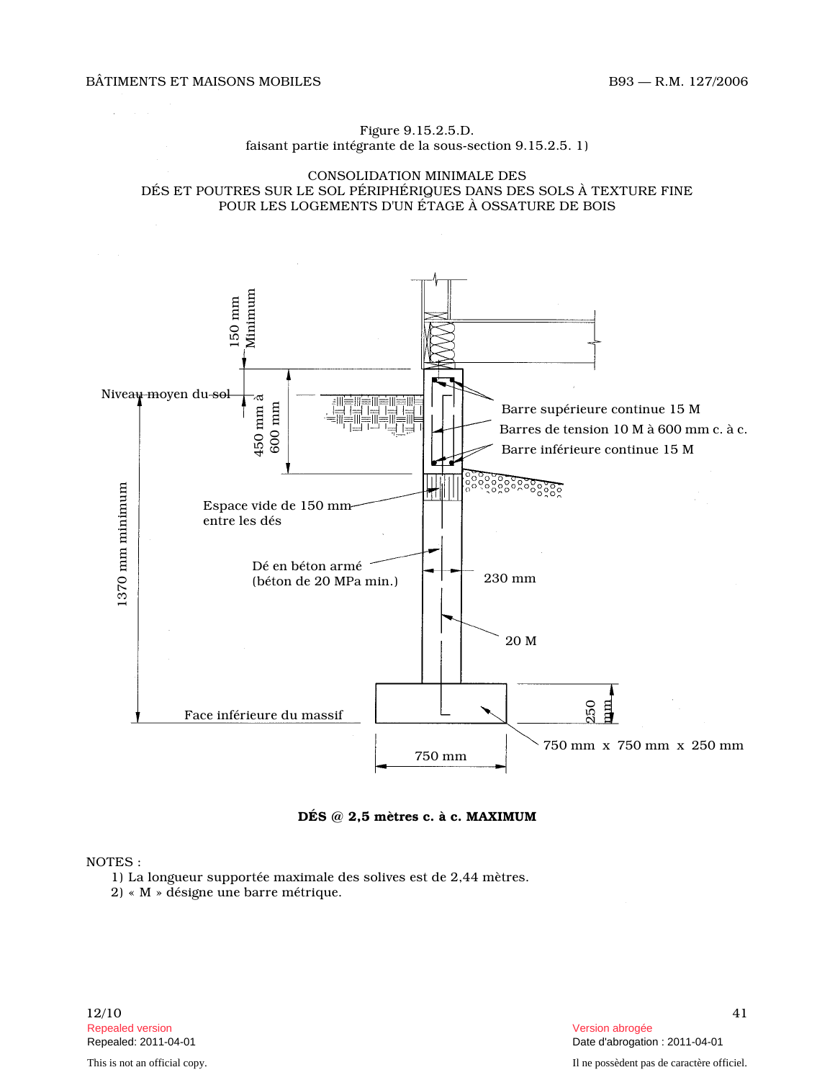

Figure 9.15.2.5.D. faisant partie intégrante de la sous-section 9.15.2.5. 1)

CONSOLIDATION MINIMALE DES DÉS ET POUTRES SUR LE SOL PÉRIPHÉRIQUES DANS DES SOLS À TEXTURE FINE POUR LES LOGEMENTS D'UN ÉTAGE À OSSATURE DE BOIS

DÉS @ 2,5 mètres c. à c. MAXIMUM

NOTES :

1) La longueur supportée maximale des solives est de 2,44 mètres.

2) « M » désigne une barre métrique.

Repealed version abrogée en annual de la commune de la commune de la commune de la commune de la commune de la commune de la commune de la commune de la commune de la commune de la commune de la commune de la commune de la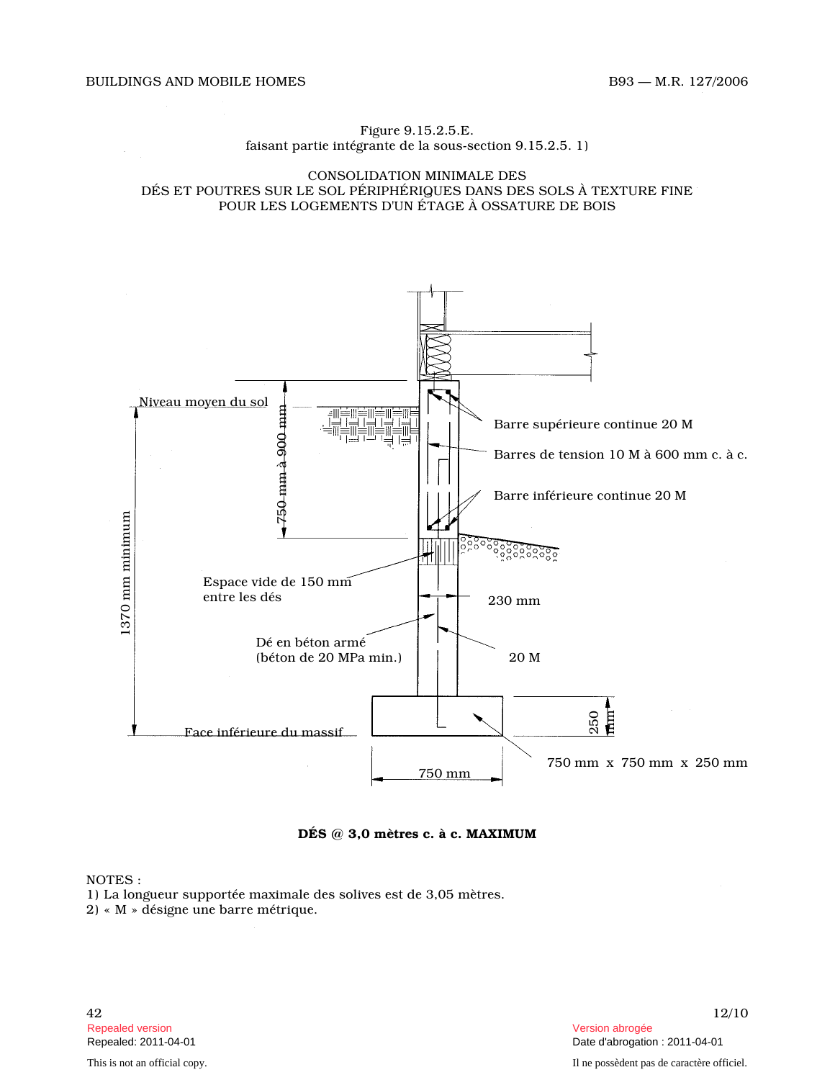#### Figure 9.15.2.5.E. faisant partie intégrante de la sous-section 9.15.2.5. 1)

#### CONSOLIDATION MINIMALE DES DÉS ET POUTRES SUR LE SOL PÉRIPHÉRIQUES DANS DES SOLS À TEXTURE FINE POUR LES LOGEMENTS D'UN ÉTAGE À OSSATURE DE BOIS



DÉS @ 3,0 mètres c. à c. MAXIMUM

#### NOTES :

1) La longueur supportée maximale des solives est de 3,05 mètres.

2) « M » désigne une barre métrique.

Repealed version Version abrogée

Date d'abrogation : 2011-04-01 This is not an official copy. Il ne possèdent pas de caractère officiel.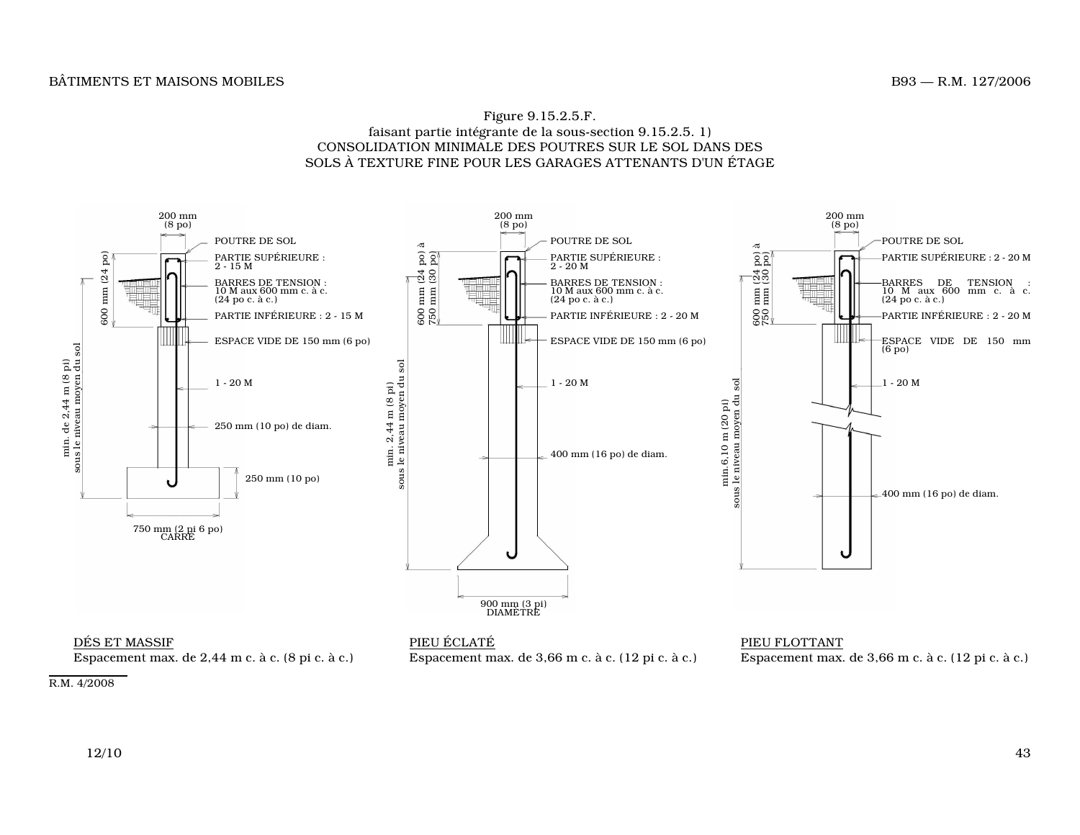#### Figure 9.15.2.5.F. faisant partie intégrante de la sous-section 9.15.2.5. 1) CONSOLIDATION MINIMALE DES POUTRES SUR LE SOL DANS DES SOLS À TEXTURE FINE POUR LES GARAGES ATTENANTS D'UN ÉTAGE



Espacement max. de 2,44 m c. à c. (8 pi c. à c.)

R.M. 4/2008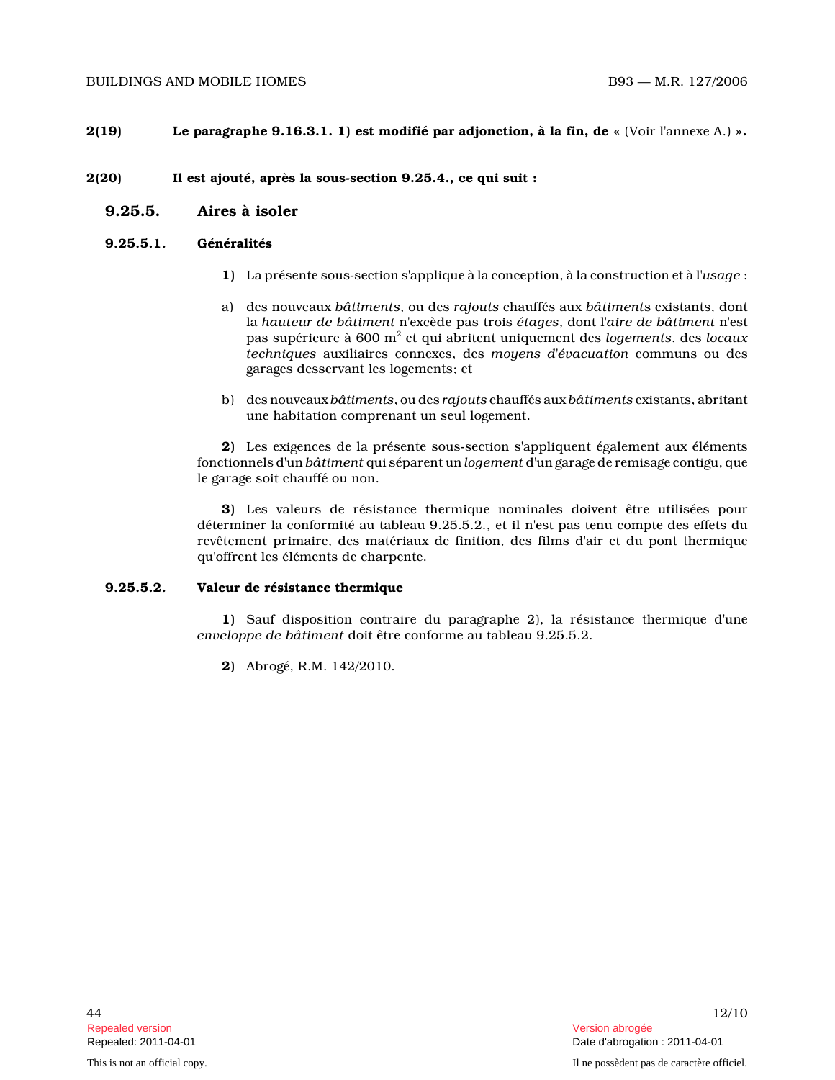#### 2(19) Le paragraphe 9.16.3.1. 1) est modifié par adjonction, à la fin, de « (Voir l'annexe A.) ».

2(20) Il est ajouté, après la sous-section 9.25.4., ce qui suit :

## 9.25.5. Aires à isoler

#### 9.25.5.1. Généralités

- 1) La présente sous-section s'applique à la conception, à la construction et à l'usage :
- a) des nouveaux bâtiments, ou des rajouts chauffés aux bâtiments existants, dont la hauteur de bâtiment n'excède pas trois étages, dont l'aire de bâtiment n'est pas supérieure à 600 m $^2$  et qui abritent uniquement des lo*gements*, des locaux techniques auxiliaires connexes, des moyens d'évacuation communs ou des garages desservant les logements; et
- b) des nouveaux bâtiments, ou des rajouts chauffés aux bâtiments existants, abritant une habitation comprenant un seul logement.

2) Les exigences de la présente sous-section s'appliquent également aux éléments fonctionnels d'un bâtiment qui séparent un logement d'un garage de remisage contigu, que le garage soit chauffé ou non.

3) Les valeurs de résistance thermique nominales doivent être utilisées pour déterminer la conformité au tableau 9.25.5.2., et il n'est pas tenu compte des effets du revêtement primaire, des matériaux de finition, des films d'air et du pont thermique qu'offrent les éléments de charpente.

### 9.25.5.2. Valeur de résistance thermique

1) Sauf disposition contraire du paragraphe 2), la résistance thermique d'une enveloppe de bâtiment doit être conforme au tableau 9.25.5.2.

2) Abrogé, R.M. 142/2010.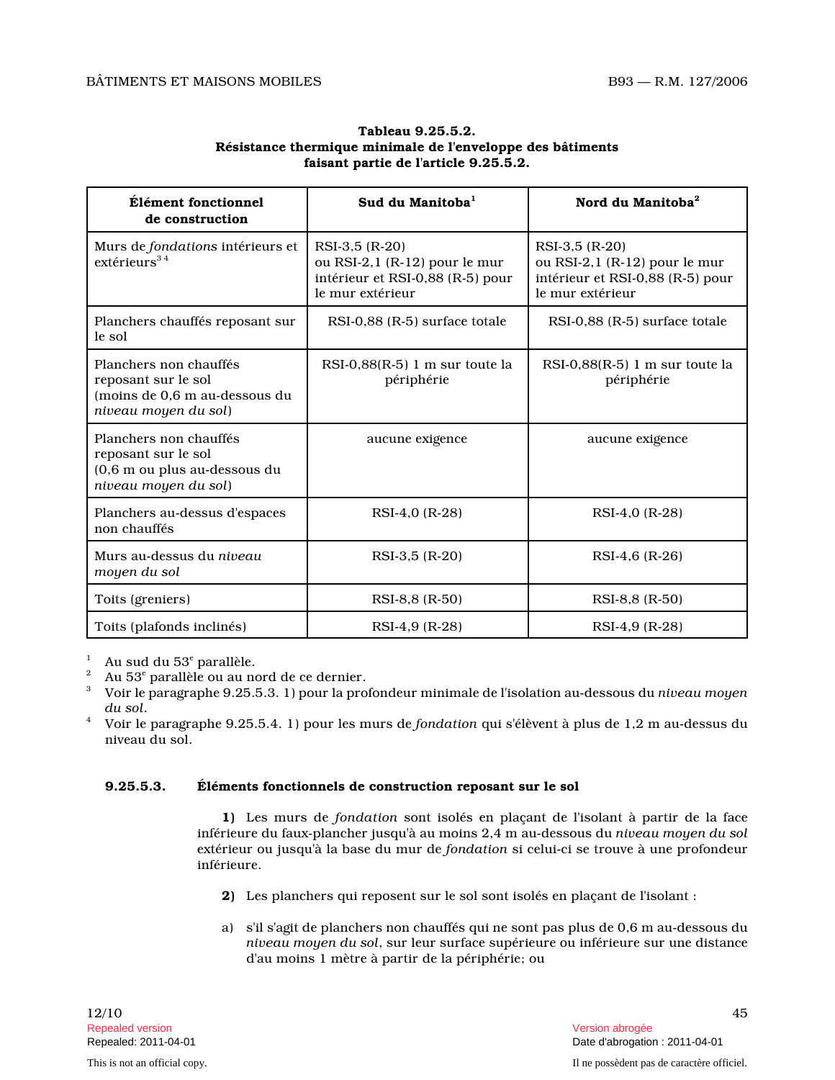| Élément fonctionnel<br>de construction                                                                 | Sud du Manitoba <sup>1</sup>                                                                            | Nord du Manitoba <sup>2</sup>                                                                           |
|--------------------------------------------------------------------------------------------------------|---------------------------------------------------------------------------------------------------------|---------------------------------------------------------------------------------------------------------|
| Murs de fondations intérieurs et<br>extérieurs <sup>34</sup>                                           | RSI-3,5 (R-20)<br>ou RSI-2,1 (R-12) pour le mur<br>intérieur et RSI-0,88 (R-5) pour<br>le mur extérieur | RSI-3,5 (R-20)<br>ou RSI-2,1 (R-12) pour le mur<br>intérieur et RSI-0,88 (R-5) pour<br>le mur extérieur |
| Planchers chauffés reposant sur<br>le sol                                                              | RSI-0,88 (R-5) surface totale                                                                           | RSI-0,88 (R-5) surface totale                                                                           |
| Planchers non chauffés<br>reposant sur le sol<br>(moins de 0,6 m au-dessous du<br>niveau moyen du sol) | $RSI-0,88(R-5)$ 1 m sur toute la<br>périphérie                                                          | RSI-0,88 $(R-5)$ 1 m sur toute la<br>périphérie                                                         |
| Planchers non chauffés<br>reposant sur le sol<br>(0,6 m ou plus au-dessous du<br>niveau moyen du sol)  | aucune exigence                                                                                         | aucune exigence                                                                                         |
| Planchers au-dessus d'espaces<br>non chauffés                                                          | RSI-4,0 (R-28)                                                                                          | RSI-4,0 (R-28)                                                                                          |
| Murs au-dessus du niveau<br>moyen du sol                                                               | RSI-3,5 (R-20)                                                                                          | RSI-4.6 (R-26)                                                                                          |
| Toits (greniers)                                                                                       | RSI-8,8 (R-50)                                                                                          | RSI-8,8 (R-50)                                                                                          |
| Toits (plafonds inclinés)                                                                              | RSI-4,9 (R-28)                                                                                          | RSI-4,9 (R-28)                                                                                          |

#### Tableau 9.25.5.2. Résistance thermique minimale de l'enveloppe des bâtiments faisant partie de l'article 9.25.5.2.

 $^1$  Au sud du 53<sup>e</sup> parallèle.

 $^2$  Au 53 $^{\circ}$  parallèle ou au nord de ce dernier.

- <sup>3</sup> Voir le paragraphe 9.25.5.3. 1) pour la profondeur minimale de l'isolation au-dessous du niveau moyen du sol .
- <sup>4</sup> Voir le paragraphe 9.25.5.4. 1) pour les murs de fondation qui s'élèvent à plus de 1,2 m au-dessus du niveau du sol.

#### 9.25.5.3. Éléments fonctionnels de construction reposant sur le sol

1) Les murs de fondation sont isolés en plaçant de l'isolant à partir de la face inférieure du faux-plancher jusqu'à au moins 2,4 m au-dessous du niveau moyen du sol extérieur ou jusqu'à la base du mur de fondation si celui-ci se trouve à une profondeur inférieure.

- 2) Les planchers qui reposent sur le sol sont isolés en plaçant de l'isolant :
- a) s'il s'agit de planchers non chauffés qui ne sont pas plus de 0,6 m au-dessous du niveau moyen du sol, sur leur surface supérieure ou inférieure sur une distance d'au moins 1 mètre à partir de la périphérie; ou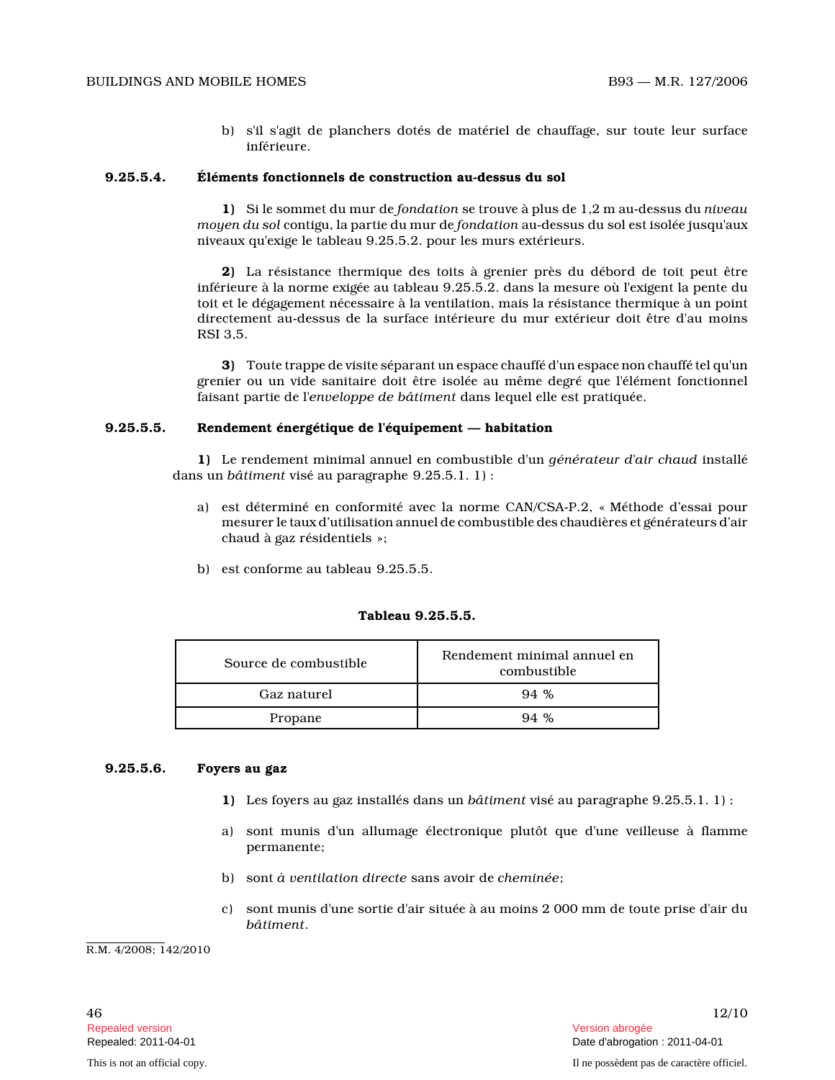b) s'il s'agit de planchers dotés de matériel de chauffage, sur toute leur surface inférieure.

#### 9.25.5.4. Éléments fonctionnels de construction au-dessus du sol

1) Si le sommet du mur de fondation se trouve à plus de 1,2 m au-dessus du niveau moyen du sol contigu, la partie du mur de fondation au-dessus du sol est isolée jusqu'aux niveaux qu'exige le tableau 9.25.5.2. pour les murs extérieurs.

2) La résistance thermique des toits à grenier près du débord de toit peut être inférieure à la norme exigée au tableau 9.25.5.2. dans la mesure où l'exigent la pente du toit et le dégagement nécessaire à la ventilation, mais la résistance thermique à un point directement au-dessus de la surface intérieure du mur extérieur doit être d'au moins RSI 3,5.

3) Toute trappe de visite séparant un espace chauffé d'un espace non chauffé tel qu'un grenier ou un vide sanitaire doit être isolée au même degré que l'élément fonctionnel faisant partie de l'enveloppe de bâtiment dans lequel elle est pratiquée.

#### 9.25.5.5. Rendement énergétique de l'équipement — habitation

1) Le rendement minimal annuel en combustible d'un générateur d'air chaud installé dans un bâtiment visé au paragraphe 9.25.5.1. 1) :

- a) est déterminé en conformité avec la norme CAN/CSA-P.2, « Méthode d'essai pour mesurer le taux d'utilisation annuel de combustible des chaudières et générateurs d'air chaud à gaz résidentiels »;
- b) est conforme au tableau 9.25.5.5.

| Source de combustible | Rendement minimal annuel en<br>combustible |
|-----------------------|--------------------------------------------|
| Gaz naturel           | 94 %                                       |
| Propane               | $94\%$                                     |

#### Tableau 9.25.5.5.

#### 9.25.5.6. Foyers au gaz

- 1) Les foyers au gaz installés dans un bâtiment visé au paragraphe 9.25.5.1. 1) :
- a) sont munis d'un allumage électronique plutôt que d'une veilleuse à flamme permanente;
- b) sont à ventilation directe sans avoir de cheminée;
- c) sont munis d'une sortie d'air située à au moins 2 000 mm de toute prise d'air du bâtiment .

R.M. 4/2008; 142/2010

Repealed version Version abrogée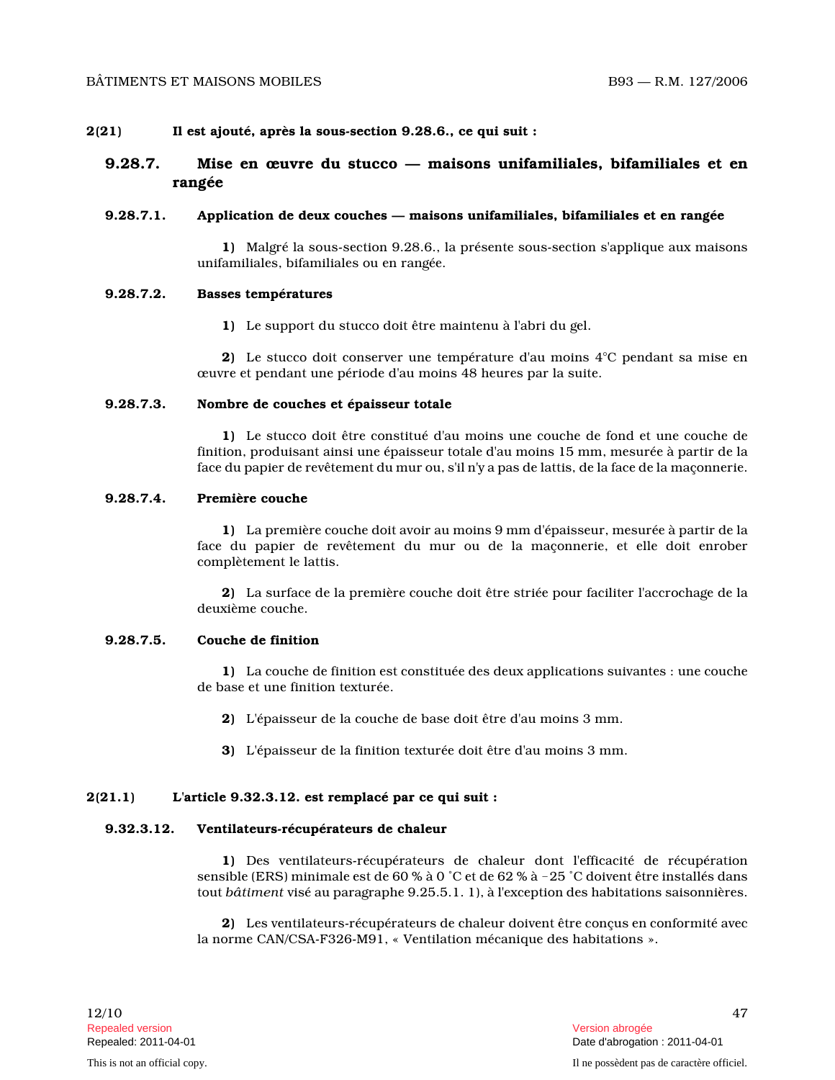2(21) Il est ajouté, après la sous-section 9.28.6., ce qui suit :

## 9.28.7. Mise en œuvre du stucco — maisons unifamiliales, bifamiliales et en rangée

#### 9.28.7.1. Application de deux couches — maisons unifamiliales, bifamiliales et en rangée

1) Malgré la sous-section 9.28.6., la présente sous-section s'applique aux maisons unifamiliales, bifamiliales ou en rangée.

#### 9.28.7.2. Basses températures

1) Le support du stucco doit être maintenu à l'abri du gel.

2) Le stucco doit conserver une température d'au moins 4°C pendant sa mise en œuvre et pendant une période d'au moins 48 heures par la suite.

9.28.7.3. Nombre de couches et épaisseur totale

1) Le stucco doit être constitué d'au moins une couche de fond et une couche de finition, produisant ainsi une épaisseur totale d'au moins 15 mm, mesurée à partir de la face du papier de revêtement du mur ou, s'il n'y a pas de lattis, de la face de la maçonnerie.

#### 9.28.7.4. Première couche

1) La première couche doit avoir au moins 9 mm d'épaisseur, mesurée à partir de la face du papier de revêtement du mur ou de la maçonnerie, et elle doit enrober complètement le lattis.

2) La surface de la première couche doit être striée pour faciliter l'accrochage de la deuxième couche.

## 9.28.7.5. Couche de finition

1) La couche de finition est constituée des deux applications suivantes : une couche de base et une finition texturée.

- 2) L'épaisseur de la couche de base doit être d'au moins 3 mm.
- 3) L'épaisseur de la finition texturée doit être d'au moins 3 mm.

## 2(21.1) L'article 9.32.3.12. est remplacé par ce qui suit :

#### 9.32.3.12. Ventilateurs-récupérateurs de chaleur

1) Des ventilateurs-récupérateurs de chaleur dont l'efficacité de récupération sensible (ERS) minimale est de 60 % à 0 °C et de 62 % à -25 °C doivent être installés dans tout bâtiment visé au paragraphe 9.25.5.1. 1), à l'exception des habitations saisonnières.

2) Les ventilateurs-récupérateurs de chaleur doivent être conçus en conformité avec la norme CAN/CSA-F326-M91, « Ventilation mécanique des habitations ».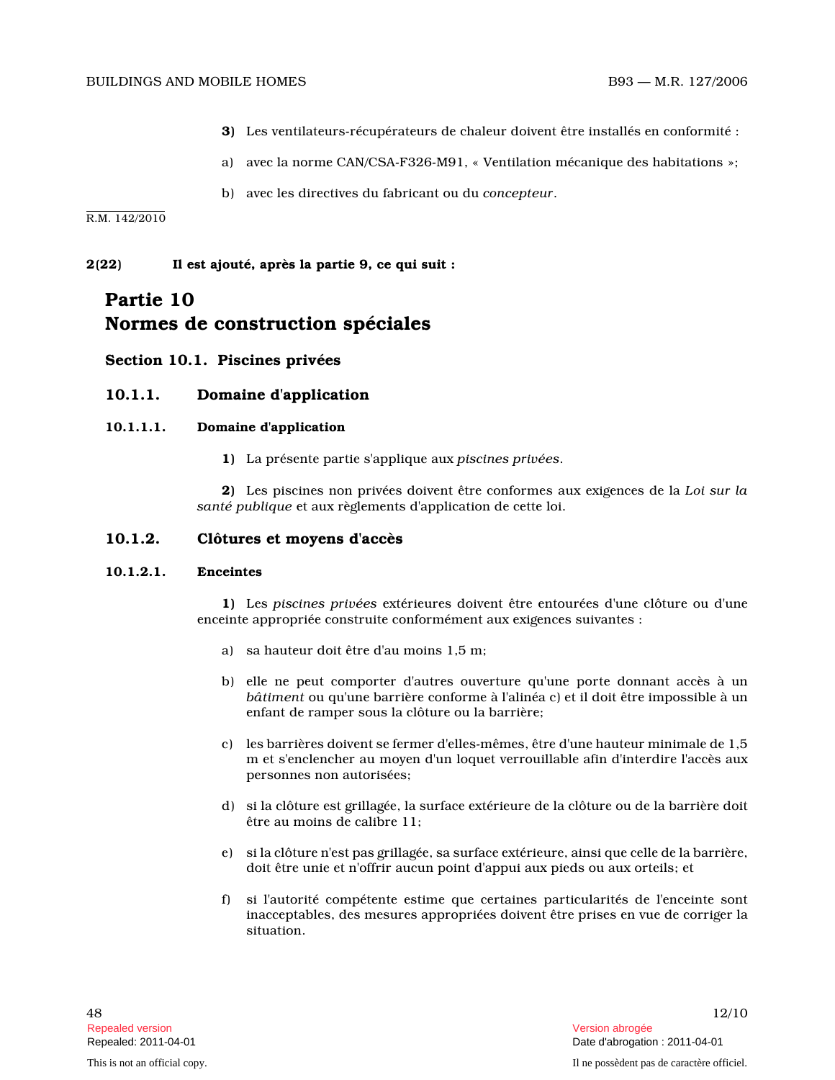- 3) Les ventilateurs-récupérateurs de chaleur doivent être installés en conformité :
- a) avec la norme CAN/CSA-F326-M91, « Ventilation mécanique des habitations »;
- b) avec les directives du fabricant ou du concepteur.

## R.M. 142/2010

2(22) Il est ajouté, après la partie 9, ce qui suit :

## Partie 10

## Normes de construction spéciales

## Section 10.1. Piscines privées

## 10.1.1. Domaine d'application

#### 10.1.1.1. Domaine d'application

1) La présente partie s'applique aux piscines privées .

2) Les piscines non privées doivent être conformes aux exigences de la Loi sur la santé publique et aux règlements d'application de cette loi.

## 10.1.2. Clôtures et moyens d'accès

#### 10.1.2.1. Enceintes

1) Les piscines privées extérieures doivent être entourées d'une clôture ou d'une enceinte appropriée construite conformément aux exigences suivantes :

- a) sa hauteur doit être d'au moins 1,5 m;
- b) elle ne peut comporter d'autres ouverture qu'une porte donnant accès à un bâtiment ou qu'une barrière conforme à l'alinéa c) et il doit être impossible à un enfant de ramper sous la clôture ou la barrière;
- c) les barrières doivent se fermer d'elles-mêmes, être d'une hauteur minimale de 1,5 m et s'enclencher au moyen d'un loquet verrouillable afin d'interdire l'accès aux personnes non autorisées;
- d) si la clôture est grillagée, la surface extérieure de la clôture ou de la barrière doit être au moins de calibre 11;
- e) si la clôture n'est pas grillagée, sa surface extérieure, ainsi que celle de la barrière, doit être unie et n'offrir aucun point d'appui aux pieds ou aux orteils; et
- f) si l'autorité compétente estime que certaines particularités de l'enceinte sont inacceptables, des mesures appropriées doivent être prises en vue de corriger la situation.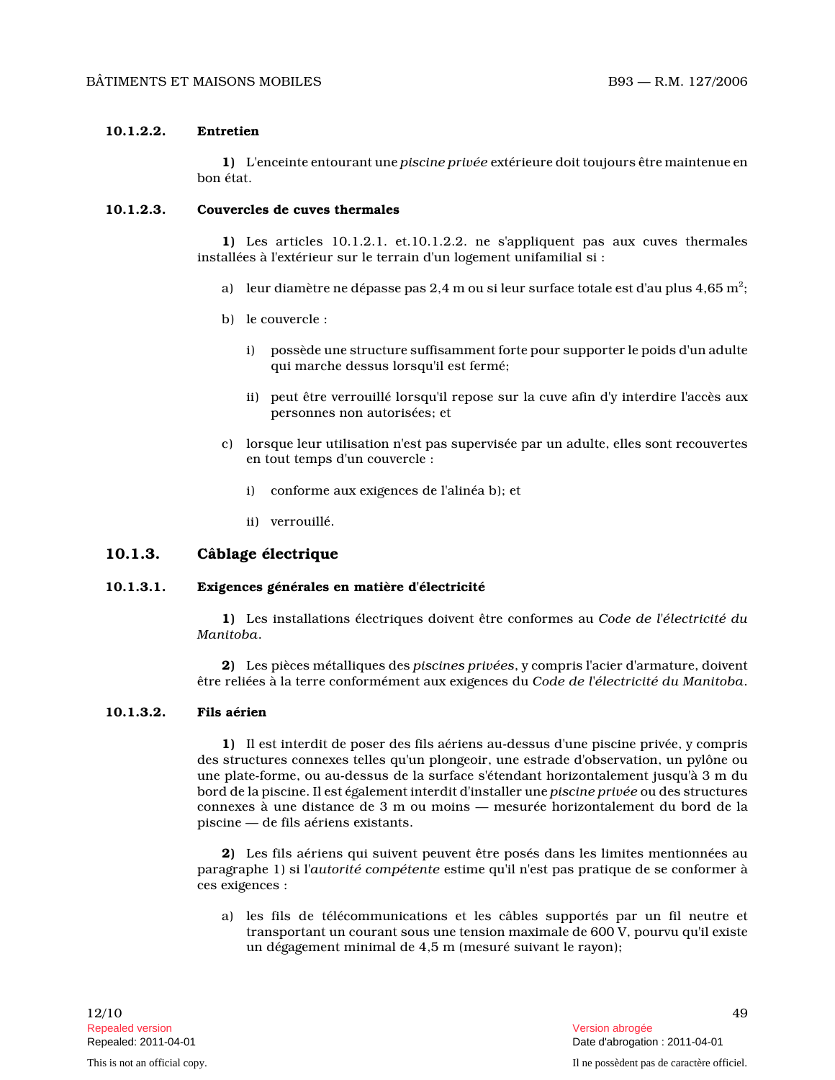### 10.1.2.2. Entretien

1) L'enceinte entourant une piscine privée extérieure doit toujours être maintenue en bon état.

#### 10.1.2.3. Couvercles de cuves thermales

1) Les articles 10.1.2.1. et.10.1.2.2. ne s'appliquent pas aux cuves thermales installées à l'extérieur sur le terrain d'un logement unifamilial si :

- a)  $\;$  leur diamètre ne dépasse pas 2,4 m ou si leur surface totale est d'au plus 4,65 m $^2;$
- b) le couvercle :
	- i) possède une structure suffisamment forte pour supporter le poids d'un adulte qui marche dessus lorsqu'il est fermé;
	- ii) peut être verrouillé lorsqu'il repose sur la cuve afin d'y interdire l'accès aux personnes non autorisées; et
- c) lorsque leur utilisation n'est pas supervisée par un adulte, elles sont recouvertes en tout temps d'un couvercle :
	- i) conforme aux exigences de l'alinéa b); et
	- ii) verrouillé.

## 10.1.3. Câblage électrique

#### 10.1.3.1. Exigences générales en matière d'électricité

1) Les installations électriques doivent être conformes au Code de l'électricité du Manitoba .

2) Les pièces métalliques des piscines privées, y compris l'acier d'armature, doivent être reliées à la terre conformément aux exigences du Code de l'électricité du Manitoba .

#### 10.1.3.2. Fils aérien

1) Il est interdit de poser des fils aériens au-dessus d'une piscine privée, y compris des structures connexes telles qu'un plongeoir, une estrade d'observation, un pylône ou une plate-forme, ou au-dessus de la surface s'étendant horizontalement jusqu'à 3 m du bord de la piscine. Il est également interdit d'installer une piscine privée ou des structures connexes à une distance de 3 m ou moins — mesurée horizontalement du bord de la piscine — de fils aériens existants.

2) Les fils aériens qui suivent peuvent être posés dans les limites mentionnées au paragraphe 1) si l'autorité compétente estime qu'il n'est pas pratique de se conformer à ces exigences :

a) les fils de télécommunications et les câbles supportés par un fil neutre et transportant un courant sous une tension maximale de 600 V, pourvu qu'il existe un dégagement minimal de 4,5 m (mesuré suivant le rayon);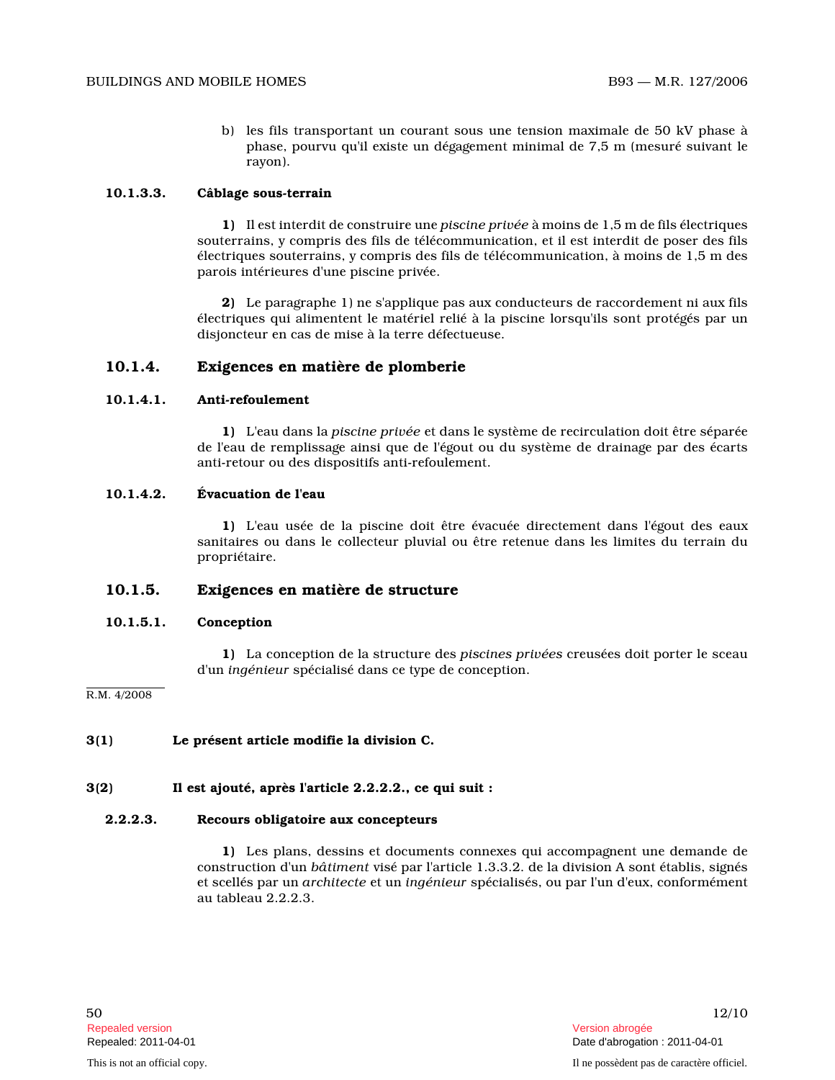b) les fils transportant un courant sous une tension maximale de 50 kV phase à phase, pourvu qu'il existe un dégagement minimal de 7,5 m (mesuré suivant le rayon).

#### 10.1.3.3. Câblage sous-terrain

1) Il est interdit de construire une *piscine privée* à moins de 1,5 m de fils électriques souterrains, y compris des fils de télécommunication, et il est interdit de poser des fils électriques souterrains, y compris des fils de télécommunication, à moins de 1,5 m des parois intérieures d'une piscine privée.

2) Le paragraphe 1) ne s'applique pas aux conducteurs de raccordement ni aux fils électriques qui alimentent le matériel relié à la piscine lorsqu'ils sont protégés par un disjoncteur en cas de mise à la terre défectueuse.

#### 10.1.4. Exigences en matière de plomberie

#### 10.1.4.1. Anti-refoulement

1) L'eau dans la piscine privée et dans le système de recirculation doit être séparée de l'eau de remplissage ainsi que de l'égout ou du système de drainage par des écarts anti-retour ou des dispositifs anti-refoulement.

#### 10.1.4.2. Évacuation de l'eau

1) L'eau usée de la piscine doit être évacuée directement dans l'égout des eaux sanitaires ou dans le collecteur pluvial ou être retenue dans les limites du terrain du propriétaire.

## 10.1.5. Exigences en matière de structure

#### 10.1.5.1. Conception

1) La conception de la structure des piscines privées creusées doit porter le sceau d'un ingénieur spécialisé dans ce type de conception.

R.M. 4/2008

#### 3(1) Le présent article modifie la division C.

#### 3(2) Il est ajouté, après l'article 2.2.2.2., ce qui suit :

#### 2.2.2.3. Recours obligatoire aux concepteurs

1) Les plans, dessins et documents connexes qui accompagnent une demande de construction d'un bâtiment visé par l'article 1.3.3.2. de la division A sont établis, signés et scellés par un architecte et un ingénieur spécialisés, ou par l'un d'eux, conformément au tableau 2.2.2.3.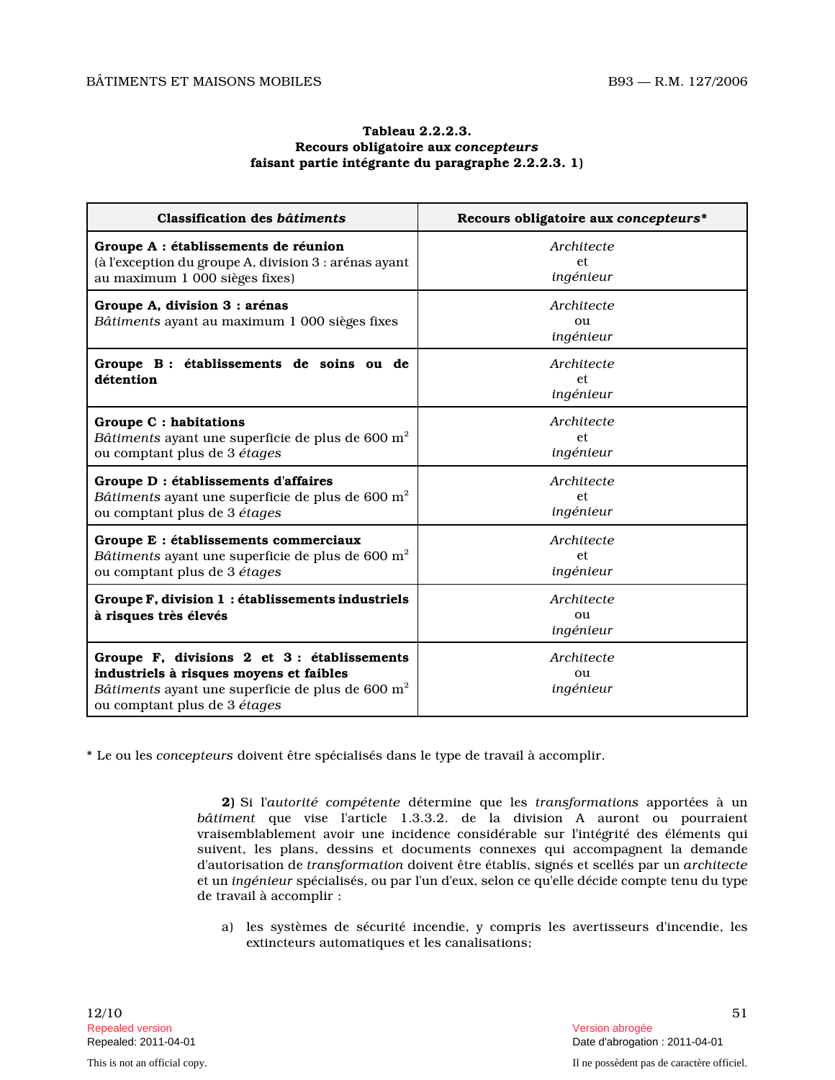#### Tableau 2.2.2.3. Recours obligatoire aux concepteurs faisant partie intégrante du paragraphe 2.2.2.3. 1)

| Classification des bâtiments                                                                                                                                                          | Recours obligatoire aux concepteurs*     |
|---------------------------------------------------------------------------------------------------------------------------------------------------------------------------------------|------------------------------------------|
| Groupe A : établissements de réunion<br>(à l'exception du groupe A, division 3 : arénas ayant<br>au maximum 1 000 sièges fixes)                                                       | Architecte<br>et<br>ingénieur            |
| Groupe A, division 3 : arénas<br>Bâtiments ayant au maximum 1 000 sièges fixes                                                                                                        | Architecte<br>ou<br>ingénieur            |
| Groupe B : établissements de soins ou de<br>détention                                                                                                                                 | Architecte<br><sub>et</sub><br>ingénieur |
| Groupe C : habitations<br>Bâtiments ayant une superficie de plus de 600 m <sup>2</sup><br>ou comptant plus de 3 étages                                                                | Architecte<br><sub>et</sub><br>ingénieur |
| Groupe D : établissements d'affaires<br><i>Bâtiments</i> ayant une superficie de plus de 600 $\mathrm{m}^2$<br>ou comptant plus de 3 étages                                           | Architecte<br>et.<br>ingénieur           |
| Groupe E : établissements commerciaux<br>Bâtiments ayant une superficie de plus de 600 m <sup>2</sup><br>ou comptant plus de 3 étages                                                 | Architecte<br><sub>et</sub><br>ingénieur |
| Groupe F, division 1 : établissements industriels<br>à risques très élevés                                                                                                            | Architecte<br>ou<br>ingénieur            |
| Groupe F, divisions 2 et 3: établissements<br>industriels à risques moyens et faibles<br>Bâtiments ayant une superficie de plus de 600 m <sup>2</sup><br>ou comptant plus de 3 étages | Architecte<br>ou<br>ingénieur            |

\* Le ou les concepteurs doivent être spécialisés dans le type de travail à accomplir.

2) Si l'autorité compétente détermine que les transformations apportées à un bâtiment que vise l'article 1.3.3.2. de la division A auront ou pourraient vraisemblablement avoir une incidence considérable sur l'intégrité des éléments qui suivent, les plans, dessins et documents connexes qui accompagnent la demande d'autorisation de transformation doivent être établis, signés et scellés par un architecte et un ingénieur spécialisés, ou par l'un d'eux, selon ce qu'elle décide compte tenu du type de travail à accomplir :

a) les systèmes de sécurité incendie, y compris les avertisseurs d'incendie, les extincteurs automatiques et les canalisations;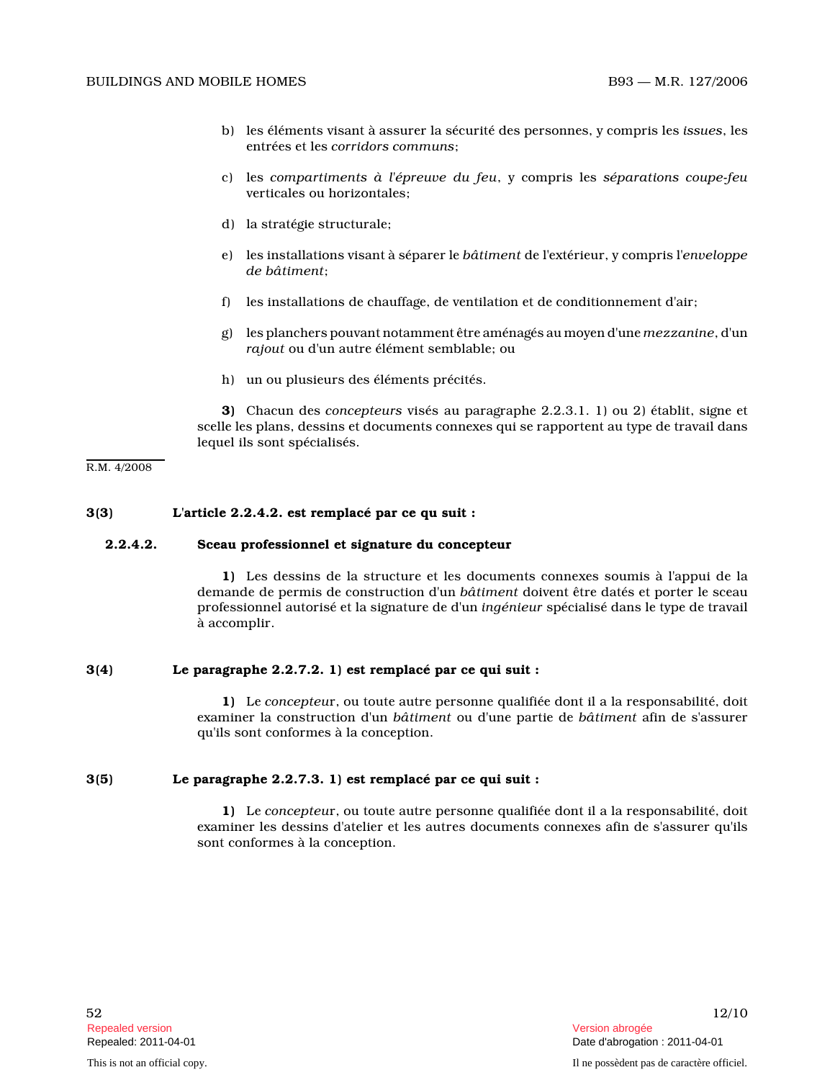#### BUILDINGS AND MOBILE HOMES B93 — M.R. 127/2006

- b) les éléments visant à assurer la sécurité des personnes, y compris les issues, les entrées et les corridors communs ;
- c) les compartiments à l'épreuve du feu, y compris les séparations coupe-feu verticales ou horizontales;
- d) la stratégie structurale;
- e) les installations visant à séparer le bâtiment de l'extérieur, y compris l'enveloppe de bâtiment ;
- f) les installations de chauffage, de ventilation et de conditionnement d'air;
- g) les planchers pouvant notamment être aménagés au moyen d'une mezzanine, d'un rajout ou d'un autre élément semblable; ou
- h) un ou plusieurs des éléments précités.

3) Chacun des concepteurs visés au paragraphe 2.2.3.1. 1) ou 2) établit, signe et scelle les plans, dessins et documents connexes qui se rapportent au type de travail dans lequel ils sont spécialisés.

R.M. 4/2008

#### 3(3) L'article 2.2.4.2. est remplacé par ce qu suit :

#### 2.2.4.2. Sceau professionnel et signature du concepteur

1) Les dessins de la structure et les documents connexes soumis à l'appui de la demande de permis de construction d'un bâtiment doivent être datés et porter le sceau professionnel autorisé et la signature de d'un ingénieur spécialisé dans le type de travail à accomplir.

#### 3(4) Le paragraphe 2.2.7.2. 1) est remplacé par ce qui suit :

1) Le concepteur, ou toute autre personne qualifiée dont il a la responsabilité, doit examiner la construction d'un bâtiment ou d'une partie de bâtiment afin de s'assurer qu'ils sont conformes à la conception.

#### 3(5) Le paragraphe 2.2.7.3. 1) est remplacé par ce qui suit :

1) Le concepteur, ou toute autre personne qualifiée dont il a la responsabilité, doit examiner les dessins d'atelier et les autres documents connexes afin de s'assurer qu'ils sont conformes à la conception.